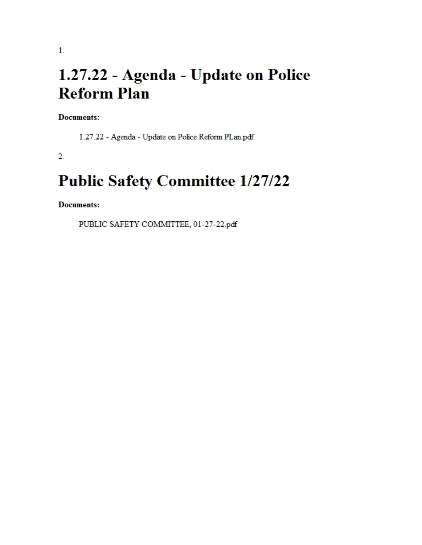# 1.27.22 - Agenda - Update on Police **Reform Plan**

**Documents:** 

1.27.22 - Agenda - Update on Police Reform PLan.pdf

 $\overline{2}$ .

## **Public Safety Committee 1/27/22**

**Documents:** 

PUBLIC SAFETY COMMITTEE, 01-27-22.pdf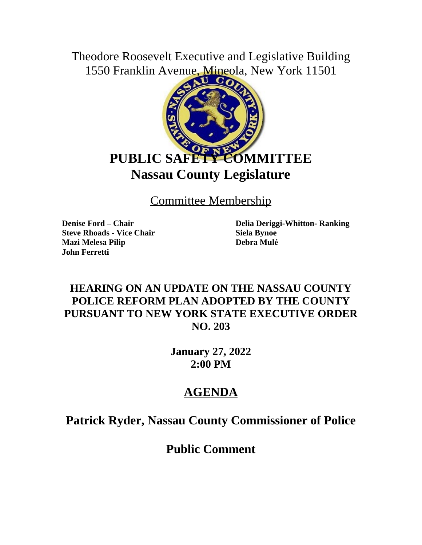Theodore Roosevelt Executive and Legislative Building 1550 Franklin Avenue, Mineola, New York 11501



Committee Membership

**Steve Rhoads - Vice Chair Siela Bynoe Mazi Melesa Pilip Debra Mulé John Ferretti**

**Denise Ford – Chair Delia Deriggi-Whitton- Ranking**

#### **HEARING ON AN UPDATE ON THE NASSAU COUNTY POLICE REFORM PLAN ADOPTED BY THE COUNTY PURSUANT TO NEW YORK STATE EXECUTIVE ORDER NO. 203**

**January 27, 2022 2:00 PM**

### **AGENDA**

**Patrick Ryder, Nassau County Commissioner of Police**

**Public Comment**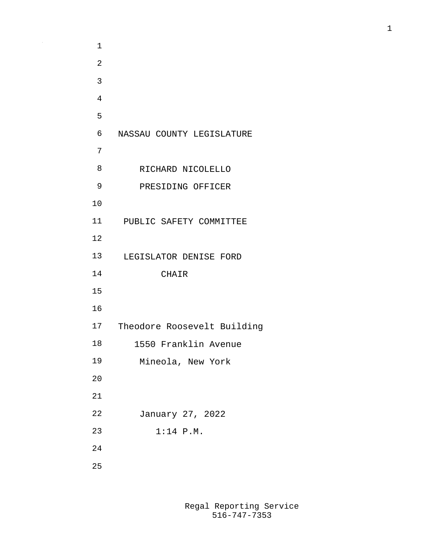| 1  |                             |
|----|-----------------------------|
| 2  |                             |
| 3  |                             |
| 4  |                             |
| 5  |                             |
| 6  | NASSAU COUNTY LEGISLATURE   |
| 7  |                             |
| 8  | RICHARD NICOLELLO           |
| 9  | PRESIDING OFFICER           |
| 10 |                             |
| 11 | PUBLIC SAFETY COMMITTEE     |
| 12 |                             |
| 13 | LEGISLATOR DENISE FORD      |
| 14 | <b>CHAIR</b>                |
| 15 |                             |
| 16 |                             |
| 17 | Theodore Roosevelt Building |
| 18 | 1550 Franklin Avenue        |
| 19 | Mineola, New York           |
| 20 |                             |
| 21 |                             |
| 22 | January 27, 2022            |
| 23 | $1:14$ P.M.                 |
| 24 |                             |
| 25 |                             |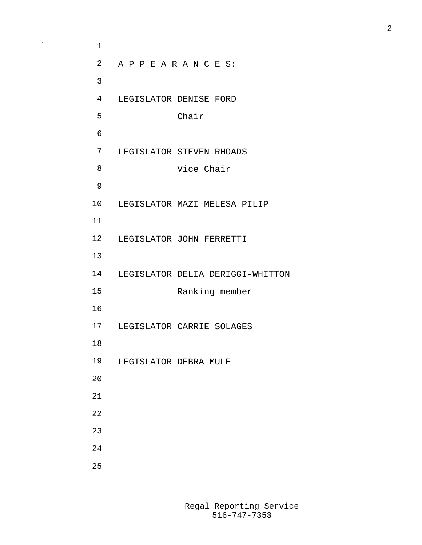A P P E A R A N C E S: LEGISLATOR DENISE FORD Chair LEGISLATOR STEVEN RHOADS Vice Chair LEGISLATOR MAZI MELESA PILIP LEGISLATOR JOHN FERRETTI LEGISLATOR DELIA DERIGGI-WHITTON Ranking member LEGISLATOR CARRIE SOLAGES LEGISLATOR DEBRA MULE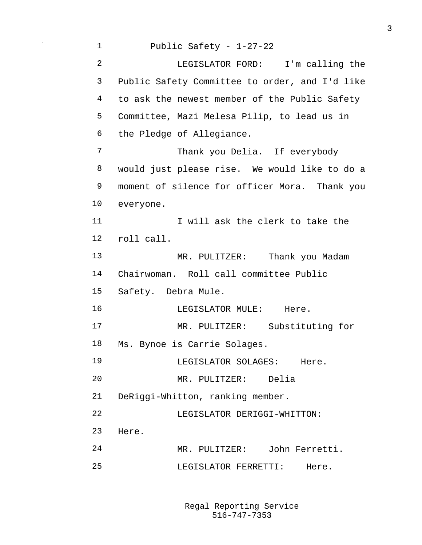Public Safety - 1-27-22 LEGISLATOR FORD: I'm calling the Public Safety Committee to order, and I'd like to ask the newest member of the Public Safety Committee, Mazi Melesa Pilip, to lead us in the Pledge of Allegiance. Thank you Delia. If everybody would just please rise. We would like to do a moment of silence for officer Mora. Thank you everyone. **I I will ask the clerk to take the**  roll call. 13 MR. PULITZER: Thank you Madam Chairwoman. Roll call committee Public Safety. Debra Mule. LEGISLATOR MULE: Here. MR. PULITZER: Substituting for Ms. Bynoe is Carrie Solages. LEGISLATOR SOLAGES: Here. MR. PULITZER: Delia DeRiggi-Whitton, ranking member. 22 LEGISLATOR DERIGGI-WHITTON: Here. MR. PULITZER: John Ferretti. 25 LEGISLATOR FERRETTI: Here.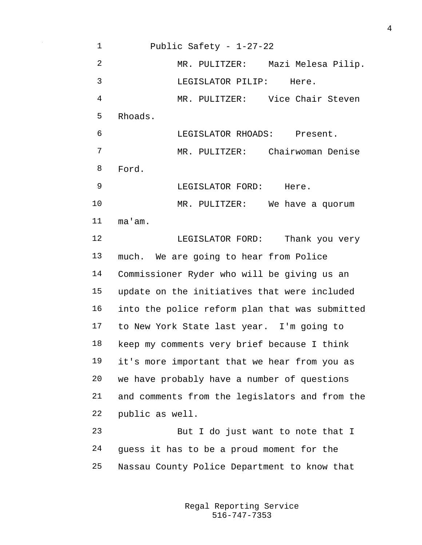Public Safety - 1-27-22 MR. PULITZER: Mazi Melesa Pilip. LEGISLATOR PILIP: Here. MR. PULITZER: Vice Chair Steven Rhoads. LEGISLATOR RHOADS: Present. MR. PULITZER: Chairwoman Denise Ford. 9 LEGISLATOR FORD: Here. MR. PULITZER: We have a quorum ma'am. 12 LEGISLATOR FORD: Thank you very much. We are going to hear from Police Commissioner Ryder who will be giving us an update on the initiatives that were included into the police reform plan that was submitted to New York State last year. I'm going to keep my comments very brief because I think it's more important that we hear from you as we have probably have a number of questions and comments from the legislators and from the public as well. But I do just want to note that I guess it has to be a proud moment for the Nassau County Police Department to know that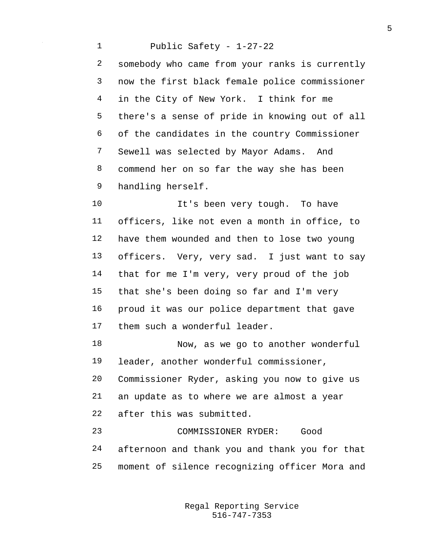Public Safety - 1-27-22 somebody who came from your ranks is currently now the first black female police commissioner in the City of New York. I think for me there's a sense of pride in knowing out of all of the candidates in the country Commissioner Sewell was selected by Mayor Adams. And commend her on so far the way she has been handling herself.

10 It's been very tough. To have officers, like not even a month in office, to have them wounded and then to lose two young officers. Very, very sad. I just want to say that for me I'm very, very proud of the job that she's been doing so far and I'm very proud it was our police department that gave them such a wonderful leader.

 Now, as we go to another wonderful leader, another wonderful commissioner, Commissioner Ryder, asking you now to give us an update as to where we are almost a year after this was submitted.

 COMMISSIONER RYDER: Good afternoon and thank you and thank you for that moment of silence recognizing officer Mora and

> 516-747-7353 Regal Reporting Service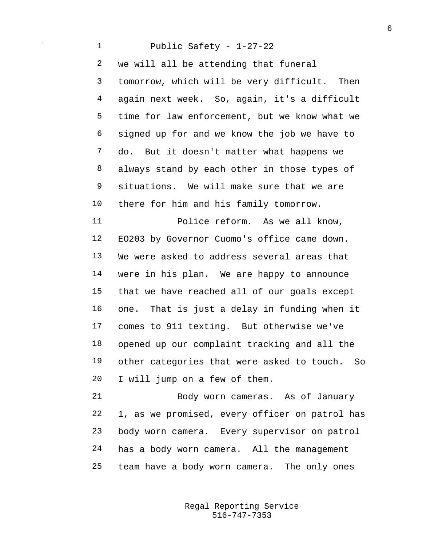Public Safety - 1-27-22 we will all be attending that funeral tomorrow, which will be very difficult. Then again next week. So, again, it's a difficult time for law enforcement, but we know what we signed up for and we know the job we have to do. But it doesn't matter what happens we always stand by each other in those types of situations. We will make sure that we are there for him and his family tomorrow. Police reform. As we all know, EO203 by Governor Cuomo's office came down. We were asked to address several areas that were in his plan. We are happy to announce that we have reached all of our goals except one. That is just a delay in funding when it comes to 911 texting. But otherwise we've opened up our complaint tracking and all the other categories that were asked to touch. So I will jump on a few of them. Body worn cameras. As of January 1, as we promised, every officer on patrol has body worn camera. Every supervisor on patrol has a body worn camera. All the management

team have a body worn camera. The only ones

516-747-7353 Regal Reporting Service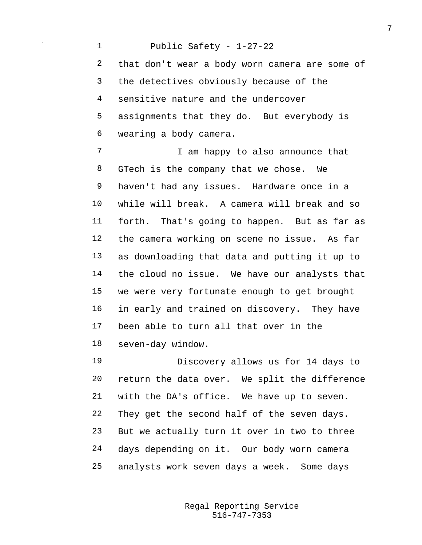Public Safety - 1-27-22 that don't wear a body worn camera are some of the detectives obviously because of the sensitive nature and the undercover assignments that they do. But everybody is wearing a body camera. 7 T am happy to also announce that GTech is the company that we chose. We haven't had any issues. Hardware once in a while will break. A camera will break and so forth. That's going to happen. But as far as the camera working on scene no issue. As far as downloading that data and putting it up to the cloud no issue. We have our analysts that we were very fortunate enough to get brought in early and trained on discovery. They have been able to turn all that over in the seven-day window. Discovery allows us for 14 days to

 return the data over. We split the difference with the DA's office. We have up to seven. They get the second half of the seven days. But we actually turn it over in two to three days depending on it. Our body worn camera analysts work seven days a week. Some days

> 516-747-7353 Regal Reporting Service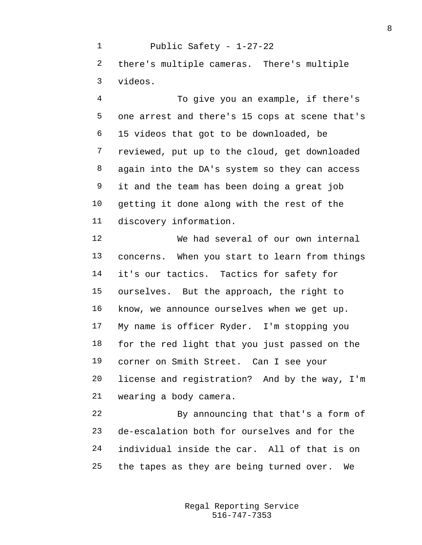Public Safety - 1-27-22 there's multiple cameras. There's multiple videos.

 To give you an example, if there's one arrest and there's 15 cops at scene that's 15 videos that got to be downloaded, be reviewed, put up to the cloud, get downloaded again into the DA's system so they can access it and the team has been doing a great job getting it done along with the rest of the discovery information.

 We had several of our own internal concerns. When you start to learn from things 14 it's our tactics. Tactics for safety for ourselves. But the approach, the right to know, we announce ourselves when we get up. My name is officer Ryder. I'm stopping you for the red light that you just passed on the corner on Smith Street. Can I see your license and registration? And by the way, I'm wearing a body camera.

 By announcing that that's a form of de-escalation both for ourselves and for the individual inside the car. All of that is on the tapes as they are being turned over. We

> 516-747-7353 Regal Reporting Service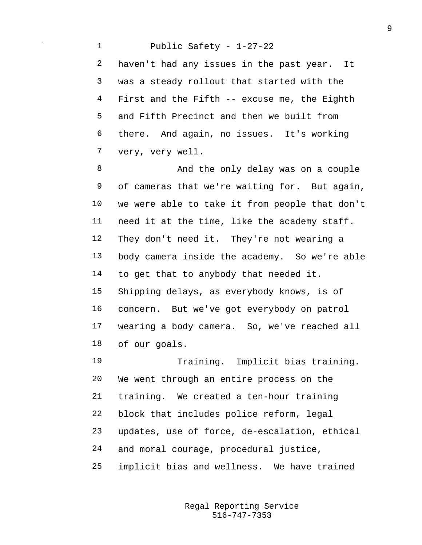Public Safety - 1-27-22 haven't had any issues in the past year. It was a steady rollout that started with the First and the Fifth -- excuse me, the Eighth and Fifth Precinct and then we built from there. And again, no issues. It's working very, very well.

8 And the only delay was on a couple of cameras that we're waiting for. But again, we were able to take it from people that don't need it at the time, like the academy staff. They don't need it. They're not wearing a body camera inside the academy. So we're able to get that to anybody that needed it. Shipping delays, as everybody knows, is of concern. But we've got everybody on patrol wearing a body camera. So, we've reached all of our goals.

 Training. Implicit bias training. We went through an entire process on the training. We created a ten-hour training block that includes police reform, legal updates, use of force, de-escalation, ethical and moral courage, procedural justice, implicit bias and wellness. We have trained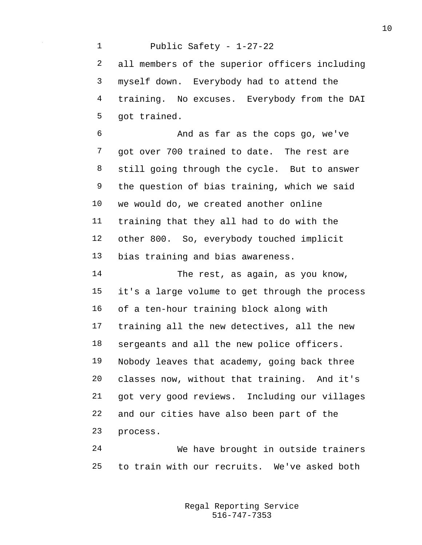Public Safety - 1-27-22 all members of the superior officers including myself down. Everybody had to attend the training. No excuses. Everybody from the DAI got trained. And as far as the cops go, we've got over 700 trained to date. The rest are still going through the cycle. But to answer the question of bias training, which we said we would do, we created another online training that they all had to do with the other 800. So, everybody touched implicit bias training and bias awareness. The rest, as again, as you know, it's a large volume to get through the process of a ten-hour training block along with training all the new detectives, all the new sergeants and all the new police officers. Nobody leaves that academy, going back three classes now, without that training. And it's got very good reviews. Including our villages and our cities have also been part of the process. We have brought in outside trainers

to train with our recruits. We've asked both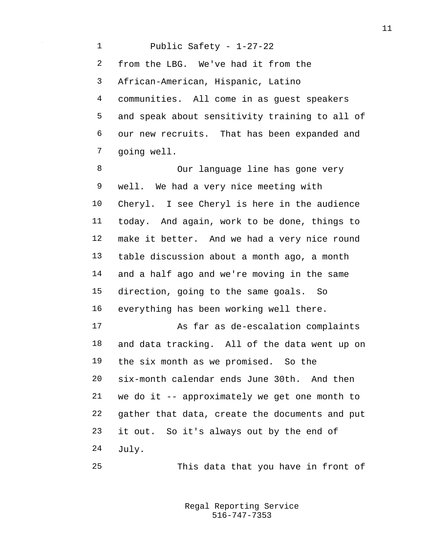Public Safety - 1-27-22 from the LBG. We've had it from the African-American, Hispanic, Latino communities. All come in as guest speakers and speak about sensitivity training to all of our new recruits. That has been expanded and going well.

8 Our language line has gone very well. We had a very nice meeting with Cheryl. I see Cheryl is here in the audience today. And again, work to be done, things to make it better. And we had a very nice round table discussion about a month ago, a month and a half ago and we're moving in the same direction, going to the same goals. So everything has been working well there. As far as de-escalation complaints and data tracking. All of the data went up on the six month as we promised. So the six-month calendar ends June 30th. And then we do it -- approximately we get one month to gather that data, create the documents and put it out. So it's always out by the end of

July.

This data that you have in front of

516-747-7353 Regal Reporting Service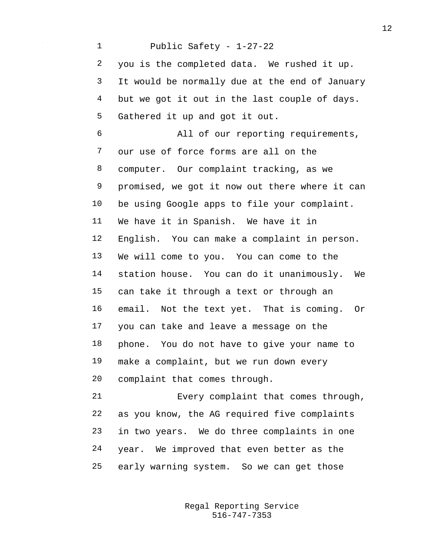Public Safety - 1-27-22 you is the completed data. We rushed it up. It would be normally due at the end of January but we got it out in the last couple of days. Gathered it up and got it out. All of our reporting requirements, our use of force forms are all on the computer. Our complaint tracking, as we promised, we got it now out there where it can be using Google apps to file your complaint. We have it in Spanish. We have it in English. You can make a complaint in person. We will come to you. You can come to the station house. You can do it unanimously. We can take it through a text or through an email. Not the text yet. That is coming. Or you can take and leave a message on the phone. You do not have to give your name to make a complaint, but we run down every complaint that comes through. Every complaint that comes through, as you know, the AG required five complaints in two years. We do three complaints in one year. We improved that even better as the

early warning system. So we can get those

516-747-7353 Regal Reporting Service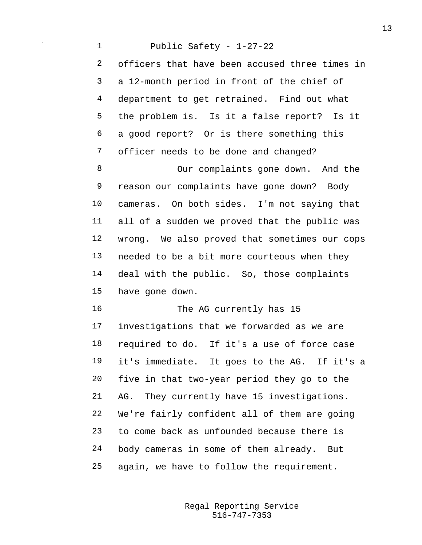Public Safety - 1-27-22 officers that have been accused three times in a 12-month period in front of the chief of department to get retrained. Find out what the problem is. Is it a false report? Is it a good report? Or is there something this officer needs to be done and changed? Our complaints gone down. And the reason our complaints have gone down? Body cameras. On both sides. I'm not saying that all of a sudden we proved that the public was wrong. We also proved that sometimes our cops needed to be a bit more courteous when they deal with the public. So, those complaints have gone down. 16 The AG currently has 15 investigations that we forwarded as we are required to do. If it's a use of force case it's immediate. It goes to the AG. If it's a five in that two-year period they go to the AG. They currently have 15 investigations. We're fairly confident all of them are going to come back as unfounded because there is body cameras in some of them already. But again, we have to follow the requirement.

> 516-747-7353 Regal Reporting Service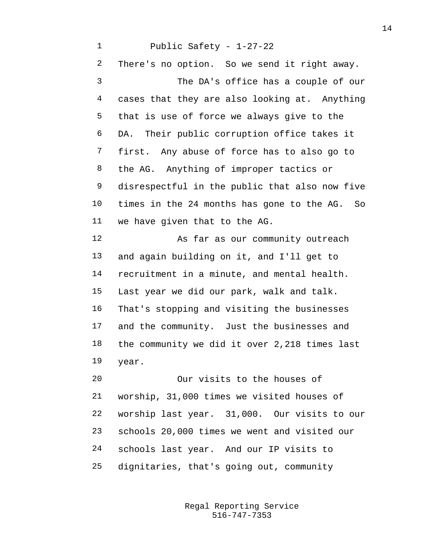Public Safety - 1-27-22 There's no option. So we send it right away. The DA's office has a couple of our cases that they are also looking at. Anything that is use of force we always give to the DA. Their public corruption office takes it first. Any abuse of force has to also go to the AG. Anything of improper tactics or disrespectful in the public that also now five times in the 24 months has gone to the AG. So we have given that to the AG. 12 As far as our community outreach and again building on it, and I'll get to recruitment in a minute, and mental health. Last year we did our park, walk and talk. That's stopping and visiting the businesses and the community. Just the businesses and the community we did it over 2,218 times last year. Our visits to the houses of

 worship, 31,000 times we visited houses of worship last year. 31,000. Our visits to our schools 20,000 times we went and visited our schools last year. And our IP visits to dignitaries, that's going out, community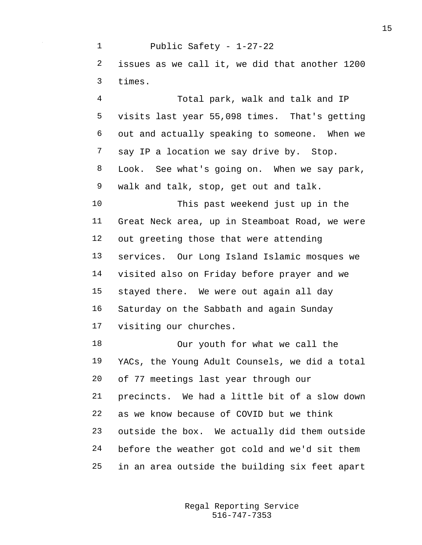Public Safety - 1-27-22 issues as we call it, we did that another 1200 times.

 Total park, walk and talk and IP visits last year 55,098 times. That's getting out and actually speaking to someone. When we 7 say IP a location we say drive by. Stop. Look. See what's going on. When we say park, walk and talk, stop, get out and talk.

 This past weekend just up in the Great Neck area, up in Steamboat Road, we were out greeting those that were attending services. Our Long Island Islamic mosques we visited also on Friday before prayer and we stayed there. We were out again all day Saturday on the Sabbath and again Sunday visiting our churches.

 Our youth for what we call the YACs, the Young Adult Counsels, we did a total of 77 meetings last year through our precincts. We had a little bit of a slow down as we know because of COVID but we think outside the box. We actually did them outside before the weather got cold and we'd sit them in an area outside the building six feet apart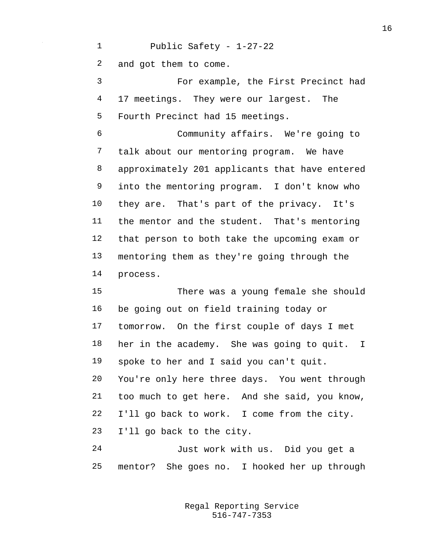Public Safety - 1-27-22 and got them to come. For example, the First Precinct had 17 meetings. They were our largest. The Fourth Precinct had 15 meetings. Community affairs. We're going to talk about our mentoring program. We have approximately 201 applicants that have entered into the mentoring program. I don't know who they are. That's part of the privacy. It's the mentor and the student. That's mentoring that person to both take the upcoming exam or mentoring them as they're going through the process.

 There was a young female she should be going out on field training today or tomorrow. On the first couple of days I met her in the academy. She was going to quit. I spoke to her and I said you can't quit. You're only here three days. You went through too much to get here. And she said, you know, I'll go back to work. I come from the city. I'll go back to the city.

 Just work with us. Did you get a mentor? She goes no. I hooked her up through

> 516-747-7353 Regal Reporting Service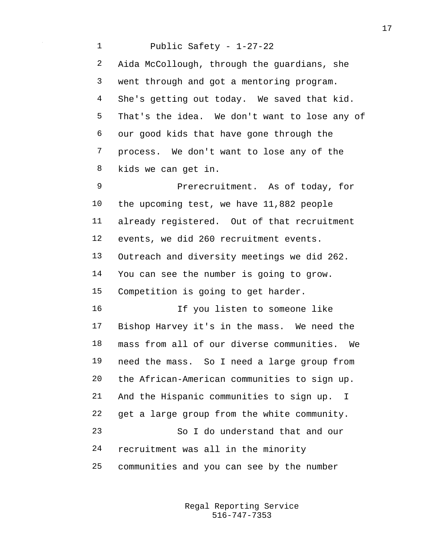Public Safety - 1-27-22 Aida McCollough, through the guardians, she went through and got a mentoring program. She's getting out today. We saved that kid. That's the idea. We don't want to lose any of our good kids that have gone through the process. We don't want to lose any of the kids we can get in. Prerecruitment. As of today, for the upcoming test, we have 11,882 people already registered. Out of that recruitment events, we did 260 recruitment events. Outreach and diversity meetings we did 262. You can see the number is going to grow. Competition is going to get harder. If you listen to someone like Bishop Harvey it's in the mass. We need the mass from all of our diverse communities. We need the mass. So I need a large group from the African-American communities to sign up. And the Hispanic communities to sign up. I get a large group from the white community. So I do understand that and our recruitment was all in the minority communities and you can see by the number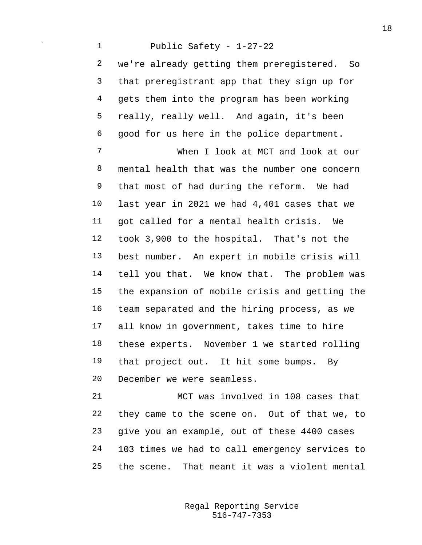Public Safety - 1-27-22 we're already getting them preregistered. So that preregistrant app that they sign up for gets them into the program has been working really, really well. And again, it's been good for us here in the police department. When I look at MCT and look at our mental health that was the number one concern that most of had during the reform. We had last year in 2021 we had 4,401 cases that we got called for a mental health crisis. We took 3,900 to the hospital. That's not the best number. An expert in mobile crisis will tell you that. We know that. The problem was the expansion of mobile crisis and getting the team separated and the hiring process, as we all know in government, takes time to hire these experts. November 1 we started rolling that project out. It hit some bumps. By December we were seamless.

 MCT was involved in 108 cases that they came to the scene on. Out of that we, to give you an example, out of these 4400 cases 103 times we had to call emergency services to the scene. That meant it was a violent mental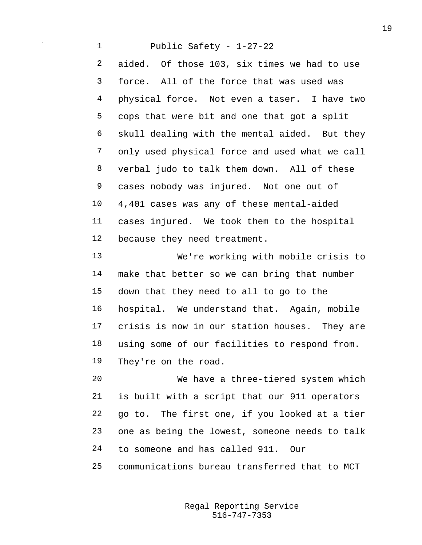Public Safety - 1-27-22 aided. Of those 103, six times we had to use force. All of the force that was used was physical force. Not even a taser. I have two cops that were bit and one that got a split skull dealing with the mental aided. But they only used physical force and used what we call verbal judo to talk them down. All of these cases nobody was injured. Not one out of 4,401 cases was any of these mental-aided cases injured. We took them to the hospital because they need treatment.

 We're working with mobile crisis to make that better so we can bring that number down that they need to all to go to the hospital. We understand that. Again, mobile crisis is now in our station houses. They are using some of our facilities to respond from. They're on the road.

 We have a three-tiered system which is built with a script that our 911 operators go to. The first one, if you looked at a tier one as being the lowest, someone needs to talk to someone and has called 911. Our

communications bureau transferred that to MCT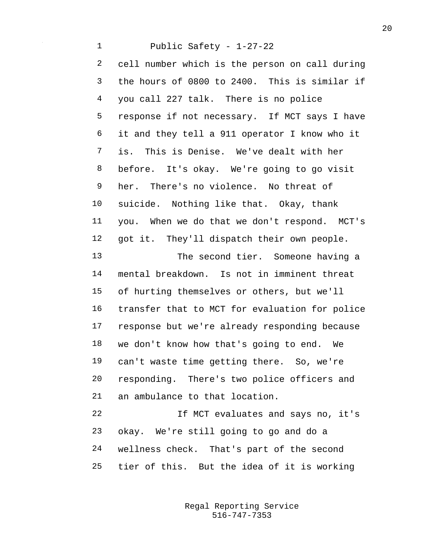Public Safety - 1-27-22 cell number which is the person on call during the hours of 0800 to 2400. This is similar if you call 227 talk. There is no police response if not necessary. If MCT says I have it and they tell a 911 operator I know who it is. This is Denise. We've dealt with her before. It's okay. We're going to go visit her. There's no violence. No threat of suicide. Nothing like that. Okay, thank you. When we do that we don't respond. MCT's got it. They'll dispatch their own people. 13 The second tier. Someone having a mental breakdown. Is not in imminent threat of hurting themselves or others, but we'll transfer that to MCT for evaluation for police response but we're already responding because we don't know how that's going to end. We can't waste time getting there. So, we're responding. There's two police officers and an ambulance to that location. If MCT evaluates and says no, it's okay. We're still going to go and do a wellness check. That's part of the second tier of this. But the idea of it is working

> 516-747-7353 Regal Reporting Service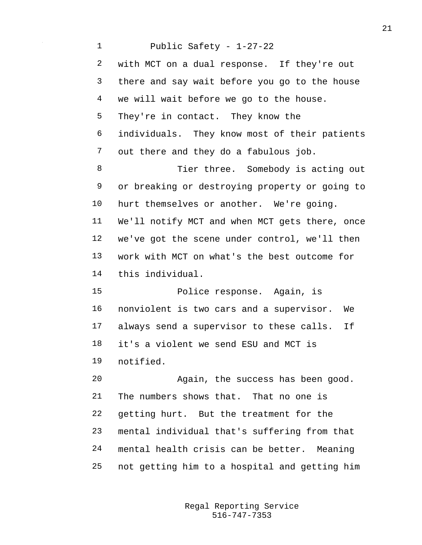Public Safety - 1-27-22 with MCT on a dual response. If they're out there and say wait before you go to the house we will wait before we go to the house. They're in contact. They know the individuals. They know most of their patients out there and they do a fabulous job. Tier three. Somebody is acting out or breaking or destroying property or going to hurt themselves or another. We're going. We'll notify MCT and when MCT gets there, once we've got the scene under control, we'll then work with MCT on what's the best outcome for this individual. Police response. Again, is nonviolent is two cars and a supervisor. We always send a supervisor to these calls. If it's a violent we send ESU and MCT is notified. Again, the success has been good. The numbers shows that. That no one is getting hurt. But the treatment for the mental individual that's suffering from that mental health crisis can be better. Meaning not getting him to a hospital and getting him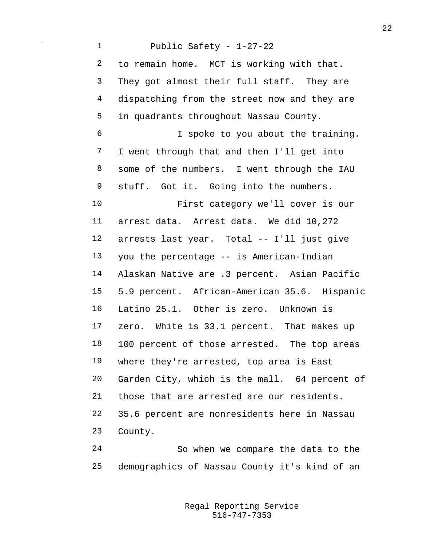Public Safety - 1-27-22 to remain home. MCT is working with that. They got almost their full staff. They are dispatching from the street now and they are in quadrants throughout Nassau County. I spoke to you about the training. I went through that and then I'll get into some of the numbers. I went through the IAU stuff. Got it. Going into the numbers. First category we'll cover is our arrest data. Arrest data. We did 10,272 arrests last year. Total -- I'll just give you the percentage -- is American-Indian Alaskan Native are .3 percent. Asian Pacific 5.9 percent. African-American 35.6. Hispanic Latino 25.1. Other is zero. Unknown is zero. White is 33.1 percent. That makes up 100 percent of those arrested. The top areas where they're arrested, top area is East Garden City, which is the mall. 64 percent of those that are arrested are our residents. 35.6 percent are nonresidents here in Nassau County.

 So when we compare the data to the demographics of Nassau County it's kind of an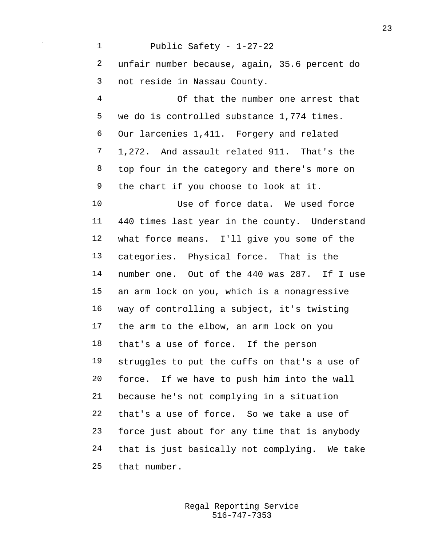Public Safety - 1-27-22 unfair number because, again, 35.6 percent do not reside in Nassau County. Of that the number one arrest that we do is controlled substance 1,774 times. Our larcenies 1,411. Forgery and related 1,272. And assault related 911. That's the top four in the category and there's more on the chart if you choose to look at it. Use of force data. We used force 440 times last year in the county. Understand what force means. I'll give you some of the categories. Physical force. That is the number one. Out of the 440 was 287. If I use an arm lock on you, which is a nonagressive way of controlling a subject, it's twisting the arm to the elbow, an arm lock on you that's a use of force. If the person struggles to put the cuffs on that's a use of force. If we have to push him into the wall because he's not complying in a situation that's a use of force. So we take a use of force just about for any time that is anybody that is just basically not complying. We take that number.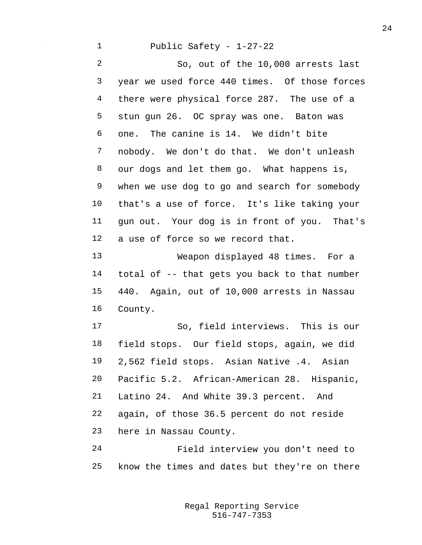Public Safety - 1-27-22

 So, out of the 10,000 arrests last year we used force 440 times. Of those forces there were physical force 287. The use of a stun gun 26. OC spray was one. Baton was one. The canine is 14. We didn't bite nobody. We don't do that. We don't unleash our dogs and let them go. What happens is, when we use dog to go and search for somebody that's a use of force. It's like taking your gun out. Your dog is in front of you. That's a use of force so we record that.

 Weapon displayed 48 times. For a total of -- that gets you back to that number 440. Again, out of 10,000 arrests in Nassau County.

 So, field interviews. This is our field stops. Our field stops, again, we did 2,562 field stops. Asian Native .4. Asian Pacific 5.2. African-American 28. Hispanic, Latino 24. And White 39.3 percent. And again, of those 36.5 percent do not reside here in Nassau County.

 Field interview you don't need to know the times and dates but they're on there

> 516-747-7353 Regal Reporting Service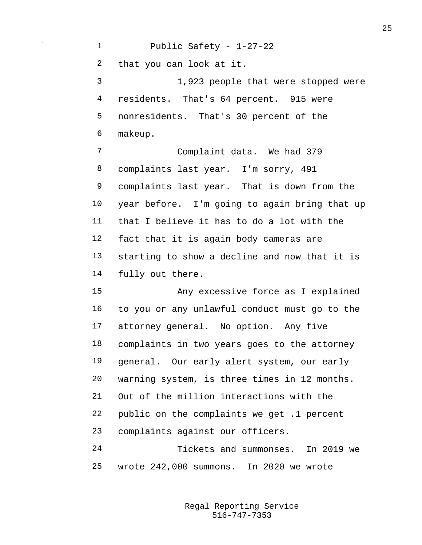Public Safety - 1-27-22 that you can look at it. 1,923 people that were stopped were residents. That's 64 percent. 915 were nonresidents. That's 30 percent of the makeup. Complaint data. We had 379 complaints last year. I'm sorry, 491 complaints last year. That is down from the year before. I'm going to again bring that up that I believe it has to do a lot with the fact that it is again body cameras are starting to show a decline and now that it is fully out there. Any excessive force as I explained to you or any unlawful conduct must go to the attorney general. No option. Any five complaints in two years goes to the attorney general. Our early alert system, our early warning system, is three times in 12 months. Out of the million interactions with the public on the complaints we get .1 percent complaints against our officers. Tickets and summonses. In 2019 we wrote 242,000 summons. In 2020 we wrote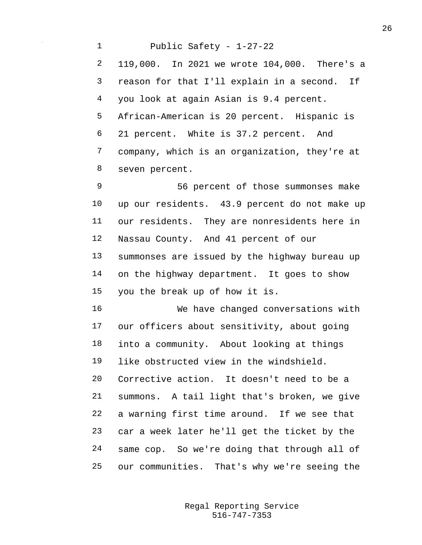Public Safety - 1-27-22 119,000. In 2021 we wrote 104,000. There's a reason for that I'll explain in a second. If you look at again Asian is 9.4 percent. African-American is 20 percent. Hispanic is 21 percent. White is 37.2 percent. And company, which is an organization, they're at seven percent. 56 percent of those summonses make

 up our residents. 43.9 percent do not make up our residents. They are nonresidents here in Nassau County. And 41 percent of our summonses are issued by the highway bureau up on the highway department. It goes to show you the break up of how it is.

 We have changed conversations with our officers about sensitivity, about going into a community. About looking at things like obstructed view in the windshield. Corrective action. It doesn't need to be a summons. A tail light that's broken, we give a warning first time around. If we see that car a week later he'll get the ticket by the same cop. So we're doing that through all of our communities. That's why we're seeing the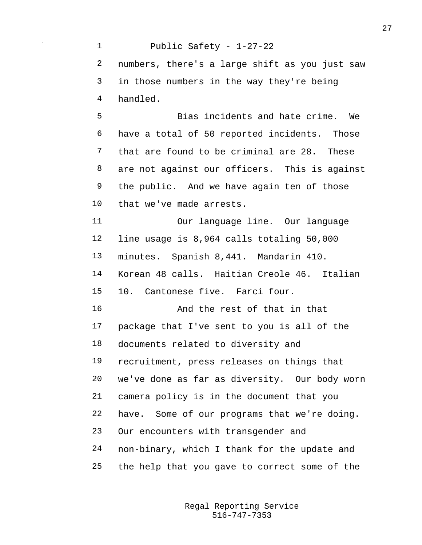Public Safety - 1-27-22 numbers, there's a large shift as you just saw in those numbers in the way they're being handled. Bias incidents and hate crime. We have a total of 50 reported incidents. Those that are found to be criminal are 28. These are not against our officers. This is against the public. And we have again ten of those that we've made arrests. Our language line. Our language line usage is 8,964 calls totaling 50,000 minutes. Spanish 8,441. Mandarin 410. Korean 48 calls. Haitian Creole 46. Italian 10. Cantonese five. Farci four. And the rest of that in that package that I've sent to you is all of the documents related to diversity and recruitment, press releases on things that we've done as far as diversity. Our body worn camera policy is in the document that you have. Some of our programs that we're doing. Our encounters with transgender and non-binary, which I thank for the update and the help that you gave to correct some of the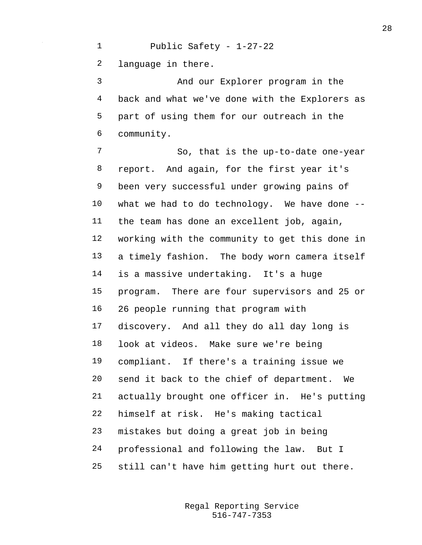Public Safety - 1-27-22 language in there. And our Explorer program in the back and what we've done with the Explorers as part of using them for our outreach in the community. So, that is the up-to-date one-year report. And again, for the first year it's been very successful under growing pains of what we had to do technology. We have done -- the team has done an excellent job, again, working with the community to get this done in a timely fashion. The body worn camera itself is a massive undertaking. It's a huge program. There are four supervisors and 25 or 26 people running that program with discovery. And all they do all day long is look at videos. Make sure we're being compliant. If there's a training issue we send it back to the chief of department. We

> 516-747-7353 Regal Reporting Service

actually brought one officer in. He's putting

himself at risk. He's making tactical

mistakes but doing a great job in being

professional and following the law. But I

still can't have him getting hurt out there.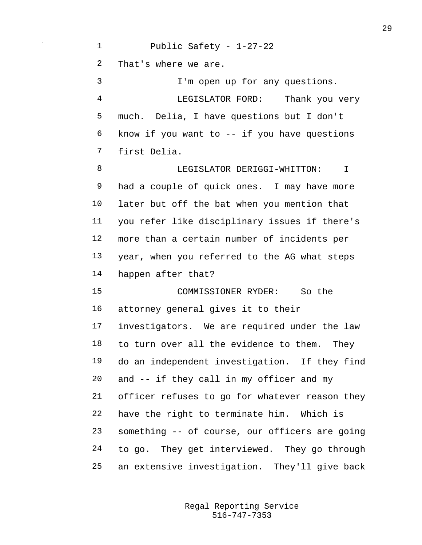Public Safety - 1-27-22 That's where we are. I'm open up for any questions. LEGISLATOR FORD: Thank you very much. Delia, I have questions but I don't know if you want to -- if you have questions first Delia. **BELLEBERGIST DERIGGI-WHITTON:** T had a couple of quick ones. I may have more later but off the bat when you mention that you refer like disciplinary issues if there's more than a certain number of incidents per year, when you referred to the AG what steps happen after that? COMMISSIONER RYDER: So the attorney general gives it to their investigators. We are required under the law to turn over all the evidence to them. They do an independent investigation. If they find and -- if they call in my officer and my officer refuses to go for whatever reason they have the right to terminate him. Which is something -- of course, our officers are going to go. They get interviewed. They go through an extensive investigation. They'll give back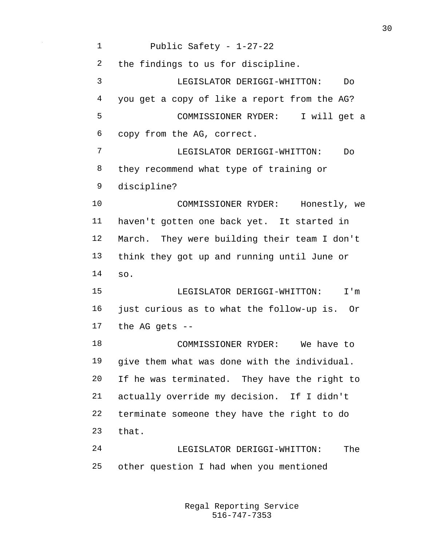Public Safety - 1-27-22 the findings to us for discipline. LEGISLATOR DERIGGI-WHITTON: Do you get a copy of like a report from the AG? COMMISSIONER RYDER: I will get a copy from the AG, correct. LEGISLATOR DERIGGI-WHITTON: Do they recommend what type of training or discipline? COMMISSIONER RYDER: Honestly, we haven't gotten one back yet. It started in March. They were building their team I don't think they got up and running until June or so. LEGISLATOR DERIGGI-WHITTON: I'm just curious as to what the follow-up is. Or the AG gets -- COMMISSIONER RYDER: We have to give them what was done with the individual. If he was terminated. They have the right to actually override my decision. If I didn't terminate someone they have the right to do that. LEGISLATOR DERIGGI-WHITTON: The other question I had when you mentioned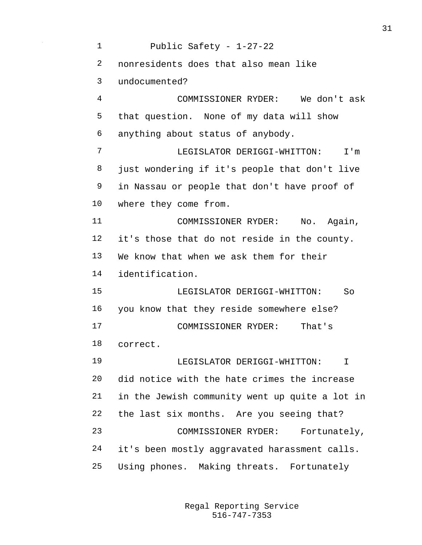Public Safety - 1-27-22 nonresidents does that also mean like undocumented? COMMISSIONER RYDER: We don't ask that question. None of my data will show anything about status of anybody. LEGISLATOR DERIGGI-WHITTON: I'm just wondering if it's people that don't live in Nassau or people that don't have proof of where they come from. 11 COMMISSIONER RYDER: No. Again, it's those that do not reside in the county. We know that when we ask them for their identification. LEGISLATOR DERIGGI-WHITTON: So you know that they reside somewhere else? COMMISSIONER RYDER: That's correct. LEGISLATOR DERIGGI-WHITTON: I did notice with the hate crimes the increase in the Jewish community went up quite a lot in the last six months. Are you seeing that? COMMISSIONER RYDER: Fortunately, it's been mostly aggravated harassment calls. Using phones. Making threats. Fortunately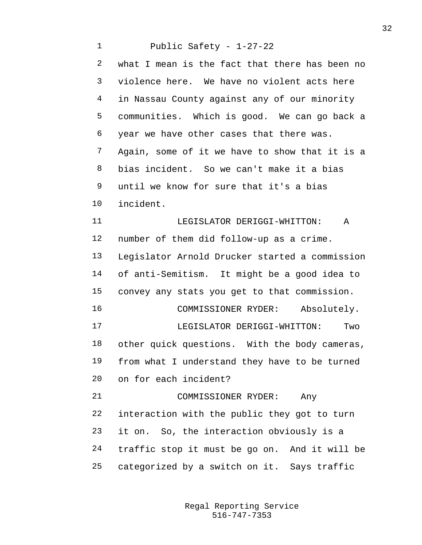Public Safety - 1-27-22 what I mean is the fact that there has been no violence here. We have no violent acts here in Nassau County against any of our minority communities. Which is good. We can go back a year we have other cases that there was. Again, some of it we have to show that it is a bias incident. So we can't make it a bias until we know for sure that it's a bias incident. **ILEGISLATOR DERIGGI-WHITTON:** A number of them did follow-up as a crime. Legislator Arnold Drucker started a commission of anti-Semitism. It might be a good idea to convey any stats you get to that commission. COMMISSIONER RYDER: Absolutely. LEGISLATOR DERIGGI-WHITTON: Two other quick questions. With the body cameras, from what I understand they have to be turned on for each incident? COMMISSIONER RYDER: Any interaction with the public they got to turn it on. So, the interaction obviously is a traffic stop it must be go on. And it will be categorized by a switch on it. Says traffic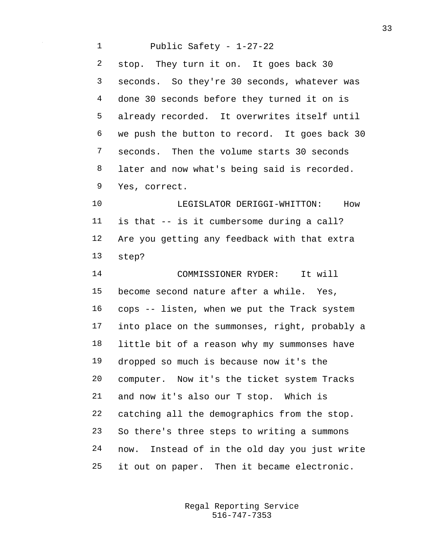Public Safety - 1-27-22 stop. They turn it on. It goes back 30 seconds. So they're 30 seconds, whatever was done 30 seconds before they turned it on is already recorded. It overwrites itself until we push the button to record. It goes back 30 seconds. Then the volume starts 30 seconds later and now what's being said is recorded. Yes, correct. LEGISLATOR DERIGGI-WHITTON: How is that -- is it cumbersome during a call? Are you getting any feedback with that extra step? COMMISSIONER RYDER: It will become second nature after a while. Yes, cops -- listen, when we put the Track system into place on the summonses, right, probably a little bit of a reason why my summonses have dropped so much is because now it's the computer. Now it's the ticket system Tracks and now it's also our T stop. Which is catching all the demographics from the stop. So there's three steps to writing a summons now. Instead of in the old day you just write it out on paper. Then it became electronic.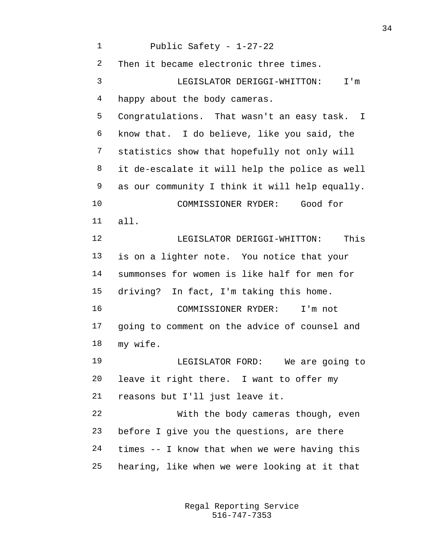| $\mathbf 1$ | Public Safety - 1-27-22                        |
|-------------|------------------------------------------------|
| 2           | Then it became electronic three times.         |
| 3           | LEGISLATOR DERIGGI-WHITTON: I'm                |
| 4           | happy about the body cameras.                  |
| 5           | Congratulations. That wasn't an easy task. I   |
| 6           | know that. I do believe, like you said, the    |
| 7           | statistics show that hopefully not only will   |
| 8           | it de-escalate it will help the police as well |
| 9           | as our community I think it will help equally. |
| 10          | COMMISSIONER RYDER: Good for                   |
| 11          | all.                                           |
| 12          | LEGISLATOR DERIGGI-WHITTON:<br>This            |
| 13          | is on a lighter note. You notice that your     |
| 14          | summonses for women is like half for men for   |
| 15          | driving? In fact, I'm taking this home.        |
| 16          | COMMISSIONER RYDER: I'm not                    |
| 17          | going to comment on the advice of counsel and  |
| 18          | my wife.                                       |
| 19          | LEGISLATOR FORD: We are going to               |
| 20          | leave it right there. I want to offer my       |
| 21          | reasons but I'll just leave it.                |
| 22          | With the body cameras though, even             |
| 23          | before I give you the questions, are there     |
| 24          | times -- I know that when we were having this  |
| 25          | hearing, like when we were looking at it that  |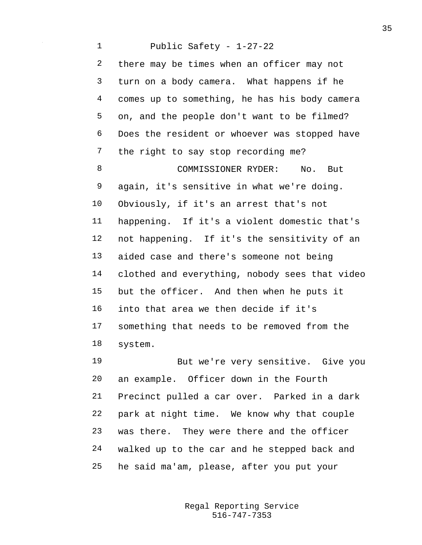Public Safety - 1-27-22 there may be times when an officer may not turn on a body camera. What happens if he comes up to something, he has his body camera on, and the people don't want to be filmed? Does the resident or whoever was stopped have the right to say stop recording me? COMMISSIONER RYDER: No. But again, it's sensitive in what we're doing. Obviously, if it's an arrest that's not happening. If it's a violent domestic that's not happening. If it's the sensitivity of an aided case and there's someone not being clothed and everything, nobody sees that video but the officer. And then when he puts it into that area we then decide if it's something that needs to be removed from the system. But we're very sensitive. Give you

 an example. Officer down in the Fourth Precinct pulled a car over. Parked in a dark park at night time. We know why that couple was there. They were there and the officer walked up to the car and he stepped back and he said ma'am, please, after you put your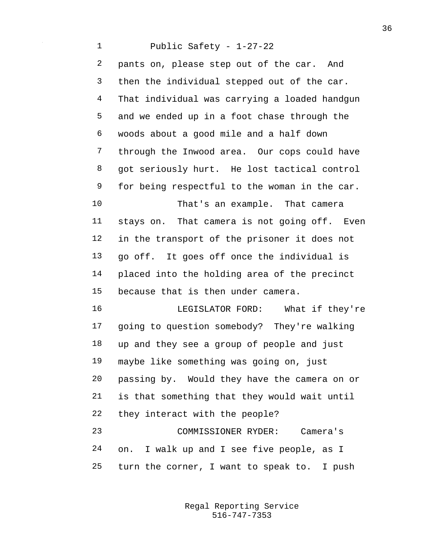Public Safety - 1-27-22 pants on, please step out of the car. And then the individual stepped out of the car. That individual was carrying a loaded handgun and we ended up in a foot chase through the woods about a good mile and a half down through the Inwood area. Our cops could have got seriously hurt. He lost tactical control for being respectful to the woman in the car. That's an example. That camera stays on. That camera is not going off. Even in the transport of the prisoner it does not go off. It goes off once the individual is placed into the holding area of the precinct because that is then under camera. LEGISLATOR FORD: What if they're going to question somebody? They're walking up and they see a group of people and just maybe like something was going on, just passing by. Would they have the camera on or is that something that they would wait until they interact with the people? COMMISSIONER RYDER: Camera's on. I walk up and I see five people, as I turn the corner, I want to speak to. I push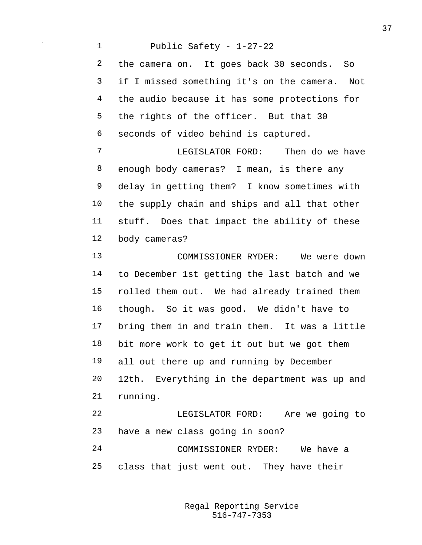Public Safety - 1-27-22 the camera on. It goes back 30 seconds. So if I missed something it's on the camera. Not the audio because it has some protections for the rights of the officer. But that 30 seconds of video behind is captured. LEGISLATOR FORD: Then do we have enough body cameras? I mean, is there any delay in getting them? I know sometimes with the supply chain and ships and all that other stuff. Does that impact the ability of these body cameras? COMMISSIONER RYDER: We were down to December 1st getting the last batch and we rolled them out. We had already trained them though. So it was good. We didn't have to bring them in and train them. It was a little bit more work to get it out but we got them all out there up and running by December 12th. Everything in the department was up and running. LEGISLATOR FORD: Are we going to have a new class going in soon? COMMISSIONER RYDER: We have a class that just went out. They have their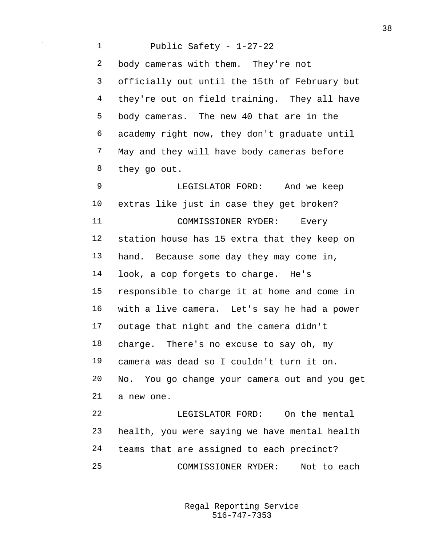Public Safety - 1-27-22 body cameras with them. They're not officially out until the 15th of February but they're out on field training. They all have body cameras. The new 40 that are in the academy right now, they don't graduate until May and they will have body cameras before they go out. LEGISLATOR FORD: And we keep extras like just in case they get broken? COMMISSIONER RYDER: Every station house has 15 extra that they keep on hand. Because some day they may come in, look, a cop forgets to charge. He's responsible to charge it at home and come in with a live camera. Let's say he had a power outage that night and the camera didn't charge. There's no excuse to say oh, my camera was dead so I couldn't turn it on. No. You go change your camera out and you get a new one. LEGISLATOR FORD: On the mental health, you were saying we have mental health teams that are assigned to each precinct? COMMISSIONER RYDER: Not to each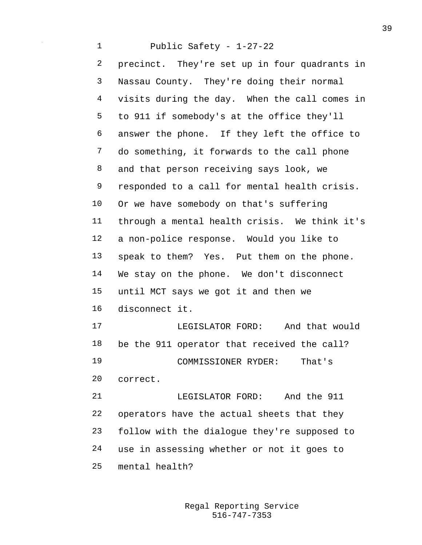Public Safety - 1-27-22 precinct. They're set up in four quadrants in Nassau County. They're doing their normal visits during the day. When the call comes in to 911 if somebody's at the office they'll answer the phone. If they left the office to do something, it forwards to the call phone and that person receiving says look, we responded to a call for mental health crisis. Or we have somebody on that's suffering through a mental health crisis. We think it's a non-police response. Would you like to speak to them? Yes. Put them on the phone. We stay on the phone. We don't disconnect until MCT says we got it and then we disconnect it. LEGISLATOR FORD: And that would be the 911 operator that received the call? COMMISSIONER RYDER: That's correct. LEGISLATOR FORD: And the 911 operators have the actual sheets that they follow with the dialogue they're supposed to use in assessing whether or not it goes to mental health?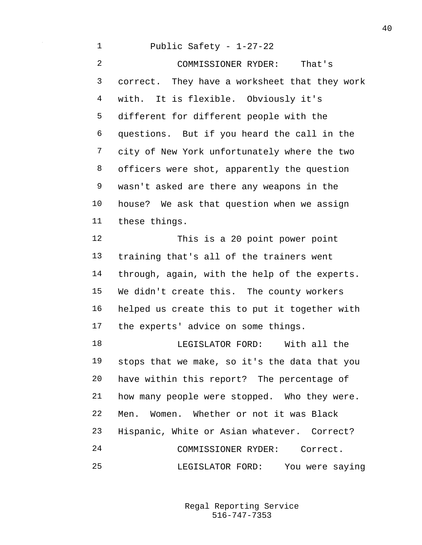Public Safety - 1-27-22 COMMISSIONER RYDER: That's correct. They have a worksheet that they work with. It is flexible. Obviously it's different for different people with the questions. But if you heard the call in the city of New York unfortunately where the two officers were shot, apparently the question wasn't asked are there any weapons in the house? We ask that question when we assign these things. This is a 20 point power point training that's all of the trainers went through, again, with the help of the experts. We didn't create this. The county workers helped us create this to put it together with the experts' advice on some things. 18 LEGISLATOR FORD: With all the stops that we make, so it's the data that you have within this report? The percentage of how many people were stopped. Who they were. Men. Women. Whether or not it was Black Hispanic, White or Asian whatever. Correct? COMMISSIONER RYDER: Correct. LEGISLATOR FORD: You were saying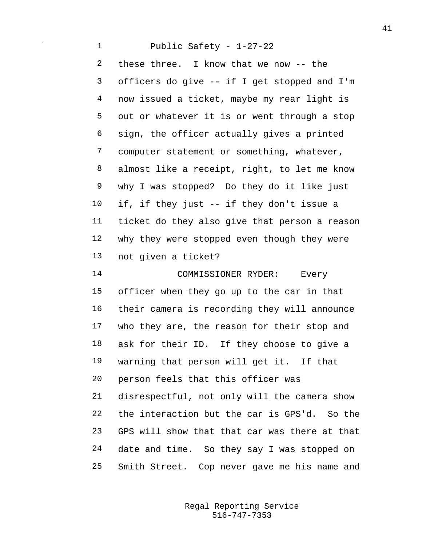Public Safety - 1-27-22 these three. I know that we now -- the officers do give -- if I get stopped and I'm now issued a ticket, maybe my rear light is out or whatever it is or went through a stop sign, the officer actually gives a printed computer statement or something, whatever, almost like a receipt, right, to let me know why I was stopped? Do they do it like just if, if they just -- if they don't issue a ticket do they also give that person a reason why they were stopped even though they were not given a ticket? COMMISSIONER RYDER: Every officer when they go up to the car in that their camera is recording they will announce who they are, the reason for their stop and ask for their ID. If they choose to give a warning that person will get it. If that person feels that this officer was disrespectful, not only will the camera show the interaction but the car is GPS'd. So the GPS will show that that car was there at that date and time. So they say I was stopped on Smith Street. Cop never gave me his name and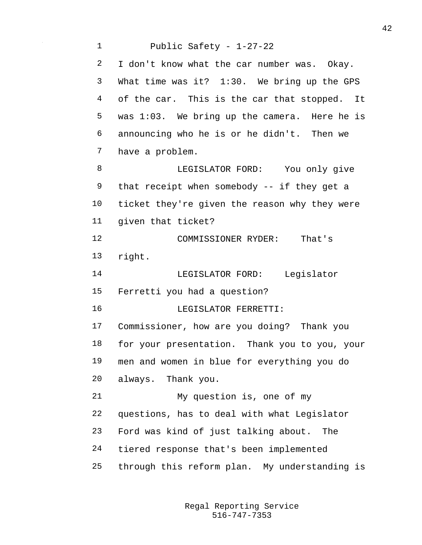Public Safety - 1-27-22 I don't know what the car number was. Okay. What time was it? 1:30. We bring up the GPS of the car. This is the car that stopped. It was 1:03. We bring up the camera. Here he is announcing who he is or he didn't. Then we have a problem. 8 LEGISLATOR FORD: You only give that receipt when somebody -- if they get a ticket they're given the reason why they were given that ticket? COMMISSIONER RYDER: That's right. LEGISLATOR FORD: Legislator Ferretti you had a question? LEGISLATOR FERRETTI: Commissioner, how are you doing? Thank you for your presentation. Thank you to you, your men and women in blue for everything you do always. Thank you. My question is, one of my questions, has to deal with what Legislator Ford was kind of just talking about. The tiered response that's been implemented through this reform plan. My understanding is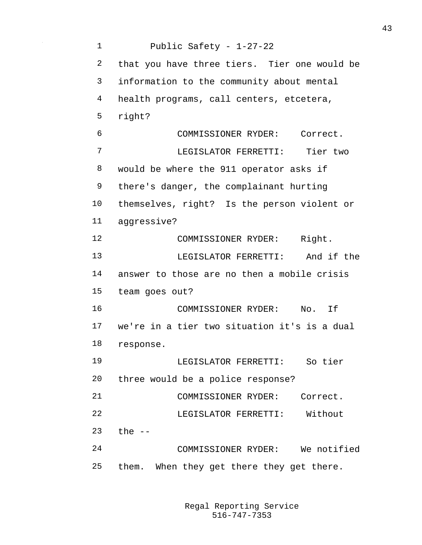Public Safety - 1-27-22 that you have three tiers. Tier one would be information to the community about mental health programs, call centers, etcetera, right? COMMISSIONER RYDER: Correct. LEGISLATOR FERRETTI: Tier two would be where the 911 operator asks if there's danger, the complainant hurting themselves, right? Is the person violent or aggressive? 12 COMMISSIONER RYDER: Right. LEGISLATOR FERRETTI: And if the answer to those are no then a mobile crisis team goes out? COMMISSIONER RYDER: No. If we're in a tier two situation it's is a dual response. LEGISLATOR FERRETTI: So tier three would be a police response? COMMISSIONER RYDER: Correct. LEGISLATOR FERRETTI: Without the -- COMMISSIONER RYDER: We notified them. When they get there they get there.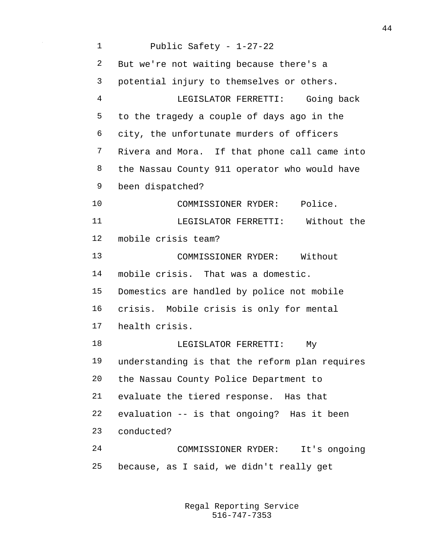Public Safety - 1-27-22 But we're not waiting because there's a potential injury to themselves or others. LEGISLATOR FERRETTI: Going back to the tragedy a couple of days ago in the city, the unfortunate murders of officers Rivera and Mora. If that phone call came into the Nassau County 911 operator who would have been dispatched? COMMISSIONER RYDER: Police. LEGISLATOR FERRETTI: Without the mobile crisis team? COMMISSIONER RYDER: Without mobile crisis. That was a domestic. Domestics are handled by police not mobile crisis. Mobile crisis is only for mental health crisis. 18 LEGISLATOR FERRETTI: My understanding is that the reform plan requires the Nassau County Police Department to evaluate the tiered response. Has that evaluation -- is that ongoing? Has it been conducted? COMMISSIONER RYDER: It's ongoing because, as I said, we didn't really get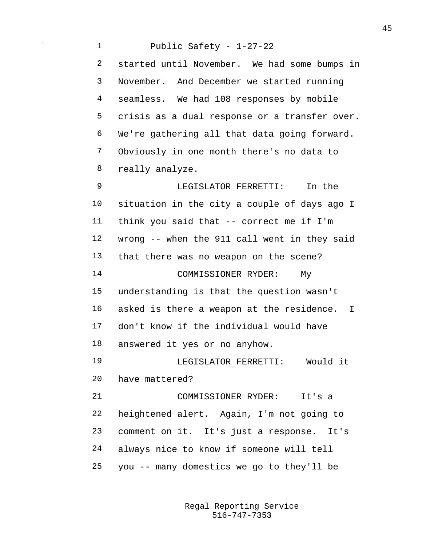Public Safety - 1-27-22 started until November. We had some bumps in November. And December we started running seamless. We had 108 responses by mobile crisis as a dual response or a transfer over. We're gathering all that data going forward. Obviously in one month there's no data to really analyze. LEGISLATOR FERRETTI: In the situation in the city a couple of days ago I think you said that -- correct me if I'm wrong -- when the 911 call went in they said that there was no weapon on the scene? COMMISSIONER RYDER: My understanding is that the question wasn't asked is there a weapon at the residence. I don't know if the individual would have answered it yes or no anyhow. LEGISLATOR FERRETTI: Would it have mattered? COMMISSIONER RYDER: It's a heightened alert. Again, I'm not going to comment on it. It's just a response. It's always nice to know if someone will tell you -- many domestics we go to they'll be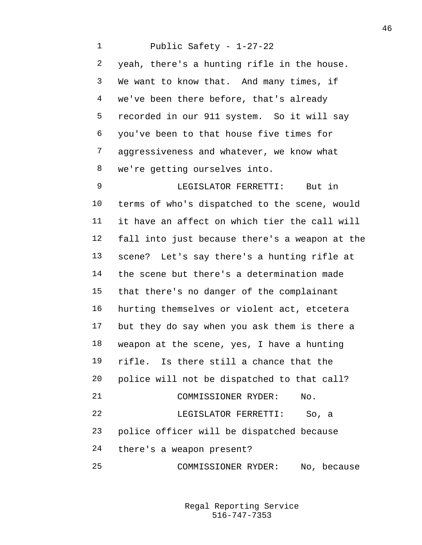Public Safety - 1-27-22 yeah, there's a hunting rifle in the house. We want to know that. And many times, if we've been there before, that's already recorded in our 911 system. So it will say you've been to that house five times for aggressiveness and whatever, we know what we're getting ourselves into. LEGISLATOR FERRETTI: But in terms of who's dispatched to the scene, would it have an affect on which tier the call will fall into just because there's a weapon at the scene? Let's say there's a hunting rifle at the scene but there's a determination made that there's no danger of the complainant hurting themselves or violent act, etcetera but they do say when you ask them is there a weapon at the scene, yes, I have a hunting rifle. Is there still a chance that the police will not be dispatched to that call? COMMISSIONER RYDER: No. LEGISLATOR FERRETTI: So, a police officer will be dispatched because there's a weapon present? COMMISSIONER RYDER: No, because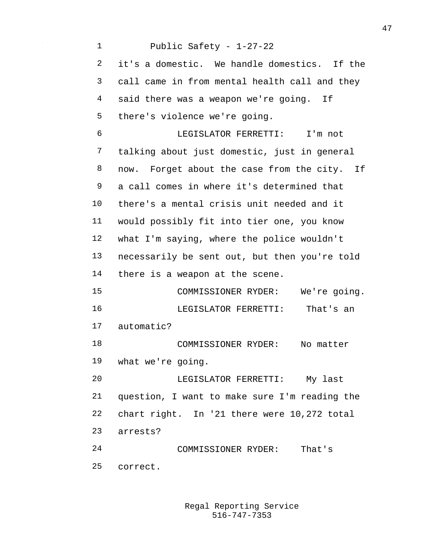Public Safety - 1-27-22 it's a domestic. We handle domestics. If the call came in from mental health call and they said there was a weapon we're going. If there's violence we're going. LEGISLATOR FERRETTI: I'm not talking about just domestic, just in general now. Forget about the case from the city. If a call comes in where it's determined that there's a mental crisis unit needed and it would possibly fit into tier one, you know what I'm saying, where the police wouldn't necessarily be sent out, but then you're told there is a weapon at the scene. COMMISSIONER RYDER: We're going. LEGISLATOR FERRETTI: That's an automatic? COMMISSIONER RYDER: No matter what we're going. LEGISLATOR FERRETTI: My last question, I want to make sure I'm reading the chart right. In '21 there were 10,272 total arrests? COMMISSIONER RYDER: That's correct.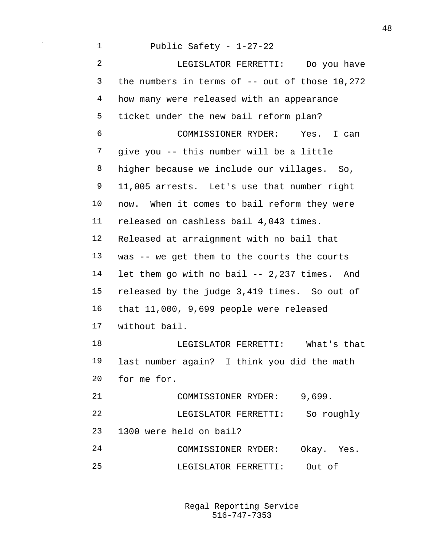Public Safety - 1-27-22 LEGISLATOR FERRETTI: Do you have the numbers in terms of -- out of those 10,272 how many were released with an appearance ticket under the new bail reform plan? COMMISSIONER RYDER: Yes. I can give you -- this number will be a little higher because we include our villages. So, 11,005 arrests. Let's use that number right now. When it comes to bail reform they were released on cashless bail 4,043 times. Released at arraignment with no bail that was -- we get them to the courts the courts let them go with no bail -- 2,237 times. And released by the judge 3,419 times. So out of that 11,000, 9,699 people were released without bail. LEGISLATOR FERRETTI: What's that last number again? I think you did the math for me for. COMMISSIONER RYDER: 9,699. LEGISLATOR FERRETTI: So roughly 1300 were held on bail? COMMISSIONER RYDER: Okay. Yes. LEGISLATOR FERRETTI: Out of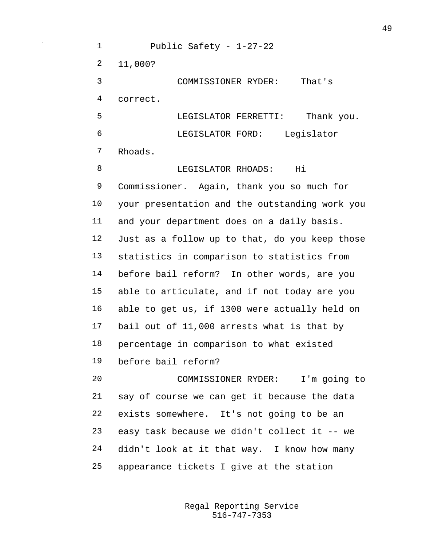Public Safety - 1-27-22 11,000? COMMISSIONER RYDER: That's correct. LEGISLATOR FERRETTI: Thank you. LEGISLATOR FORD: Legislator Rhoads. **I.E.GISLATOR RHOADS:** Hi Commissioner. Again, thank you so much for your presentation and the outstanding work you and your department does on a daily basis. Just as a follow up to that, do you keep those statistics in comparison to statistics from before bail reform? In other words, are you able to articulate, and if not today are you able to get us, if 1300 were actually held on bail out of 11,000 arrests what is that by percentage in comparison to what existed before bail reform? COMMISSIONER RYDER: I'm going to say of course we can get it because the data exists somewhere. It's not going to be an easy task because we didn't collect it -- we didn't look at it that way. I know how many appearance tickets I give at the station

> 516-747-7353 Regal Reporting Service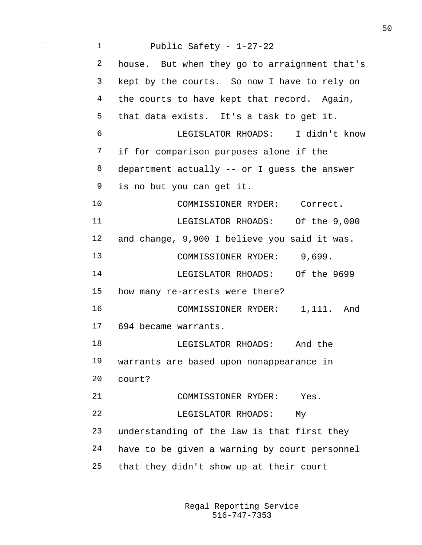Public Safety - 1-27-22 house. But when they go to arraignment that's kept by the courts. So now I have to rely on the courts to have kept that record. Again, that data exists. It's a task to get it. LEGISLATOR RHOADS: I didn't know if for comparison purposes alone if the department actually -- or I guess the answer is no but you can get it. 10 COMMISSIONER RYDER: Correct. LEGISLATOR RHOADS: Of the 9,000 and change, 9,900 I believe you said it was. 13 COMMISSIONER RYDER: 9,699. LEGISLATOR RHOADS: Of the 9699 how many re-arrests were there? 16 COMMISSIONER RYDER: 1,111. And 694 became warrants. LEGISLATOR RHOADS: And the warrants are based upon nonappearance in court? COMMISSIONER RYDER: Yes. LEGISLATOR RHOADS: My understanding of the law is that first they have to be given a warning by court personnel that they didn't show up at their court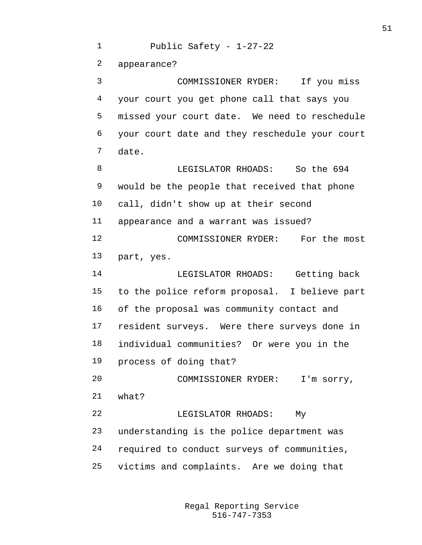Public Safety - 1-27-22 appearance? COMMISSIONER RYDER: If you miss your court you get phone call that says you missed your court date. We need to reschedule your court date and they reschedule your court date. **B LEGISLATOR RHOADS:** So the 694 would be the people that received that phone call, didn't show up at their second appearance and a warrant was issued? COMMISSIONER RYDER: For the most part, yes. LEGISLATOR RHOADS: Getting back to the police reform proposal. I believe part of the proposal was community contact and resident surveys. Were there surveys done in individual communities? Or were you in the process of doing that? COMMISSIONER RYDER: I'm sorry, what? LEGISLATOR RHOADS: My understanding is the police department was required to conduct surveys of communities, victims and complaints. Are we doing that

> 516-747-7353 Regal Reporting Service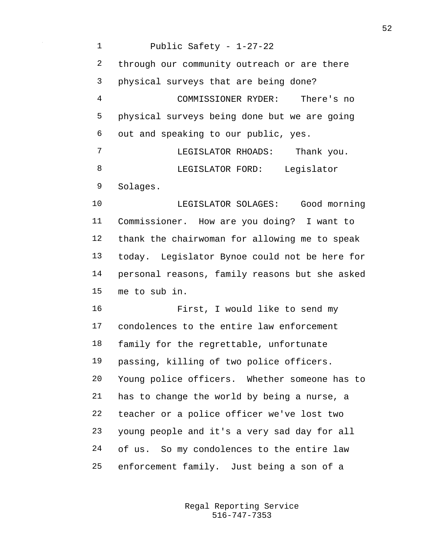Public Safety - 1-27-22 through our community outreach or are there physical surveys that are being done? COMMISSIONER RYDER: There's no physical surveys being done but we are going out and speaking to our public, yes. LEGISLATOR RHOADS: Thank you. LEGISLATOR FORD: Legislator Solages. LEGISLATOR SOLAGES: Good morning Commissioner. How are you doing? I want to thank the chairwoman for allowing me to speak today. Legislator Bynoe could not be here for personal reasons, family reasons but she asked me to sub in. First, I would like to send my condolences to the entire law enforcement family for the regrettable, unfortunate passing, killing of two police officers. Young police officers. Whether someone has to has to change the world by being a nurse, a teacher or a police officer we've lost two young people and it's a very sad day for all of us. So my condolences to the entire law enforcement family. Just being a son of a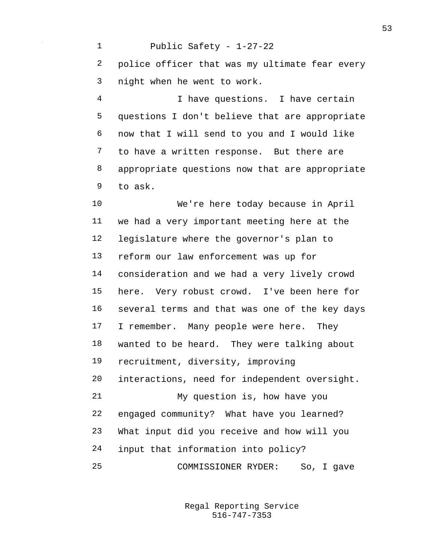Public Safety - 1-27-22 police officer that was my ultimate fear every night when he went to work. I have questions. I have certain questions I don't believe that are appropriate now that I will send to you and I would like to have a written response. But there are appropriate questions now that are appropriate to ask. We're here today because in April we had a very important meeting here at the legislature where the governor's plan to reform our law enforcement was up for consideration and we had a very lively crowd here. Very robust crowd. I've been here for several terms and that was one of the key days 17 I remember. Many people were here. They wanted to be heard. They were talking about recruitment, diversity, improving interactions, need for independent oversight. My question is, how have you engaged community? What have you learned? What input did you receive and how will you

input that information into policy?

COMMISSIONER RYDER: So, I gave

516-747-7353 Regal Reporting Service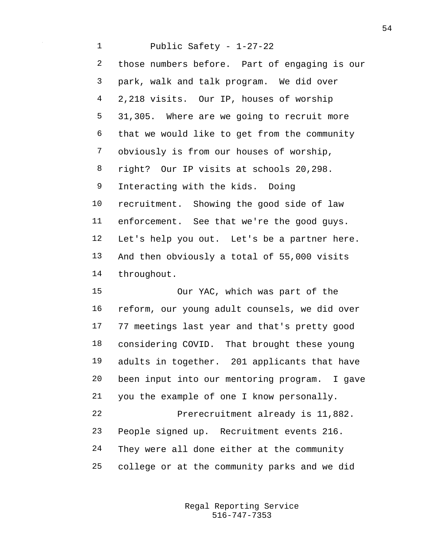Public Safety - 1-27-22 those numbers before. Part of engaging is our park, walk and talk program. We did over 2,218 visits. Our IP, houses of worship 31,305. Where are we going to recruit more that we would like to get from the community obviously is from our houses of worship, right? Our IP visits at schools 20,298. Interacting with the kids. Doing recruitment. Showing the good side of law enforcement. See that we're the good guys. Let's help you out. Let's be a partner here. And then obviously a total of 55,000 visits throughout. Our YAC, which was part of the

 reform, our young adult counsels, we did over 77 meetings last year and that's pretty good considering COVID. That brought these young adults in together. 201 applicants that have been input into our mentoring program. I gave you the example of one I know personally. Prerecruitment already is 11,882. People signed up. Recruitment events 216. They were all done either at the community college or at the community parks and we did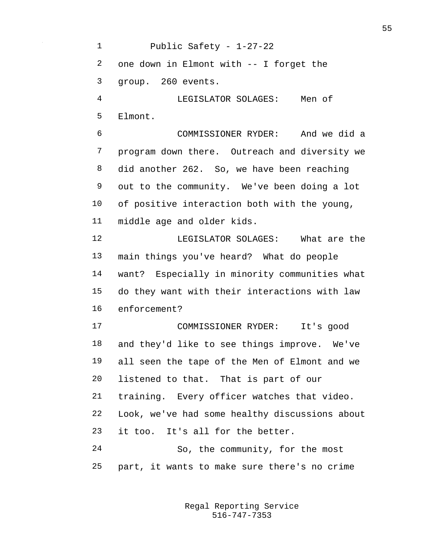Public Safety - 1-27-22 one down in Elmont with -- I forget the group. 260 events. LEGISLATOR SOLAGES: Men of Elmont. COMMISSIONER RYDER: And we did a program down there. Outreach and diversity we did another 262. So, we have been reaching out to the community. We've been doing a lot of positive interaction both with the young, middle age and older kids. LEGISLATOR SOLAGES: What are the main things you've heard? What do people want? Especially in minority communities what do they want with their interactions with law enforcement? COMMISSIONER RYDER: It's good and they'd like to see things improve. We've all seen the tape of the Men of Elmont and we listened to that. That is part of our training. Every officer watches that video. Look, we've had some healthy discussions about it too. It's all for the better. So, the community, for the most part, it wants to make sure there's no crime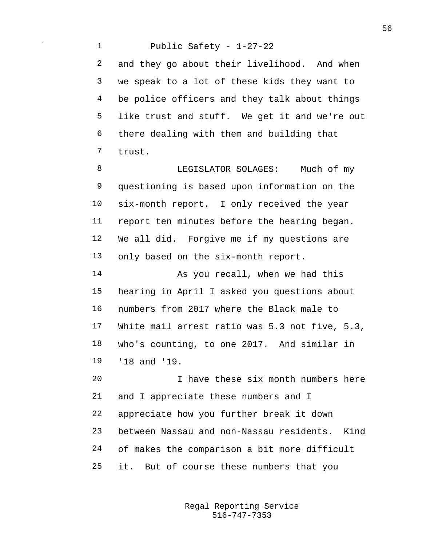Public Safety - 1-27-22 and they go about their livelihood. And when we speak to a lot of these kids they want to be police officers and they talk about things like trust and stuff. We get it and we're out there dealing with them and building that trust.

8 LEGISLATOR SOLAGES: Much of my questioning is based upon information on the six-month report. I only received the year report ten minutes before the hearing began. We all did. Forgive me if my questions are only based on the six-month report.

 As you recall, when we had this hearing in April I asked you questions about numbers from 2017 where the Black male to White mail arrest ratio was 5.3 not five, 5.3, who's counting, to one 2017. And similar in '18 and '19.

 I have these six month numbers here and I appreciate these numbers and I appreciate how you further break it down between Nassau and non-Nassau residents. Kind of makes the comparison a bit more difficult it. But of course these numbers that you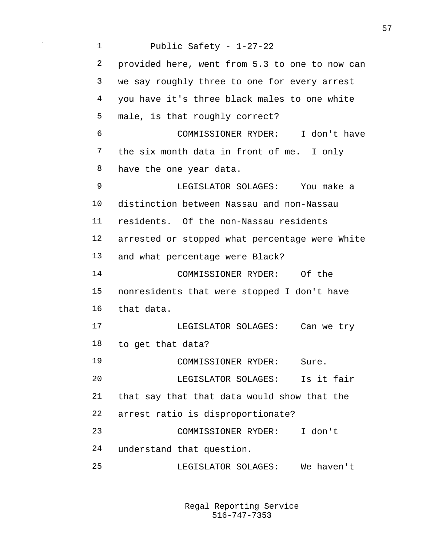Public Safety - 1-27-22 provided here, went from 5.3 to one to now can we say roughly three to one for every arrest you have it's three black males to one white male, is that roughly correct? COMMISSIONER RYDER: I don't have the six month data in front of me. I only have the one year data. LEGISLATOR SOLAGES: You make a distinction between Nassau and non-Nassau residents. Of the non-Nassau residents arrested or stopped what percentage were White and what percentage were Black? COMMISSIONER RYDER: Of the nonresidents that were stopped I don't have that data. LEGISLATOR SOLAGES: Can we try to get that data? COMMISSIONER RYDER: Sure. LEGISLATOR SOLAGES: Is it fair that say that that data would show that the arrest ratio is disproportionate? COMMISSIONER RYDER: I don't understand that question. LEGISLATOR SOLAGES: We haven't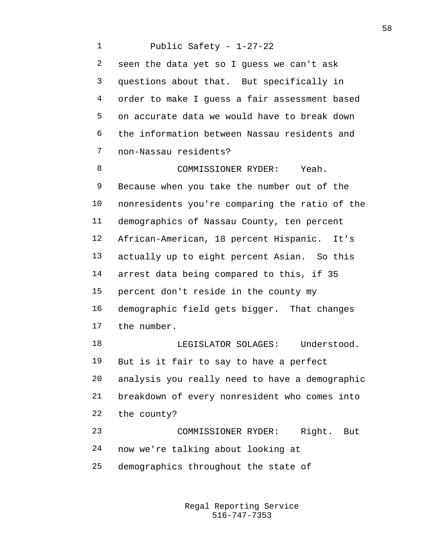Public Safety - 1-27-22 seen the data yet so I guess we can't ask questions about that. But specifically in order to make I guess a fair assessment based on accurate data we would have to break down the information between Nassau residents and non-Nassau residents? COMMISSIONER RYDER: Yeah. Because when you take the number out of the nonresidents you're comparing the ratio of the demographics of Nassau County, ten percent African-American, 18 percent Hispanic. It's actually up to eight percent Asian. So this arrest data being compared to this, if 35 percent don't reside in the county my demographic field gets bigger. That changes the number. LEGISLATOR SOLAGES: Understood. But is it fair to say to have a perfect analysis you really need to have a demographic breakdown of every nonresident who comes into

the county?

 COMMISSIONER RYDER: Right. But now we're talking about looking at

demographics throughout the state of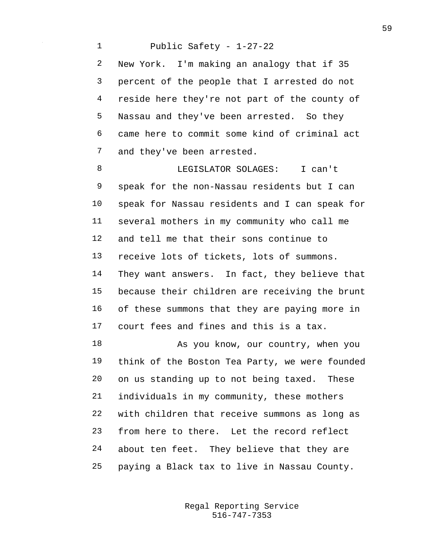Public Safety - 1-27-22 New York. I'm making an analogy that if 35 percent of the people that I arrested do not reside here they're not part of the county of Nassau and they've been arrested. So they came here to commit some kind of criminal act and they've been arrested.

 LEGISLATOR SOLAGES: I can't speak for the non-Nassau residents but I can speak for Nassau residents and I can speak for several mothers in my community who call me and tell me that their sons continue to receive lots of tickets, lots of summons. They want answers. In fact, they believe that because their children are receiving the brunt of these summons that they are paying more in court fees and fines and this is a tax.

18 As you know, our country, when you think of the Boston Tea Party, we were founded on us standing up to not being taxed. These individuals in my community, these mothers with children that receive summons as long as from here to there. Let the record reflect about ten feet. They believe that they are paying a Black tax to live in Nassau County.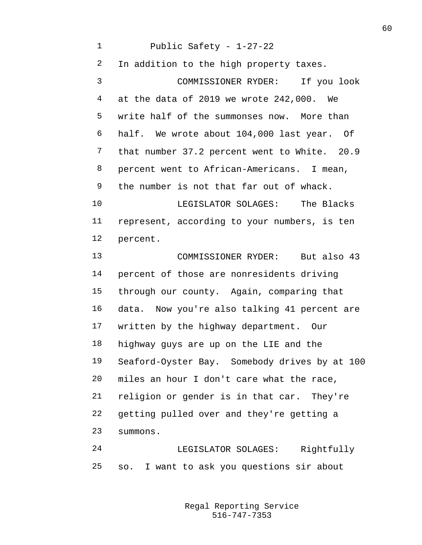Public Safety - 1-27-22 In addition to the high property taxes. COMMISSIONER RYDER: If you look at the data of 2019 we wrote 242,000. We write half of the summonses now. More than half. We wrote about 104,000 last year. Of that number 37.2 percent went to White. 20.9 percent went to African-Americans. I mean, the number is not that far out of whack. LEGISLATOR SOLAGES: The Blacks represent, according to your numbers, is ten percent. COMMISSIONER RYDER: But also 43 percent of those are nonresidents driving through our county. Again, comparing that data. Now you're also talking 41 percent are written by the highway department. Our highway guys are up on the LIE and the Seaford-Oyster Bay. Somebody drives by at 100 miles an hour I don't care what the race, religion or gender is in that car. They're getting pulled over and they're getting a summons. LEGISLATOR SOLAGES: Rightfully

so. I want to ask you questions sir about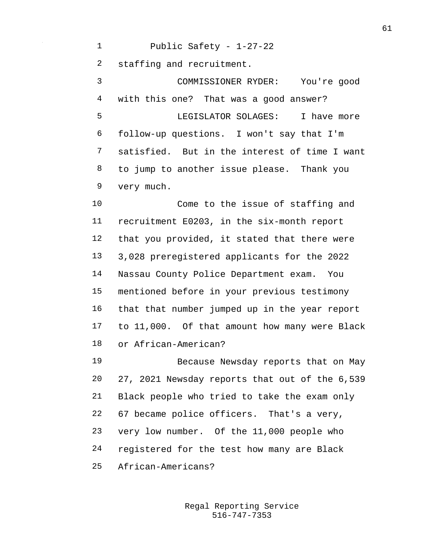Public Safety - 1-27-22

staffing and recruitment.

 COMMISSIONER RYDER: You're good with this one? That was a good answer? LEGISLATOR SOLAGES: I have more follow-up questions. I won't say that I'm satisfied. But in the interest of time I want to jump to another issue please. Thank you very much.

 Come to the issue of staffing and recruitment E0203, in the six-month report that you provided, it stated that there were 3,028 preregistered applicants for the 2022 Nassau County Police Department exam. You mentioned before in your previous testimony that that number jumped up in the year report to 11,000. Of that amount how many were Black or African-American?

 Because Newsday reports that on May 27, 2021 Newsday reports that out of the 6,539 Black people who tried to take the exam only 67 became police officers. That's a very, very low number. Of the 11,000 people who registered for the test how many are Black African-Americans?

> 516-747-7353 Regal Reporting Service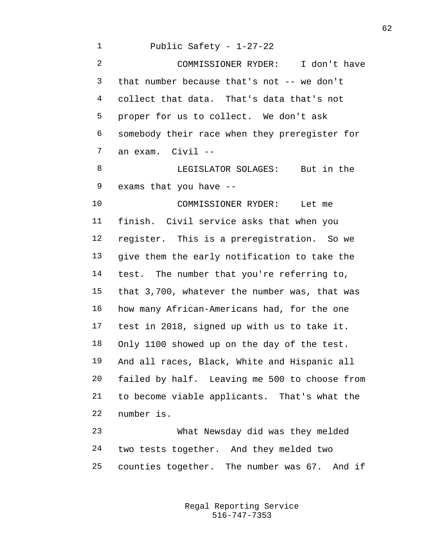Public Safety - 1-27-22 COMMISSIONER RYDER: I don't have that number because that's not -- we don't collect that data. That's data that's not proper for us to collect. We don't ask somebody their race when they preregister for an exam. Civil -- LEGISLATOR SOLAGES: But in the exams that you have -- COMMISSIONER RYDER: Let me finish. Civil service asks that when you register. This is a preregistration. So we give them the early notification to take the test. The number that you're referring to, that 3,700, whatever the number was, that was how many African-Americans had, for the one test in 2018, signed up with us to take it. Only 1100 showed up on the day of the test. And all races, Black, White and Hispanic all failed by half. Leaving me 500 to choose from to become viable applicants. That's what the number is. What Newsday did was they melded two tests together. And they melded two counties together. The number was 67. And if

> 516-747-7353 Regal Reporting Service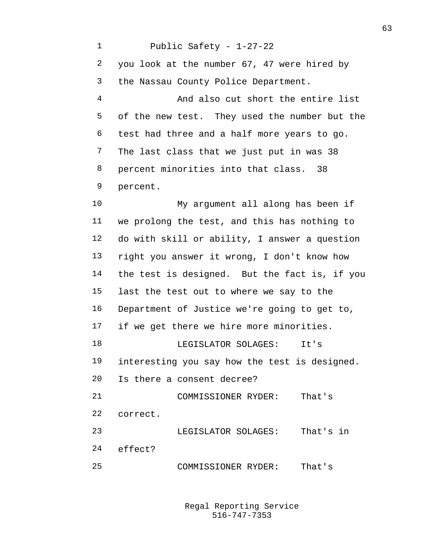Public Safety - 1-27-22 you look at the number 67, 47 were hired by the Nassau County Police Department. And also cut short the entire list of the new test. They used the number but the test had three and a half more years to go. The last class that we just put in was 38 percent minorities into that class. 38 percent. My argument all along has been if we prolong the test, and this has nothing to do with skill or ability, I answer a question right you answer it wrong, I don't know how the test is designed. But the fact is, if you last the test out to where we say to the Department of Justice we're going to get to, 17 if we get there we hire more minorities. LEGISLATOR SOLAGES: It's interesting you say how the test is designed. Is there a consent decree? COMMISSIONER RYDER: That's correct. LEGISLATOR SOLAGES: That's in effect? COMMISSIONER RYDER: That's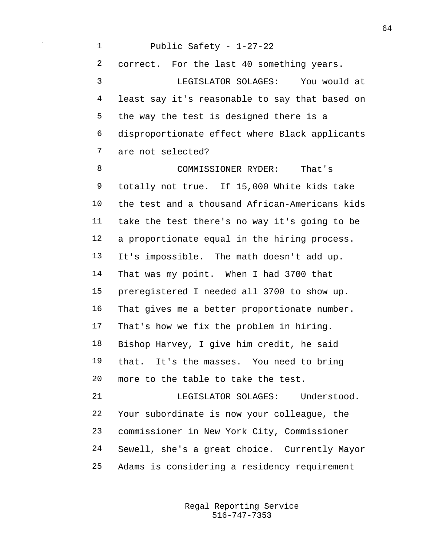Public Safety - 1-27-22 correct. For the last 40 something years. LEGISLATOR SOLAGES: You would at least say it's reasonable to say that based on the way the test is designed there is a disproportionate effect where Black applicants are not selected?

 COMMISSIONER RYDER: That's totally not true. If 15,000 White kids take the test and a thousand African-Americans kids take the test there's no way it's going to be a proportionate equal in the hiring process. It's impossible. The math doesn't add up. That was my point. When I had 3700 that preregistered I needed all 3700 to show up. That gives me a better proportionate number. That's how we fix the problem in hiring. Bishop Harvey, I give him credit, he said that. It's the masses. You need to bring more to the table to take the test.

 LEGISLATOR SOLAGES: Understood. Your subordinate is now your colleague, the commissioner in New York City, Commissioner Sewell, she's a great choice. Currently Mayor Adams is considering a residency requirement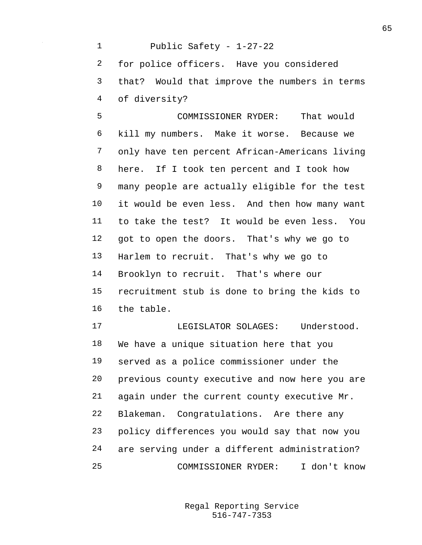Public Safety - 1-27-22 for police officers. Have you considered that? Would that improve the numbers in terms of diversity?

 COMMISSIONER RYDER: That would kill my numbers. Make it worse. Because we only have ten percent African-Americans living here. If I took ten percent and I took how many people are actually eligible for the test it would be even less. And then how many want to take the test? It would be even less. You got to open the doors. That's why we go to Harlem to recruit. That's why we go to Brooklyn to recruit. That's where our recruitment stub is done to bring the kids to the table.

 LEGISLATOR SOLAGES: Understood. We have a unique situation here that you served as a police commissioner under the previous county executive and now here you are again under the current county executive Mr. Blakeman. Congratulations. Are there any policy differences you would say that now you are serving under a different administration? COMMISSIONER RYDER: I don't know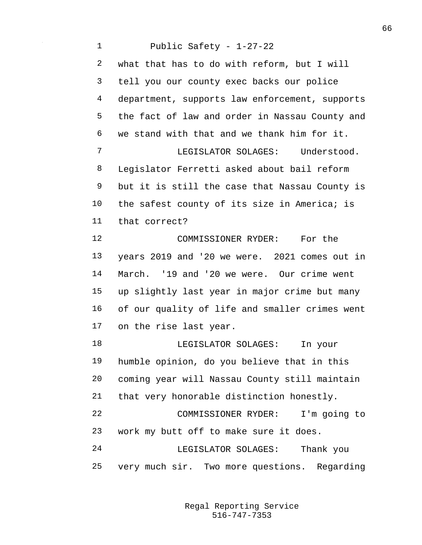Public Safety - 1-27-22 what that has to do with reform, but I will tell you our county exec backs our police department, supports law enforcement, supports the fact of law and order in Nassau County and we stand with that and we thank him for it. LEGISLATOR SOLAGES: Understood. Legislator Ferretti asked about bail reform but it is still the case that Nassau County is 10 the safest county of its size in America; is that correct? COMMISSIONER RYDER: For the years 2019 and '20 we were. 2021 comes out in March. '19 and '20 we were. Our crime went up slightly last year in major crime but many of our quality of life and smaller crimes went on the rise last year. LEGISLATOR SOLAGES: In your humble opinion, do you believe that in this coming year will Nassau County still maintain that very honorable distinction honestly. COMMISSIONER RYDER: I'm going to work my butt off to make sure it does. LEGISLATOR SOLAGES: Thank you very much sir. Two more questions. Regarding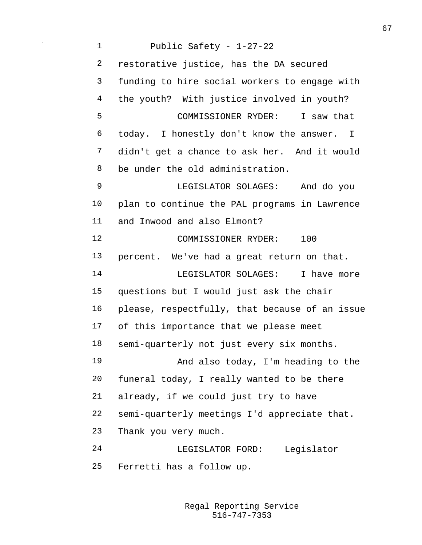Public Safety - 1-27-22 restorative justice, has the DA secured funding to hire social workers to engage with the youth? With justice involved in youth? COMMISSIONER RYDER: I saw that today. I honestly don't know the answer. I didn't get a chance to ask her. And it would be under the old administration. LEGISLATOR SOLAGES: And do you plan to continue the PAL programs in Lawrence and Inwood and also Elmont? 12 COMMISSIONER RYDER: 100 percent. We've had a great return on that. 14 LEGISLATOR SOLAGES: I have more questions but I would just ask the chair please, respectfully, that because of an issue of this importance that we please meet semi-quarterly not just every six months. And also today, I'm heading to the funeral today, I really wanted to be there already, if we could just try to have semi-quarterly meetings I'd appreciate that. Thank you very much. LEGISLATOR FORD: Legislator Ferretti has a follow up.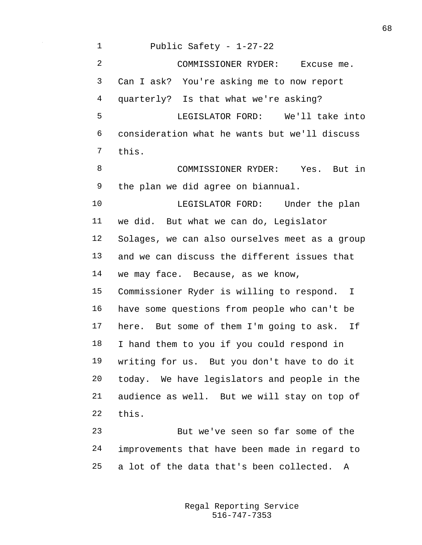Public Safety - 1-27-22 COMMISSIONER RYDER: Excuse me. Can I ask? You're asking me to now report quarterly? Is that what we're asking? LEGISLATOR FORD: We'll take into consideration what he wants but we'll discuss this. COMMISSIONER RYDER: Yes. But in the plan we did agree on biannual. LEGISLATOR FORD: Under the plan we did. But what we can do, Legislator Solages, we can also ourselves meet as a group and we can discuss the different issues that we may face. Because, as we know, Commissioner Ryder is willing to respond. I have some questions from people who can't be here. But some of them I'm going to ask. If I hand them to you if you could respond in writing for us. But you don't have to do it today. We have legislators and people in the audience as well. But we will stay on top of this. But we've seen so far some of the

 improvements that have been made in regard to a lot of the data that's been collected. A

> 516-747-7353 Regal Reporting Service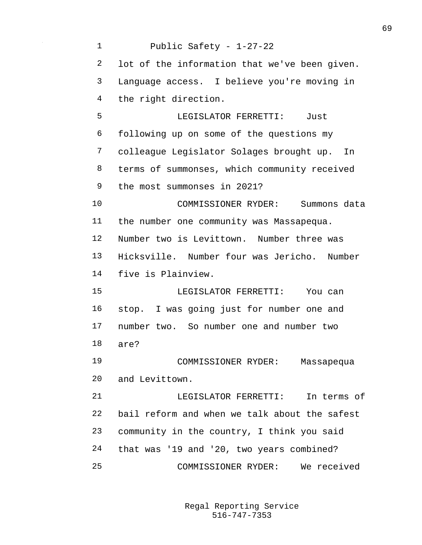| $\mathbf 1$ | Public Safety - 1-27-22                       |
|-------------|-----------------------------------------------|
| 2           | lot of the information that we've been given. |
| 3           | Language access. I believe you're moving in   |
| 4           | the right direction.                          |
| 5           | LEGISLATOR FERRETTI: Just                     |
| 6           | following up on some of the questions my      |
| 7           | colleague Legislator Solages brought up. In   |
| 8           | terms of summonses, which community received  |
| 9           | the most summonses in 2021?                   |
| 10          | COMMISSIONER RYDER: Summons data              |
| 11          | the number one community was Massapequa.      |
| 12          | Number two is Levittown. Number three was     |
| 13          | Hicksville. Number four was Jericho. Number   |
| 14          | five is Plainview.                            |
| 15          | LEGISLATOR FERRETTI: You can                  |
| 16          | stop. I was going just for number one and     |
| 17          | number two. So number one and number two      |
| 18          | are?                                          |
| 19          | COMMISSIONER RYDER: Massapequa                |
| 20          | and Levittown.                                |
| 21          | LEGISLATOR FERRETTI: In terms of              |
| 22          | bail reform and when we talk about the safest |
| 23          | community in the country, I think you said    |
| 24          | that was '19 and '20, two years combined?     |
| 25          | COMMISSIONER RYDER: We received               |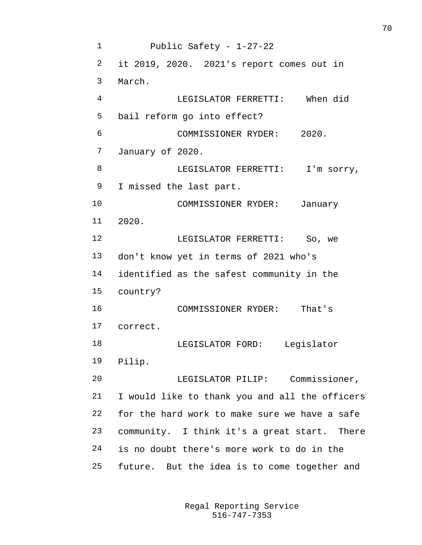Public Safety - 1-27-22 it 2019, 2020. 2021's report comes out in March. LEGISLATOR FERRETTI: When did bail reform go into effect? COMMISSIONER RYDER: 2020. January of 2020. 8 LEGISLATOR FERRETTI: I'm sorry, I missed the last part. COMMISSIONER RYDER: January 2020. LEGISLATOR FERRETTI: So, we don't know yet in terms of 2021 who's identified as the safest community in the country? COMMISSIONER RYDER: That's correct. LEGISLATOR FORD: Legislator Pilip. LEGISLATOR PILIP: Commissioner, I would like to thank you and all the officers for the hard work to make sure we have a safe community. I think it's a great start. There is no doubt there's more work to do in the future. But the idea is to come together and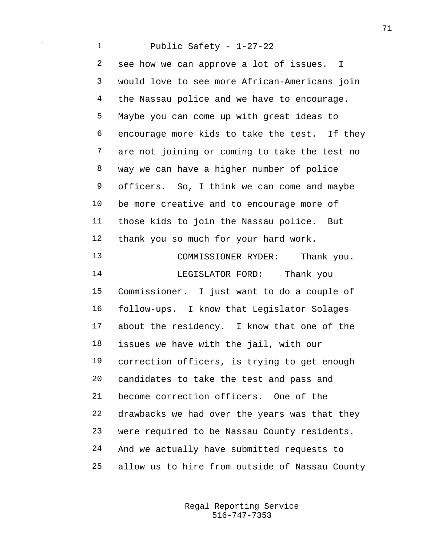Public Safety - 1-27-22 see how we can approve a lot of issues. I would love to see more African-Americans join the Nassau police and we have to encourage. Maybe you can come up with great ideas to encourage more kids to take the test. If they are not joining or coming to take the test no way we can have a higher number of police officers. So, I think we can come and maybe be more creative and to encourage more of those kids to join the Nassau police. But thank you so much for your hard work. 13 COMMISSIONER RYDER: Thank you. LEGISLATOR FORD: Thank you Commissioner. I just want to do a couple of follow-ups. I know that Legislator Solages about the residency. I know that one of the issues we have with the jail, with our correction officers, is trying to get enough candidates to take the test and pass and become correction officers. One of the drawbacks we had over the years was that they were required to be Nassau County residents. And we actually have submitted requests to allow us to hire from outside of Nassau County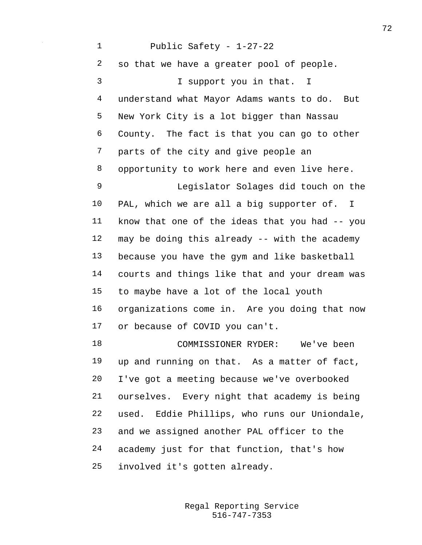Public Safety - 1-27-22 so that we have a greater pool of people. I support you in that. I understand what Mayor Adams wants to do. But New York City is a lot bigger than Nassau County. The fact is that you can go to other parts of the city and give people an opportunity to work here and even live here. Legislator Solages did touch on the PAL, which we are all a big supporter of. I know that one of the ideas that you had -- you may be doing this already -- with the academy because you have the gym and like basketball courts and things like that and your dream was to maybe have a lot of the local youth organizations come in. Are you doing that now or because of COVID you can't. COMMISSIONER RYDER: We've been up and running on that. As a matter of fact, I've got a meeting because we've overbooked ourselves. Every night that academy is being used. Eddie Phillips, who runs our Uniondale, and we assigned another PAL officer to the academy just for that function, that's how involved it's gotten already.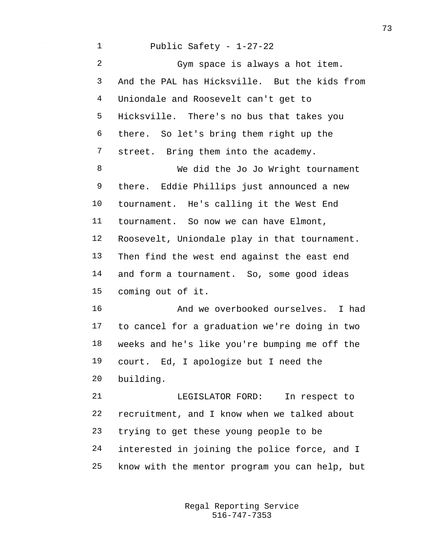Public Safety - 1-27-22 Gym space is always a hot item. And the PAL has Hicksville. But the kids from Uniondale and Roosevelt can't get to Hicksville. There's no bus that takes you there. So let's bring them right up the street. Bring them into the academy. We did the Jo Jo Wright tournament there. Eddie Phillips just announced a new tournament. He's calling it the West End tournament. So now we can have Elmont, Roosevelt, Uniondale play in that tournament. Then find the west end against the east end and form a tournament. So, some good ideas coming out of it. And we overbooked ourselves. I had to cancel for a graduation we're doing in two weeks and he's like you're bumping me off the court. Ed, I apologize but I need the building. LEGISLATOR FORD: In respect to recruitment, and I know when we talked about trying to get these young people to be interested in joining the police force, and I know with the mentor program you can help, but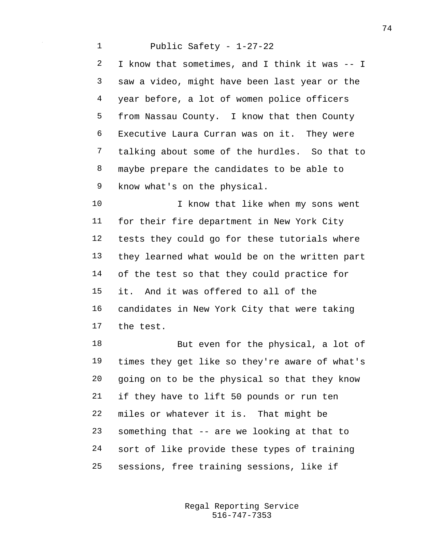Public Safety - 1-27-22 I know that sometimes, and I think it was -- I saw a video, might have been last year or the year before, a lot of women police officers from Nassau County. I know that then County Executive Laura Curran was on it. They were talking about some of the hurdles. So that to maybe prepare the candidates to be able to know what's on the physical.

10 I know that like when my sons went for their fire department in New York City tests they could go for these tutorials where they learned what would be on the written part of the test so that they could practice for it. And it was offered to all of the candidates in New York City that were taking the test.

18 But even for the physical, a lot of times they get like so they're aware of what's going on to be the physical so that they know if they have to lift 50 pounds or run ten miles or whatever it is. That might be something that -- are we looking at that to sort of like provide these types of training sessions, free training sessions, like if

> 516-747-7353 Regal Reporting Service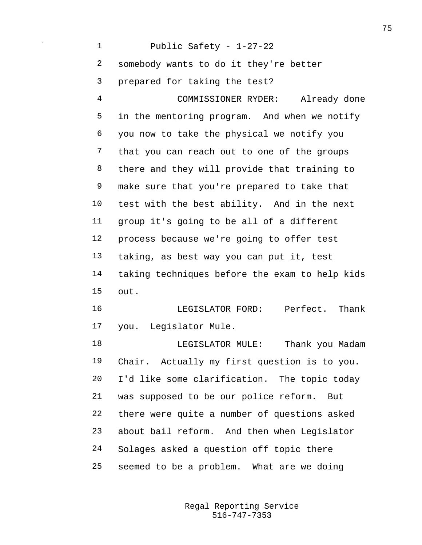Public Safety - 1-27-22 somebody wants to do it they're better prepared for taking the test? COMMISSIONER RYDER: Already done in the mentoring program. And when we notify you now to take the physical we notify you that you can reach out to one of the groups there and they will provide that training to make sure that you're prepared to take that test with the best ability. And in the next group it's going to be all of a different process because we're going to offer test taking, as best way you can put it, test taking techniques before the exam to help kids out. LEGISLATOR FORD: Perfect. Thank you. Legislator Mule. LEGISLATOR MULE: Thank you Madam Chair. Actually my first question is to you. I'd like some clarification. The topic today was supposed to be our police reform. But there were quite a number of questions asked about bail reform. And then when Legislator Solages asked a question off topic there seemed to be a problem. What are we doing

> 516-747-7353 Regal Reporting Service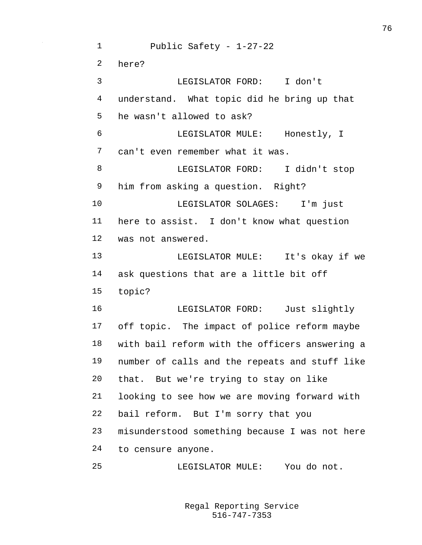Public Safety - 1-27-22 here? LEGISLATOR FORD: I don't understand. What topic did he bring up that he wasn't allowed to ask? LEGISLATOR MULE: Honestly, I can't even remember what it was. LEGISLATOR FORD: I didn't stop him from asking a question. Right? LEGISLATOR SOLAGES: I'm just here to assist. I don't know what question was not answered. LEGISLATOR MULE: It's okay if we ask questions that are a little bit off topic? LEGISLATOR FORD: Just slightly off topic. The impact of police reform maybe with bail reform with the officers answering a number of calls and the repeats and stuff like that. But we're trying to stay on like looking to see how we are moving forward with bail reform. But I'm sorry that you misunderstood something because I was not here to censure anyone. LEGISLATOR MULE: You do not.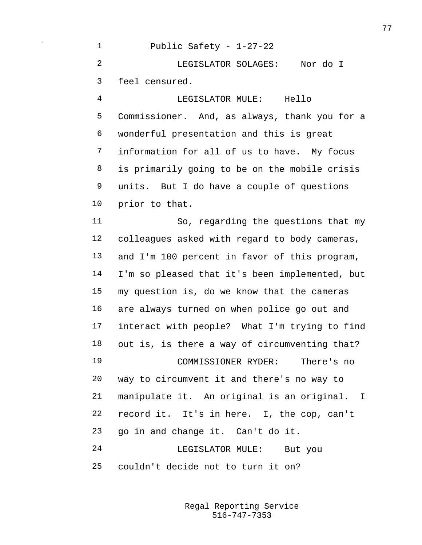Public Safety - 1-27-22 LEGISLATOR SOLAGES: Nor do I feel censured. LEGISLATOR MULE: Hello Commissioner. And, as always, thank you for a wonderful presentation and this is great information for all of us to have. My focus is primarily going to be on the mobile crisis units. But I do have a couple of questions prior to that. So, regarding the questions that my colleagues asked with regard to body cameras, and I'm 100 percent in favor of this program, I'm so pleased that it's been implemented, but my question is, do we know that the cameras are always turned on when police go out and interact with people? What I'm trying to find out is, is there a way of circumventing that? COMMISSIONER RYDER: There's no way to circumvent it and there's no way to manipulate it. An original is an original. I record it. It's in here. I, the cop, can't go in and change it. Can't do it. LEGISLATOR MULE: But you couldn't decide not to turn it on?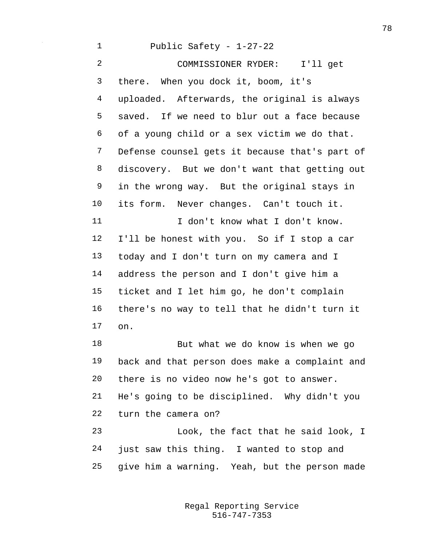Public Safety - 1-27-22 COMMISSIONER RYDER: I'll get there. When you dock it, boom, it's uploaded. Afterwards, the original is always saved. If we need to blur out a face because of a young child or a sex victim we do that. Defense counsel gets it because that's part of discovery. But we don't want that getting out in the wrong way. But the original stays in its form. Never changes. Can't touch it. 11 I don't know what I don't know. I'll be honest with you. So if I stop a car today and I don't turn on my camera and I address the person and I don't give him a ticket and I let him go, he don't complain there's no way to tell that he didn't turn it on. But what we do know is when we go back and that person does make a complaint and there is no video now he's got to answer. He's going to be disciplined. Why didn't you turn the camera on? Look, the fact that he said look, I just saw this thing. I wanted to stop and

give him a warning. Yeah, but the person made

516-747-7353 Regal Reporting Service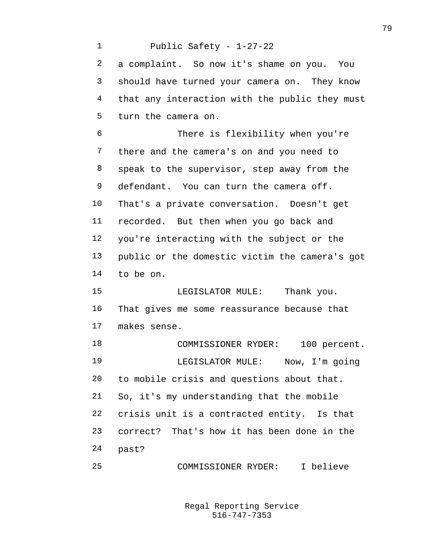Public Safety - 1-27-22 a complaint. So now it's shame on you. You should have turned your camera on. They know that any interaction with the public they must turn the camera on. There is flexibility when you're there and the camera's on and you need to speak to the supervisor, step away from the 9 defendant. You can turn the camera off. That's a private conversation. Doesn't get recorded. But then when you go back and you're interacting with the subject or the public or the domestic victim the camera's got to be on. 15 LEGISLATOR MULE: Thank you. That gives me some reassurance because that makes sense. 18 COMMISSIONER RYDER: 100 percent. LEGISLATOR MULE: Now, I'm going to mobile crisis and questions about that. So, it's my understanding that the mobile crisis unit is a contracted entity. Is that correct? That's how it has been done in the past? COMMISSIONER RYDER: I believe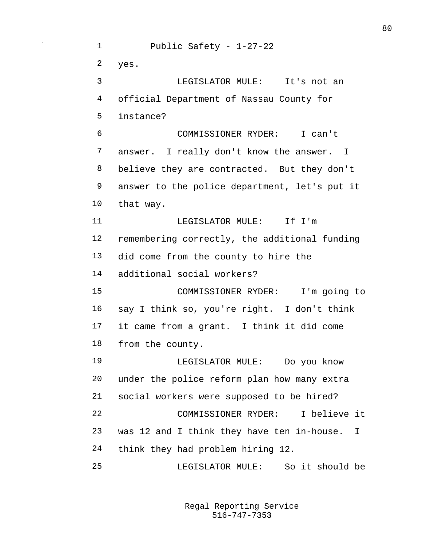Public Safety - 1-27-22 yes. LEGISLATOR MULE: It's not an official Department of Nassau County for instance? COMMISSIONER RYDER: I can't answer. I really don't know the answer. I believe they are contracted. But they don't answer to the police department, let's put it that way. **I.EGISLATOR MULE:** If I'm remembering correctly, the additional funding did come from the county to hire the additional social workers? COMMISSIONER RYDER: I'm going to say I think so, you're right. I don't think it came from a grant. I think it did come from the county. LEGISLATOR MULE: Do you know under the police reform plan how many extra social workers were supposed to be hired? COMMISSIONER RYDER: I believe it was 12 and I think they have ten in-house. I think they had problem hiring 12. LEGISLATOR MULE: So it should be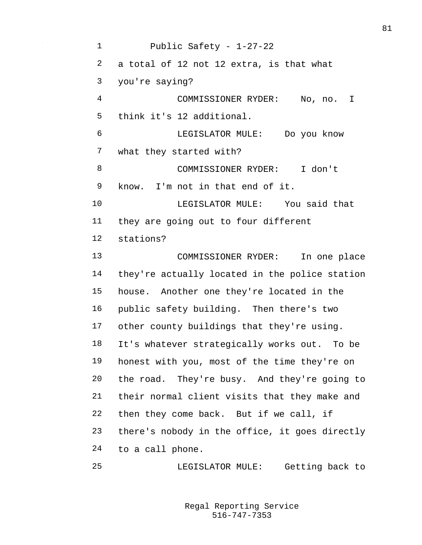Public Safety - 1-27-22 a total of 12 not 12 extra, is that what you're saying? COMMISSIONER RYDER: No, no. I think it's 12 additional. LEGISLATOR MULE: Do you know what they started with? COMMISSIONER RYDER: I don't know. I'm not in that end of it. LEGISLATOR MULE: You said that they are going out to four different stations? COMMISSIONER RYDER: In one place they're actually located in the police station house. Another one they're located in the public safety building. Then there's two other county buildings that they're using. It's whatever strategically works out. To be honest with you, most of the time they're on the road. They're busy. And they're going to their normal client visits that they make and then they come back. But if we call, if there's nobody in the office, it goes directly to a call phone.

LEGISLATOR MULE: Getting back to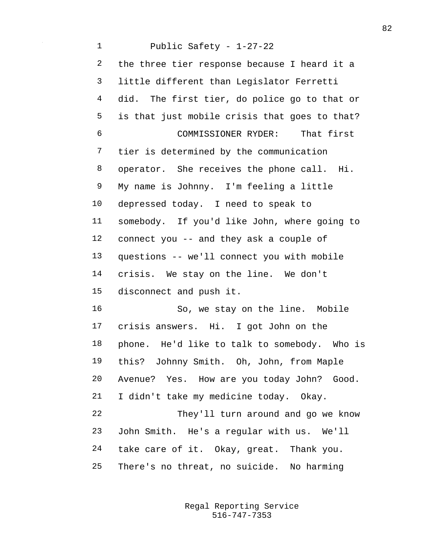Public Safety - 1-27-22 the three tier response because I heard it a little different than Legislator Ferretti did. The first tier, do police go to that or is that just mobile crisis that goes to that? COMMISSIONER RYDER: That first tier is determined by the communication operator. She receives the phone call. Hi. My name is Johnny. I'm feeling a little depressed today. I need to speak to somebody. If you'd like John, where going to connect you -- and they ask a couple of questions -- we'll connect you with mobile crisis. We stay on the line. We don't disconnect and push it. So, we stay on the line. Mobile crisis answers. Hi. I got John on the phone. He'd like to talk to somebody. Who is this? Johnny Smith. Oh, John, from Maple Avenue? Yes. How are you today John? Good. I didn't take my medicine today. Okay. They'll turn around and go we know John Smith. He's a regular with us. We'll take care of it. Okay, great. Thank you. There's no threat, no suicide. No harming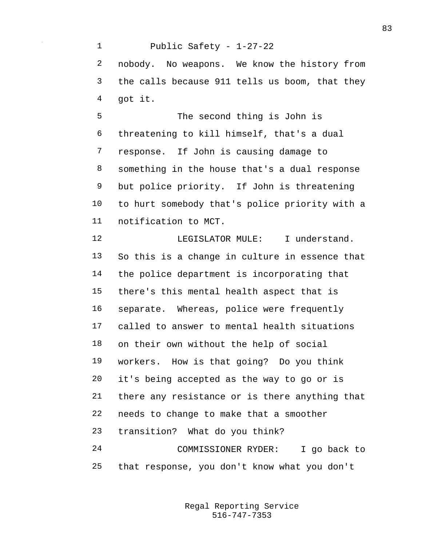Public Safety - 1-27-22 nobody. No weapons. We know the history from the calls because 911 tells us boom, that they got it.

 The second thing is John is threatening to kill himself, that's a dual response. If John is causing damage to something in the house that's a dual response but police priority. If John is threatening to hurt somebody that's police priority with a notification to MCT.

12 LEGISLATOR MULE: I understand. So this is a change in culture in essence that the police department is incorporating that there's this mental health aspect that is separate. Whereas, police were frequently called to answer to mental health situations on their own without the help of social workers. How is that going? Do you think it's being accepted as the way to go or is there any resistance or is there anything that needs to change to make that a smoother transition? What do you think? COMMISSIONER RYDER: I go back to that response, you don't know what you don't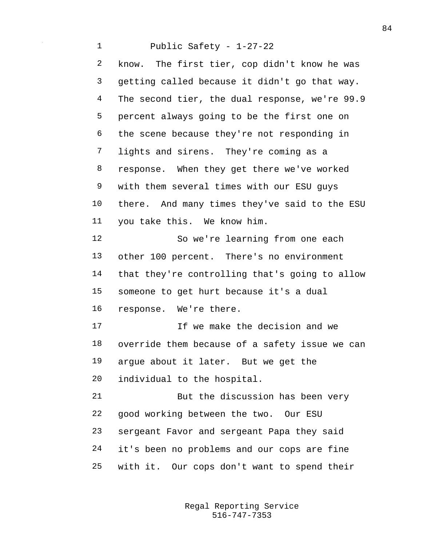Public Safety - 1-27-22 know. The first tier, cop didn't know he was getting called because it didn't go that way. The second tier, the dual response, we're 99.9 percent always going to be the first one on the scene because they're not responding in lights and sirens. They're coming as a response. When they get there we've worked with them several times with our ESU guys there. And many times they've said to the ESU you take this. We know him. So we're learning from one each other 100 percent. There's no environment that they're controlling that's going to allow someone to get hurt because it's a dual response. We're there. If we make the decision and we override them because of a safety issue we can argue about it later. But we get the individual to the hospital. But the discussion has been very good working between the two. Our ESU sergeant Favor and sergeant Papa they said it's been no problems and our cops are fine with it. Our cops don't want to spend their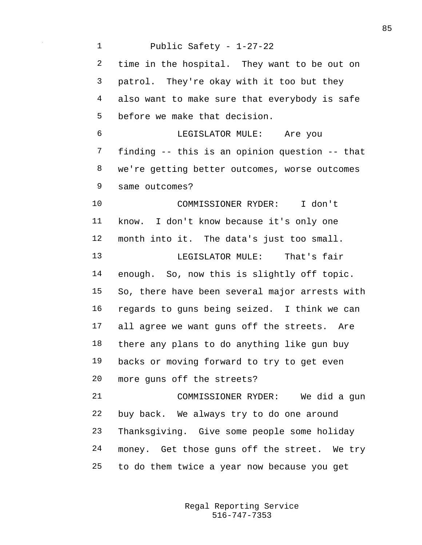Public Safety - 1-27-22 time in the hospital. They want to be out on patrol. They're okay with it too but they also want to make sure that everybody is safe before we make that decision. LEGISLATOR MULE: Are you finding -- this is an opinion question -- that we're getting better outcomes, worse outcomes same outcomes? COMMISSIONER RYDER: I don't know. I don't know because it's only one month into it. The data's just too small. LEGISLATOR MULE: That's fair enough. So, now this is slightly off topic. So, there have been several major arrests with regards to guns being seized. I think we can all agree we want guns off the streets. Are there any plans to do anything like gun buy backs or moving forward to try to get even more guns off the streets? COMMISSIONER RYDER: We did a gun buy back. We always try to do one around Thanksgiving. Give some people some holiday money. Get those guns off the street. We try to do them twice a year now because you get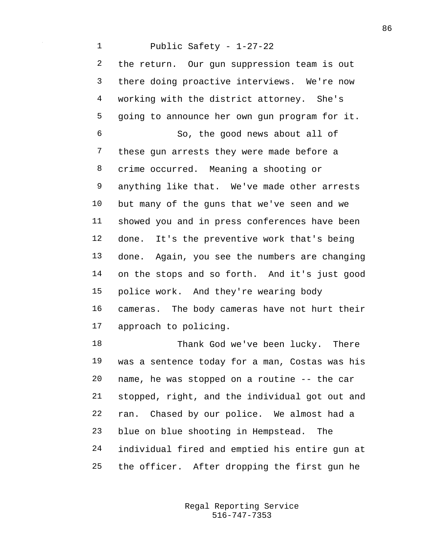## Public Safety - 1-27-22

 the return. Our gun suppression team is out there doing proactive interviews. We're now working with the district attorney. She's going to announce her own gun program for it. So, the good news about all of these gun arrests they were made before a crime occurred. Meaning a shooting or anything like that. We've made other arrests but many of the guns that we've seen and we showed you and in press conferences have been done. It's the preventive work that's being done. Again, you see the numbers are changing on the stops and so forth. And it's just good police work. And they're wearing body cameras. The body cameras have not hurt their approach to policing.

18 Thank God we've been lucky. There was a sentence today for a man, Costas was his name, he was stopped on a routine -- the car stopped, right, and the individual got out and ran. Chased by our police. We almost had a blue on blue shooting in Hempstead. The individual fired and emptied his entire gun at the officer. After dropping the first gun he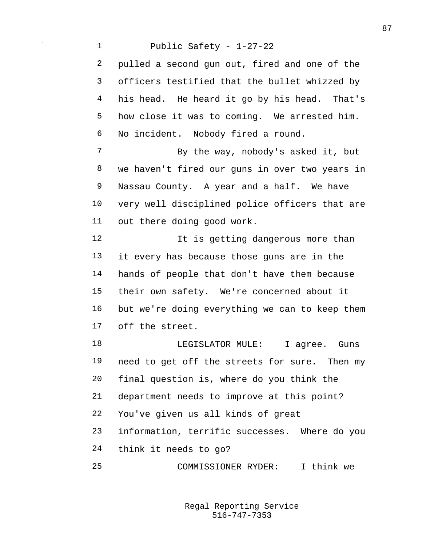Public Safety - 1-27-22 pulled a second gun out, fired and one of the officers testified that the bullet whizzed by his head. He heard it go by his head. That's how close it was to coming. We arrested him. No incident. Nobody fired a round. 7 By the way, nobody's asked it, but we haven't fired our guns in over two years in Nassau County. A year and a half. We have very well disciplined police officers that are out there doing good work. 12 It is getting dangerous more than it every has because those guns are in the hands of people that don't have them because their own safety. We're concerned about it but we're doing everything we can to keep them off the street. 18 LEGISLATOR MULE: I agree. Guns need to get off the streets for sure. Then my final question is, where do you think the department needs to improve at this point? You've given us all kinds of great information, terrific successes. Where do you think it needs to go? COMMISSIONER RYDER: I think we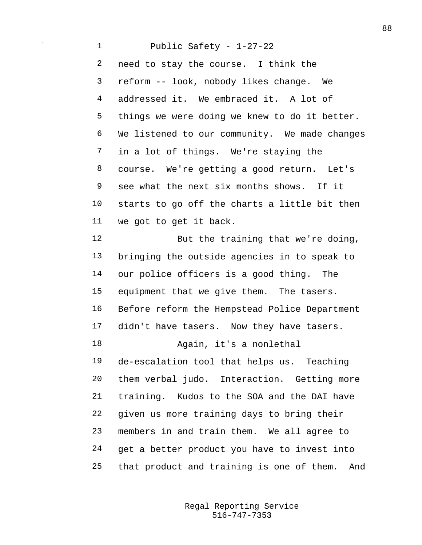Public Safety - 1-27-22 need to stay the course. I think the reform -- look, nobody likes change. We addressed it. We embraced it. A lot of things we were doing we knew to do it better. We listened to our community. We made changes in a lot of things. We're staying the course. We're getting a good return. Let's see what the next six months shows. If it starts to go off the charts a little bit then we got to get it back. 12 But the training that we're doing, bringing the outside agencies in to speak to our police officers is a good thing. The equipment that we give them. The tasers. Before reform the Hempstead Police Department 17 didn't have tasers. Now they have tasers. Again, it's a nonlethal de-escalation tool that helps us. Teaching them verbal judo. Interaction. Getting more training. Kudos to the SOA and the DAI have given us more training days to bring their members in and train them. We all agree to get a better product you have to invest into that product and training is one of them. And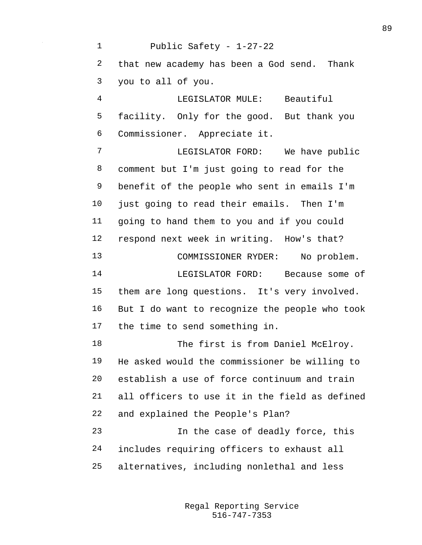Public Safety - 1-27-22 that new academy has been a God send. Thank you to all of you. LEGISLATOR MULE: Beautiful facility. Only for the good. But thank you Commissioner. Appreciate it. LEGISLATOR FORD: We have public comment but I'm just going to read for the benefit of the people who sent in emails I'm just going to read their emails. Then I'm going to hand them to you and if you could respond next week in writing. How's that? COMMISSIONER RYDER: No problem. LEGISLATOR FORD: Because some of them are long questions. It's very involved. But I do want to recognize the people who took the time to send something in. 18 The first is from Daniel McElroy. He asked would the commissioner be willing to establish a use of force continuum and train all officers to use it in the field as defined and explained the People's Plan? In the case of deadly force, this includes requiring officers to exhaust all alternatives, including nonlethal and less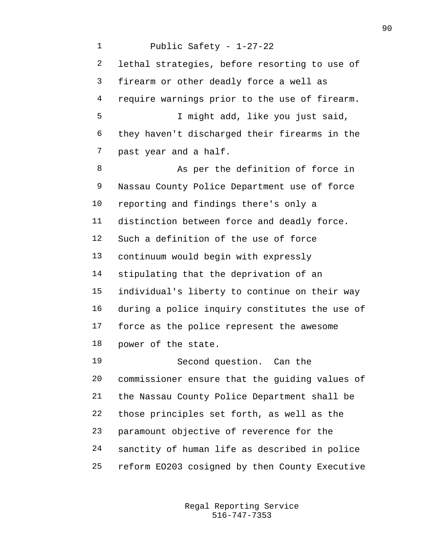Public Safety - 1-27-22 lethal strategies, before resorting to use of firearm or other deadly force a well as require warnings prior to the use of firearm. I might add, like you just said, they haven't discharged their firearms in the past year and a half. 8 As per the definition of force in Nassau County Police Department use of force reporting and findings there's only a distinction between force and deadly force. Such a definition of the use of force continuum would begin with expressly stipulating that the deprivation of an individual's liberty to continue on their way during a police inquiry constitutes the use of force as the police represent the awesome power of the state. Second question. Can the commissioner ensure that the guiding values of the Nassau County Police Department shall be those principles set forth, as well as the paramount objective of reverence for the sanctity of human life as described in police reform EO203 cosigned by then County Executive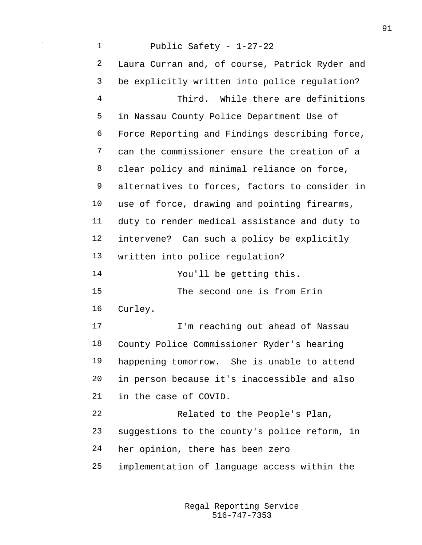Public Safety - 1-27-22 Laura Curran and, of course, Patrick Ryder and be explicitly written into police regulation? Third. While there are definitions in Nassau County Police Department Use of Force Reporting and Findings describing force, can the commissioner ensure the creation of a clear policy and minimal reliance on force, alternatives to forces, factors to consider in use of force, drawing and pointing firearms, duty to render medical assistance and duty to intervene? Can such a policy be explicitly written into police regulation? You'll be getting this. The second one is from Erin Curley. I'm reaching out ahead of Nassau County Police Commissioner Ryder's hearing happening tomorrow. She is unable to attend in person because it's inaccessible and also in the case of COVID. Related to the People's Plan, suggestions to the county's police reform, in her opinion, there has been zero implementation of language access within the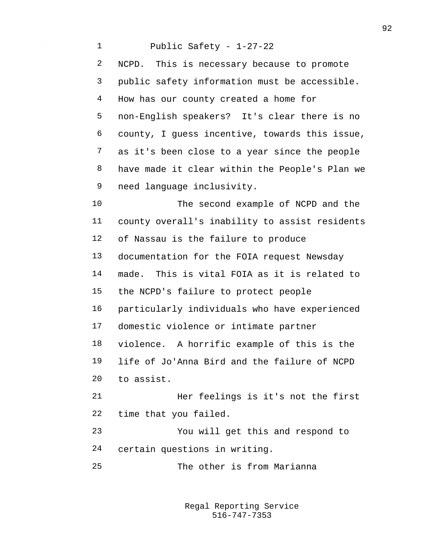Public Safety - 1-27-22 NCPD. This is necessary because to promote public safety information must be accessible. How has our county created a home for non-English speakers? It's clear there is no county, I guess incentive, towards this issue, as it's been close to a year since the people have made it clear within the People's Plan we need language inclusivity. The second example of NCPD and the county overall's inability to assist residents of Nassau is the failure to produce documentation for the FOIA request Newsday made. This is vital FOIA as it is related to the NCPD's failure to protect people particularly individuals who have experienced domestic violence or intimate partner violence. A horrific example of this is the life of Jo'Anna Bird and the failure of NCPD to assist. Her feelings is it's not the first time that you failed. You will get this and respond to certain questions in writing. The other is from Marianna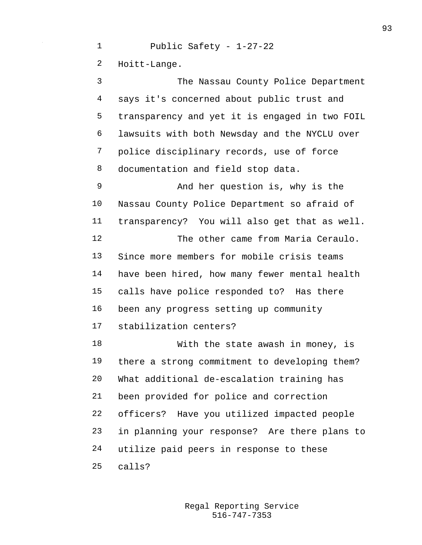Public Safety - 1-27-22 Hoitt-Lange. The Nassau County Police Department says it's concerned about public trust and transparency and yet it is engaged in two FOIL lawsuits with both Newsday and the NYCLU over police disciplinary records, use of force documentation and field stop data. And her question is, why is the Nassau County Police Department so afraid of transparency? You will also get that as well. The other came from Maria Ceraulo. Since more members for mobile crisis teams have been hired, how many fewer mental health calls have police responded to? Has there been any progress setting up community stabilization centers? With the state awash in money, is there a strong commitment to developing them? What additional de-escalation training has been provided for police and correction officers? Have you utilized impacted people in planning your response? Are there plans to utilize paid peers in response to these calls?

> 516-747-7353 Regal Reporting Service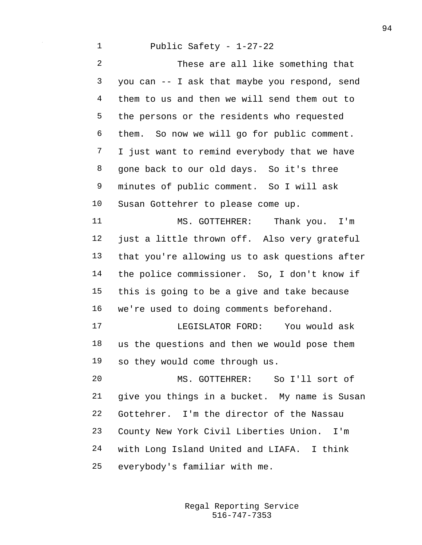## Public Safety - 1-27-22

 These are all like something that you can -- I ask that maybe you respond, send them to us and then we will send them out to the persons or the residents who requested them. So now we will go for public comment. I just want to remind everybody that we have gone back to our old days. So it's three minutes of public comment. So I will ask Susan Gottehrer to please come up. 11 MS. GOTTEHRER: Thank you. I'm just a little thrown off. Also very grateful that you're allowing us to ask questions after the police commissioner. So, I don't know if this is going to be a give and take because we're used to doing comments beforehand. LEGISLATOR FORD: You would ask us the questions and then we would pose them so they would come through us. MS. GOTTEHRER: So I'll sort of give you things in a bucket. My name is Susan Gottehrer. I'm the director of the Nassau County New York Civil Liberties Union. I'm with Long Island United and LIAFA. I think everybody's familiar with me.

> 516-747-7353 Regal Reporting Service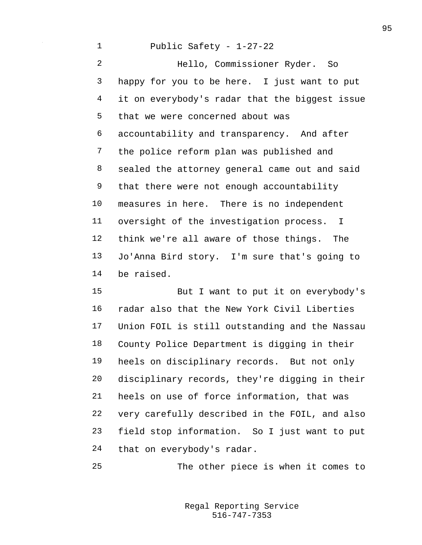## Public Safety - 1-27-22

 Hello, Commissioner Ryder. So happy for you to be here. I just want to put it on everybody's radar that the biggest issue that we were concerned about was accountability and transparency. And after the police reform plan was published and sealed the attorney general came out and said 9 that there were not enough accountability measures in here. There is no independent oversight of the investigation process. I think we're all aware of those things. The Jo'Anna Bird story. I'm sure that's going to be raised.

 But I want to put it on everybody's radar also that the New York Civil Liberties Union FOIL is still outstanding and the Nassau County Police Department is digging in their heels on disciplinary records. But not only disciplinary records, they're digging in their heels on use of force information, that was very carefully described in the FOIL, and also field stop information. So I just want to put that on everybody's radar.

The other piece is when it comes to

516-747-7353 Regal Reporting Service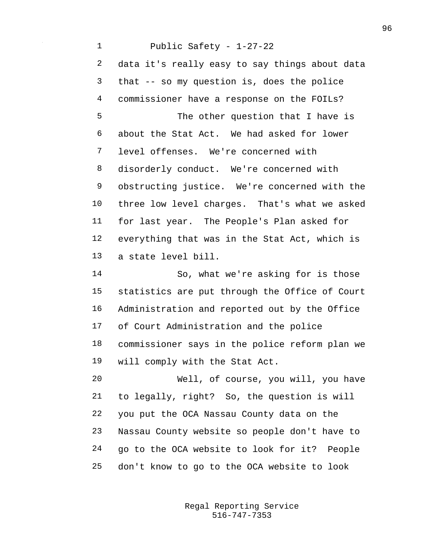Public Safety - 1-27-22 data it's really easy to say things about data that -- so my question is, does the police commissioner have a response on the FOILs? The other question that I have is about the Stat Act. We had asked for lower level offenses. We're concerned with disorderly conduct. We're concerned with obstructing justice. We're concerned with the three low level charges. That's what we asked for last year. The People's Plan asked for everything that was in the Stat Act, which is a state level bill. So, what we're asking for is those statistics are put through the Office of Court Administration and reported out by the Office of Court Administration and the police commissioner says in the police reform plan we will comply with the Stat Act. Well, of course, you will, you have to legally, right? So, the question is will you put the OCA Nassau County data on the Nassau County website so people don't have to go to the OCA website to look for it? People don't know to go to the OCA website to look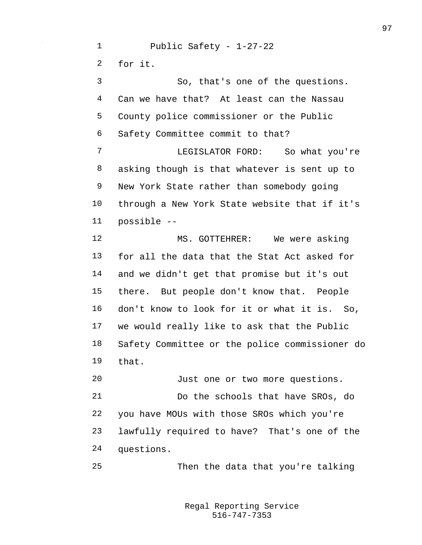Public Safety - 1-27-22 for it. So, that's one of the questions. Can we have that? At least can the Nassau County police commissioner or the Public Safety Committee commit to that? LEGISLATOR FORD: So what you're asking though is that whatever is sent up to New York State rather than somebody going through a New York State website that if it's possible -- MS. GOTTEHRER: We were asking for all the data that the Stat Act asked for and we didn't get that promise but it's out there. But people don't know that. People don't know to look for it or what it is. So, we would really like to ask that the Public Safety Committee or the police commissioner do that. Just one or two more questions. Do the schools that have SROs, do you have MOUs with those SROs which you're lawfully required to have? That's one of the questions. Then the data that you're talking

> 516-747-7353 Regal Reporting Service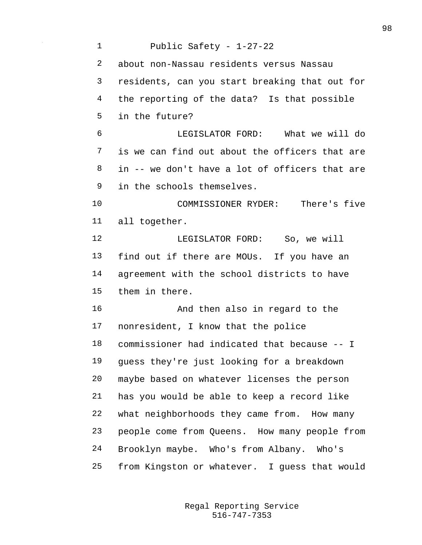Public Safety - 1-27-22 about non-Nassau residents versus Nassau residents, can you start breaking that out for the reporting of the data? Is that possible in the future? LEGISLATOR FORD: What we will do is we can find out about the officers that are in -- we don't have a lot of officers that are in the schools themselves. COMMISSIONER RYDER: There's five all together. 12 LEGISLATOR FORD: So, we will find out if there are MOUs. If you have an agreement with the school districts to have them in there. And then also in regard to the nonresident, I know that the police commissioner had indicated that because -- I guess they're just looking for a breakdown maybe based on whatever licenses the person has you would be able to keep a record like what neighborhoods they came from. How many people come from Queens. How many people from Brooklyn maybe. Who's from Albany. Who's from Kingston or whatever. I guess that would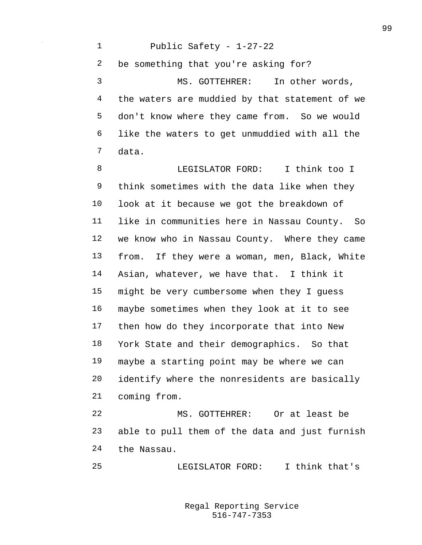Public Safety - 1-27-22 be something that you're asking for? MS. GOTTEHRER: In other words, the waters are muddied by that statement of we don't know where they came from. So we would like the waters to get unmuddied with all the data.

**B LEGISLATOR FORD:** I think too I think sometimes with the data like when they look at it because we got the breakdown of like in communities here in Nassau County. So we know who in Nassau County. Where they came from. If they were a woman, men, Black, White Asian, whatever, we have that. I think it might be very cumbersome when they I guess maybe sometimes when they look at it to see then how do they incorporate that into New York State and their demographics. So that maybe a starting point may be where we can identify where the nonresidents are basically coming from.

 MS. GOTTEHRER: Or at least be able to pull them of the data and just furnish the Nassau.

LEGISLATOR FORD: I think that's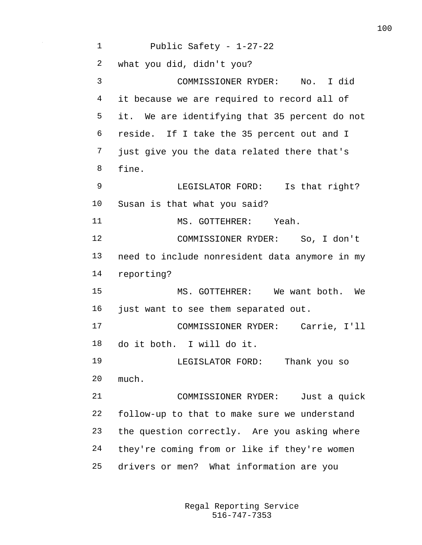Public Safety - 1-27-22 what you did, didn't you? COMMISSIONER RYDER: No. I did it because we are required to record all of it. We are identifying that 35 percent do not reside. If I take the 35 percent out and I just give you the data related there that's fine. LEGISLATOR FORD: Is that right? Susan is that what you said? MS. GOTTEHRER: Yeah. COMMISSIONER RYDER: So, I don't need to include nonresident data anymore in my reporting? MS. GOTTEHRER: We want both. We just want to see them separated out. COMMISSIONER RYDER: Carrie, I'll do it both. I will do it. LEGISLATOR FORD: Thank you so much. COMMISSIONER RYDER: Just a quick follow-up to that to make sure we understand the question correctly. Are you asking where they're coming from or like if they're women drivers or men? What information are you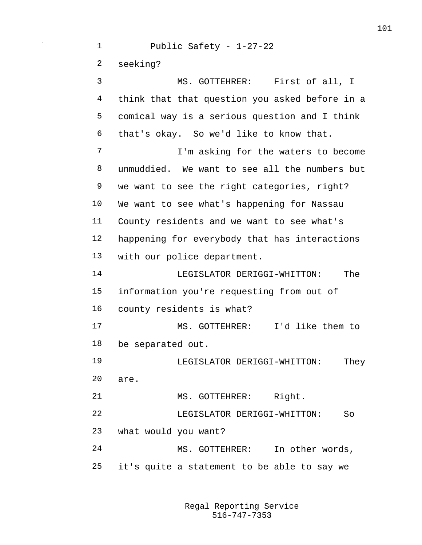Public Safety - 1-27-22 seeking? MS. GOTTEHRER: First of all, I think that that question you asked before in a comical way is a serious question and I think that's okay. So we'd like to know that. 7 I'm asking for the waters to become unmuddied. We want to see all the numbers but we want to see the right categories, right? We want to see what's happening for Nassau County residents and we want to see what's happening for everybody that has interactions with our police department. LEGISLATOR DERIGGI-WHITTON: The information you're requesting from out of county residents is what? MS. GOTTEHRER: I'd like them to be separated out. LEGISLATOR DERIGGI-WHITTON: They are. 21 MS. GOTTEHRER: Right. LEGISLATOR DERIGGI-WHITTON: So what would you want? MS. GOTTEHRER: In other words, it's quite a statement to be able to say we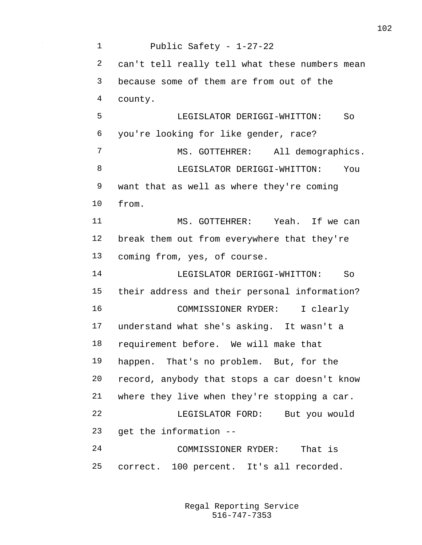Public Safety - 1-27-22 can't tell really tell what these numbers mean because some of them are from out of the county. LEGISLATOR DERIGGI-WHITTON: So you're looking for like gender, race? 7 MS. GOTTEHRER: All demographics. 8 LEGISLATOR DERIGGI-WHITTON: You want that as well as where they're coming from. MS. GOTTEHRER: Yeah. If we can break them out from everywhere that they're coming from, yes, of course. LEGISLATOR DERIGGI-WHITTON: So their address and their personal information? COMMISSIONER RYDER: I clearly understand what she's asking. It wasn't a requirement before. We will make that happen. That's no problem. But, for the record, anybody that stops a car doesn't know where they live when they're stopping a car. LEGISLATOR FORD: But you would get the information -- COMMISSIONER RYDER: That is correct. 100 percent. It's all recorded.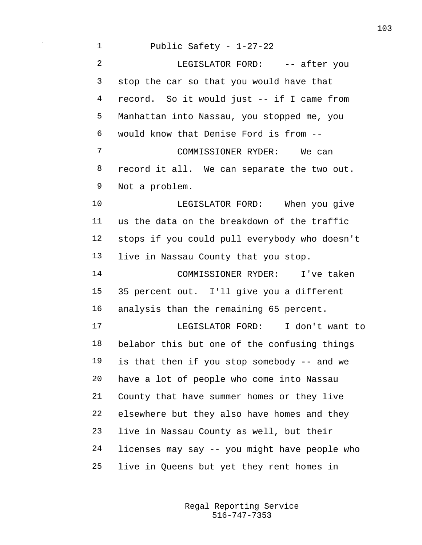Public Safety - 1-27-22 2 LEGISLATOR FORD: -- after you stop the car so that you would have that record. So it would just -- if I came from Manhattan into Nassau, you stopped me, you would know that Denise Ford is from -- COMMISSIONER RYDER: We can record it all. We can separate the two out. Not a problem. 10 LEGISLATOR FORD: When you give us the data on the breakdown of the traffic stops if you could pull everybody who doesn't live in Nassau County that you stop. COMMISSIONER RYDER: I've taken 35 percent out. I'll give you a different analysis than the remaining 65 percent. LEGISLATOR FORD: I don't want to belabor this but one of the confusing things is that then if you stop somebody -- and we have a lot of people who come into Nassau County that have summer homes or they live elsewhere but they also have homes and they live in Nassau County as well, but their licenses may say -- you might have people who live in Queens but yet they rent homes in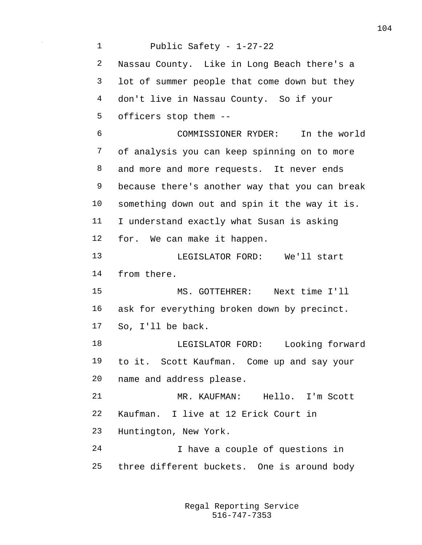Public Safety - 1-27-22 Nassau County. Like in Long Beach there's a lot of summer people that come down but they don't live in Nassau County. So if your officers stop them -- COMMISSIONER RYDER: In the world of analysis you can keep spinning on to more and more and more requests. It never ends because there's another way that you can break something down out and spin it the way it is. I understand exactly what Susan is asking for. We can make it happen. LEGISLATOR FORD: We'll start from there. MS. GOTTEHRER: Next time I'll ask for everything broken down by precinct. So, I'll be back. LEGISLATOR FORD: Looking forward to it. Scott Kaufman. Come up and say your name and address please. MR. KAUFMAN: Hello. I'm Scott Kaufman. I live at 12 Erick Court in Huntington, New York. I have a couple of questions in three different buckets. One is around body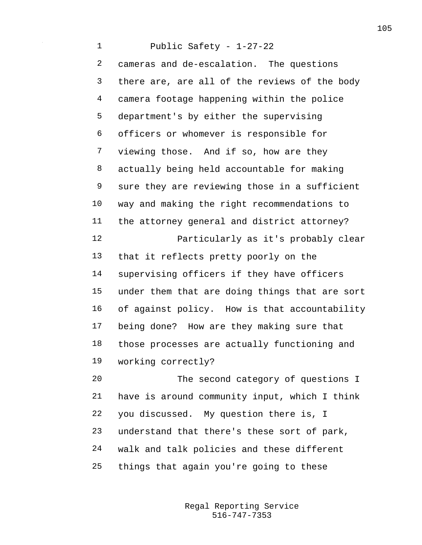Public Safety - 1-27-22 cameras and de-escalation. The questions there are, are all of the reviews of the body camera footage happening within the police department's by either the supervising officers or whomever is responsible for viewing those. And if so, how are they actually being held accountable for making sure they are reviewing those in a sufficient way and making the right recommendations to the attorney general and district attorney? Particularly as it's probably clear that it reflects pretty poorly on the supervising officers if they have officers under them that are doing things that are sort of against policy. How is that accountability being done? How are they making sure that those processes are actually functioning and working correctly? The second category of questions I

 have is around community input, which I think you discussed. My question there is, I understand that there's these sort of park, walk and talk policies and these different things that again you're going to these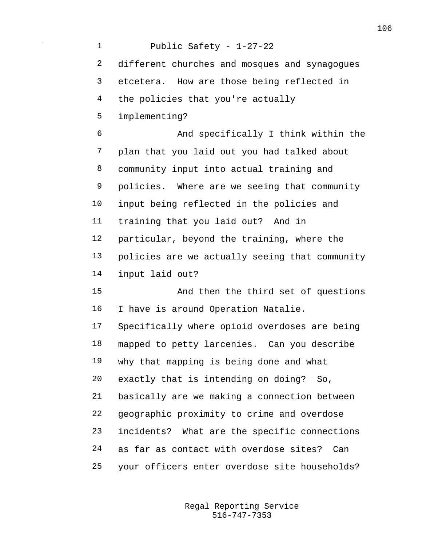Public Safety - 1-27-22 different churches and mosques and synagogues etcetera. How are those being reflected in the policies that you're actually implementing? And specifically I think within the plan that you laid out you had talked about community input into actual training and policies. Where are we seeing that community input being reflected in the policies and training that you laid out? And in particular, beyond the training, where the policies are we actually seeing that community input laid out? And then the third set of questions I have is around Operation Natalie. Specifically where opioid overdoses are being mapped to petty larcenies. Can you describe why that mapping is being done and what exactly that is intending on doing? So, basically are we making a connection between geographic proximity to crime and overdose incidents? What are the specific connections as far as contact with overdose sites? Can your officers enter overdose site households?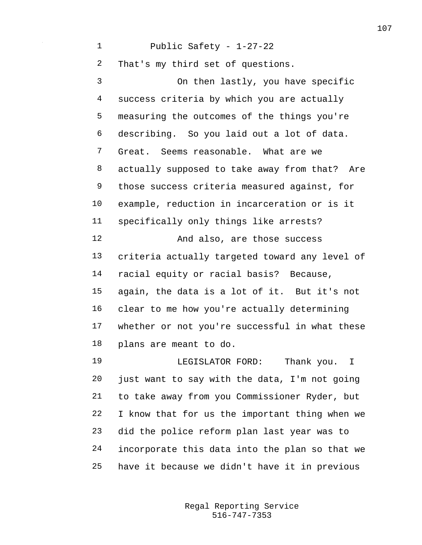Public Safety - 1-27-22 That's my third set of questions. On then lastly, you have specific success criteria by which you are actually measuring the outcomes of the things you're describing. So you laid out a lot of data. Great. Seems reasonable. What are we actually supposed to take away from that? Are those success criteria measured against, for example, reduction in incarceration or is it specifically only things like arrests? And also, are those success criteria actually targeted toward any level of racial equity or racial basis? Because, again, the data is a lot of it. But it's not clear to me how you're actually determining whether or not you're successful in what these plans are meant to do. LEGISLATOR FORD: Thank you. I

 just want to say with the data, I'm not going to take away from you Commissioner Ryder, but I know that for us the important thing when we did the police reform plan last year was to incorporate this data into the plan so that we have it because we didn't have it in previous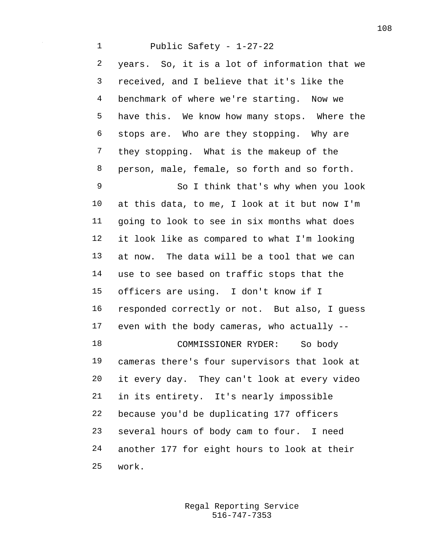Public Safety - 1-27-22 years. So, it is a lot of information that we received, and I believe that it's like the benchmark of where we're starting. Now we have this. We know how many stops. Where the stops are. Who are they stopping. Why are they stopping. What is the makeup of the person, male, female, so forth and so forth. So I think that's why when you look at this data, to me, I look at it but now I'm going to look to see in six months what does it look like as compared to what I'm looking at now. The data will be a tool that we can use to see based on traffic stops that the officers are using. I don't know if I responded correctly or not. But also, I guess even with the body cameras, who actually -- COMMISSIONER RYDER: So body cameras there's four supervisors that look at it every day. They can't look at every video in its entirety. It's nearly impossible because you'd be duplicating 177 officers several hours of body cam to four. I need another 177 for eight hours to look at their work.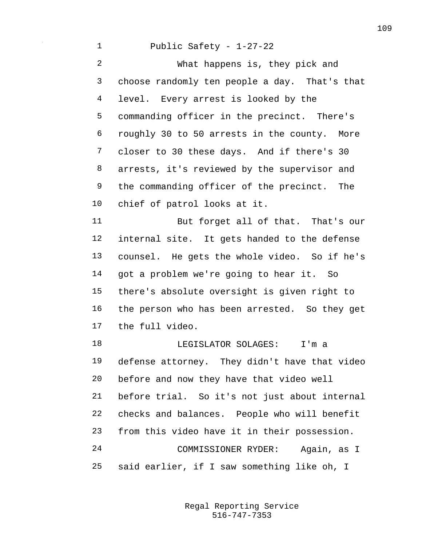## Public Safety - 1-27-22

 What happens is, they pick and choose randomly ten people a day. That's that level. Every arrest is looked by the commanding officer in the precinct. There's roughly 30 to 50 arrests in the county. More closer to 30 these days. And if there's 30 arrests, it's reviewed by the supervisor and the commanding officer of the precinct. The chief of patrol looks at it.

 But forget all of that. That's our internal site. It gets handed to the defense counsel. He gets the whole video. So if he's got a problem we're going to hear it. So there's absolute oversight is given right to the person who has been arrested. So they get the full video.

 LEGISLATOR SOLAGES: I'm a defense attorney. They didn't have that video before and now they have that video well before trial. So it's not just about internal checks and balances. People who will benefit from this video have it in their possession. COMMISSIONER RYDER: Again, as I said earlier, if I saw something like oh, I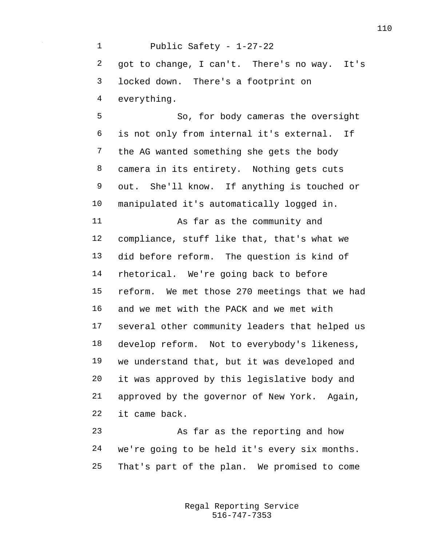Public Safety - 1-27-22 got to change, I can't. There's no way. It's locked down. There's a footprint on everything. So, for body cameras the oversight is not only from internal it's external. If the AG wanted something she gets the body camera in its entirety. Nothing gets cuts out. She'll know. If anything is touched or manipulated it's automatically logged in. As far as the community and compliance, stuff like that, that's what we did before reform. The question is kind of rhetorical. We're going back to before reform. We met those 270 meetings that we had and we met with the PACK and we met with several other community leaders that helped us develop reform. Not to everybody's likeness, we understand that, but it was developed and it was approved by this legislative body and approved by the governor of New York. Again, it came back. As far as the reporting and how we're going to be held it's every six months.

That's part of the plan. We promised to come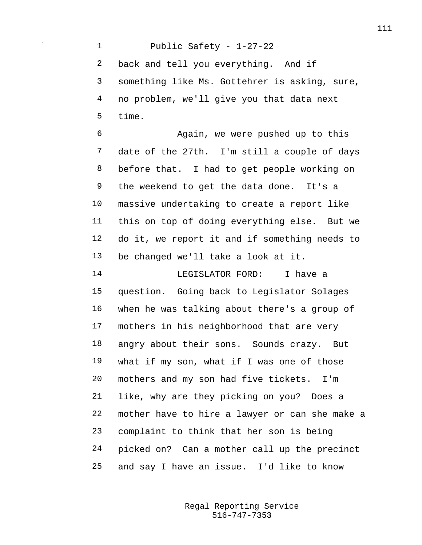Public Safety - 1-27-22 back and tell you everything. And if something like Ms. Gottehrer is asking, sure, no problem, we'll give you that data next time.

 Again, we were pushed up to this date of the 27th. I'm still a couple of days before that. I had to get people working on the weekend to get the data done. It's a massive undertaking to create a report like this on top of doing everything else. But we do it, we report it and if something needs to be changed we'll take a look at it.

 LEGISLATOR FORD: I have a question. Going back to Legislator Solages when he was talking about there's a group of mothers in his neighborhood that are very angry about their sons. Sounds crazy. But what if my son, what if I was one of those mothers and my son had five tickets. I'm like, why are they picking on you? Does a mother have to hire a lawyer or can she make a complaint to think that her son is being picked on? Can a mother call up the precinct and say I have an issue. I'd like to know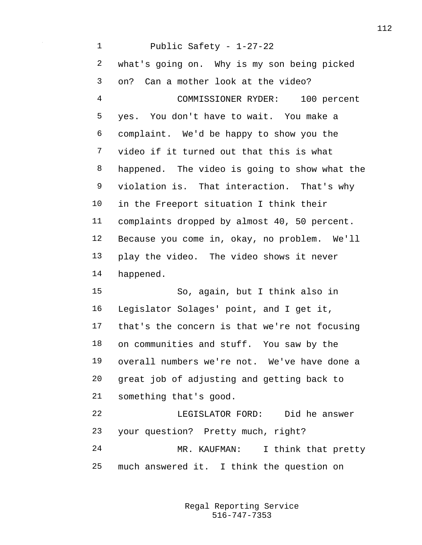Public Safety - 1-27-22 what's going on. Why is my son being picked on? Can a mother look at the video? COMMISSIONER RYDER: 100 percent yes. You don't have to wait. You make a complaint. We'd be happy to show you the video if it turned out that this is what happened. The video is going to show what the violation is. That interaction. That's why in the Freeport situation I think their complaints dropped by almost 40, 50 percent. Because you come in, okay, no problem. We'll play the video. The video shows it never happened. So, again, but I think also in Legislator Solages' point, and I get it, that's the concern is that we're not focusing on communities and stuff. You saw by the overall numbers we're not. We've have done a great job of adjusting and getting back to something that's good. LEGISLATOR FORD: Did he answer your question? Pretty much, right? MR. KAUFMAN: I think that pretty much answered it. I think the question on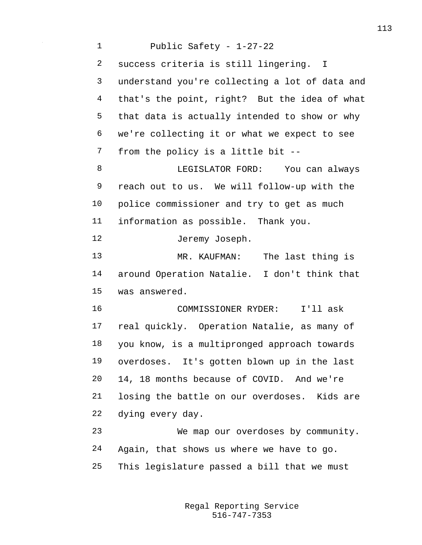Public Safety - 1-27-22 success criteria is still lingering. I understand you're collecting a lot of data and that's the point, right? But the idea of what that data is actually intended to show or why we're collecting it or what we expect to see from the policy is a little bit -- LEGISLATOR FORD: You can always reach out to us. We will follow-up with the police commissioner and try to get as much information as possible. Thank you. Jeremy Joseph. MR. KAUFMAN: The last thing is around Operation Natalie. I don't think that was answered. COMMISSIONER RYDER: I'll ask real quickly. Operation Natalie, as many of you know, is a multipronged approach towards overdoses. It's gotten blown up in the last 14, 18 months because of COVID. And we're losing the battle on our overdoses. Kids are dying every day. We map our overdoses by community. Again, that shows us where we have to go. This legislature passed a bill that we must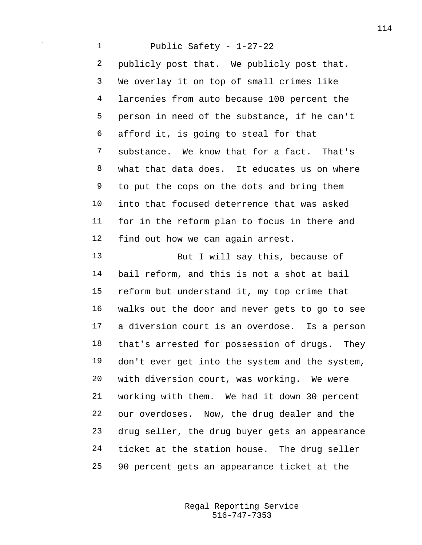Public Safety - 1-27-22 publicly post that. We publicly post that. We overlay it on top of small crimes like larcenies from auto because 100 percent the person in need of the substance, if he can't afford it, is going to steal for that substance. We know that for a fact. That's what that data does. It educates us on where to put the cops on the dots and bring them into that focused deterrence that was asked for in the reform plan to focus in there and find out how we can again arrest.

 But I will say this, because of bail reform, and this is not a shot at bail reform but understand it, my top crime that walks out the door and never gets to go to see a diversion court is an overdose. Is a person that's arrested for possession of drugs. They don't ever get into the system and the system, with diversion court, was working. We were working with them. We had it down 30 percent our overdoses. Now, the drug dealer and the drug seller, the drug buyer gets an appearance ticket at the station house. The drug seller 90 percent gets an appearance ticket at the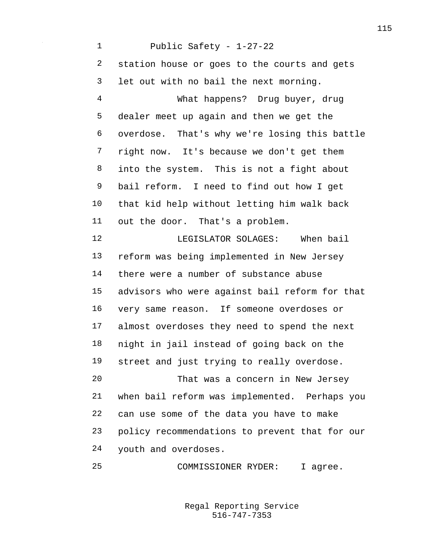Public Safety - 1-27-22 station house or goes to the courts and gets let out with no bail the next morning. What happens? Drug buyer, drug dealer meet up again and then we get the overdose. That's why we're losing this battle right now. It's because we don't get them into the system. This is not a fight about bail reform. I need to find out how I get that kid help without letting him walk back out the door. That's a problem. 12 LEGISLATOR SOLAGES: When bail reform was being implemented in New Jersey there were a number of substance abuse advisors who were against bail reform for that very same reason. If someone overdoses or almost overdoses they need to spend the next night in jail instead of going back on the street and just trying to really overdose. That was a concern in New Jersey when bail reform was implemented. Perhaps you can use some of the data you have to make policy recommendations to prevent that for our youth and overdoses. COMMISSIONER RYDER: I agree.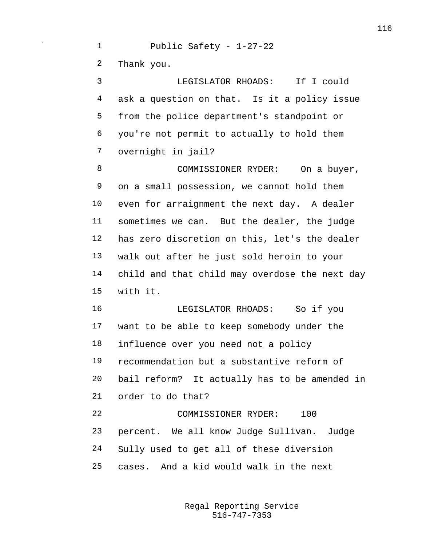Public Safety - 1-27-22 Thank you. LEGISLATOR RHOADS: If I could

 ask a question on that. Is it a policy issue from the police department's standpoint or you're not permit to actually to hold them overnight in jail?

8 COMMISSIONER RYDER: On a buyer, on a small possession, we cannot hold them even for arraignment the next day. A dealer sometimes we can. But the dealer, the judge has zero discretion on this, let's the dealer walk out after he just sold heroin to your child and that child may overdose the next day with it.

 LEGISLATOR RHOADS: So if you want to be able to keep somebody under the influence over you need not a policy recommendation but a substantive reform of bail reform? It actually has to be amended in order to do that?

 COMMISSIONER RYDER: 100 percent. We all know Judge Sullivan. Judge Sully used to get all of these diversion cases. And a kid would walk in the next

> 516-747-7353 Regal Reporting Service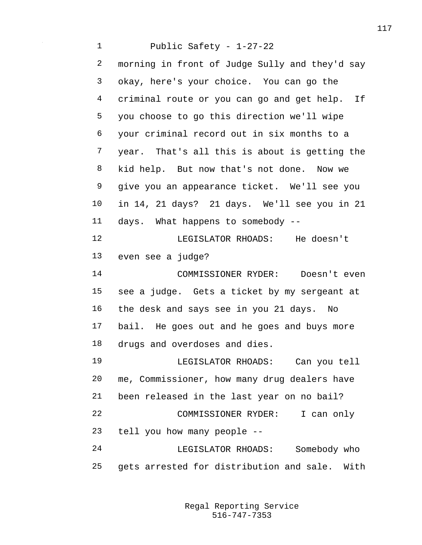Public Safety - 1-27-22 morning in front of Judge Sully and they'd say okay, here's your choice. You can go the criminal route or you can go and get help. If you choose to go this direction we'll wipe your criminal record out in six months to a year. That's all this is about is getting the kid help. But now that's not done. Now we give you an appearance ticket. We'll see you in 14, 21 days? 21 days. We'll see you in 21 days. What happens to somebody -- LEGISLATOR RHOADS: He doesn't even see a judge? COMMISSIONER RYDER: Doesn't even see a judge. Gets a ticket by my sergeant at the desk and says see in you 21 days. No bail. He goes out and he goes and buys more drugs and overdoses and dies. LEGISLATOR RHOADS: Can you tell me, Commissioner, how many drug dealers have been released in the last year on no bail? COMMISSIONER RYDER: I can only tell you how many people -- LEGISLATOR RHOADS: Somebody who gets arrested for distribution and sale. With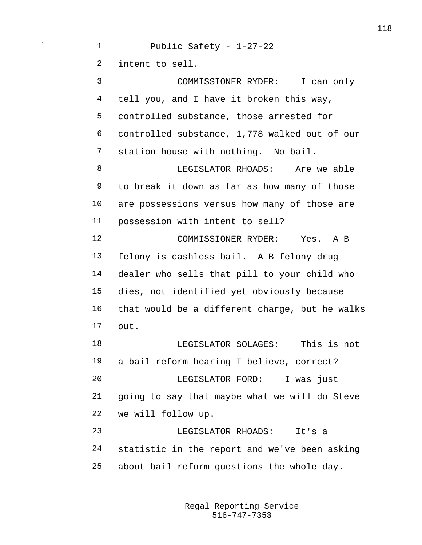Public Safety - 1-27-22 intent to sell. COMMISSIONER RYDER: I can only tell you, and I have it broken this way, controlled substance, those arrested for controlled substance, 1,778 walked out of our station house with nothing. No bail. **B** LEGISLATOR RHOADS: Are we able to break it down as far as how many of those are possessions versus how many of those are possession with intent to sell? COMMISSIONER RYDER: Yes. A B felony is cashless bail. A B felony drug dealer who sells that pill to your child who dies, not identified yet obviously because that would be a different charge, but he walks out. LEGISLATOR SOLAGES: This is not a bail reform hearing I believe, correct? LEGISLATOR FORD: I was just going to say that maybe what we will do Steve we will follow up. LEGISLATOR RHOADS: It's a statistic in the report and we've been asking about bail reform questions the whole day.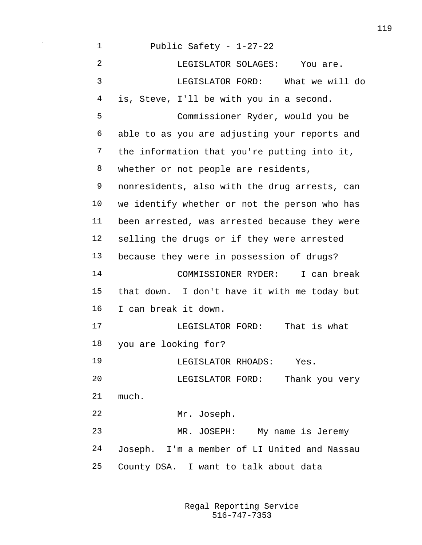Public Safety - 1-27-22 LEGISLATOR SOLAGES: You are. LEGISLATOR FORD: What we will do is, Steve, I'll be with you in a second. Commissioner Ryder, would you be able to as you are adjusting your reports and the information that you're putting into it, whether or not people are residents, nonresidents, also with the drug arrests, can we identify whether or not the person who has been arrested, was arrested because they were selling the drugs or if they were arrested because they were in possession of drugs? COMMISSIONER RYDER: I can break that down. I don't have it with me today but I can break it down. LEGISLATOR FORD: That is what you are looking for? LEGISLATOR RHOADS: Yes. LEGISLATOR FORD: Thank you very much. Mr. Joseph. MR. JOSEPH: My name is Jeremy Joseph. I'm a member of LI United and Nassau County DSA. I want to talk about data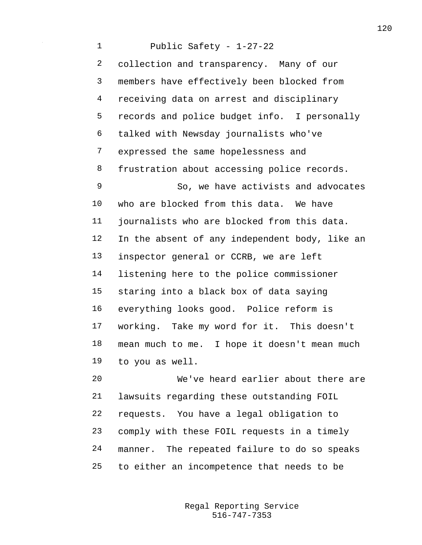Public Safety - 1-27-22 collection and transparency. Many of our members have effectively been blocked from receiving data on arrest and disciplinary records and police budget info. I personally talked with Newsday journalists who've expressed the same hopelessness and frustration about accessing police records. 9 So, we have activists and advocates who are blocked from this data. We have journalists who are blocked from this data. 12 In the absent of any independent body, like an inspector general or CCRB, we are left listening here to the police commissioner staring into a black box of data saying everything looks good. Police reform is working. Take my word for it. This doesn't mean much to me. I hope it doesn't mean much to you as well. We've heard earlier about there are lawsuits regarding these outstanding FOIL

 requests. You have a legal obligation to comply with these FOIL requests in a timely manner. The repeated failure to do so speaks to either an incompetence that needs to be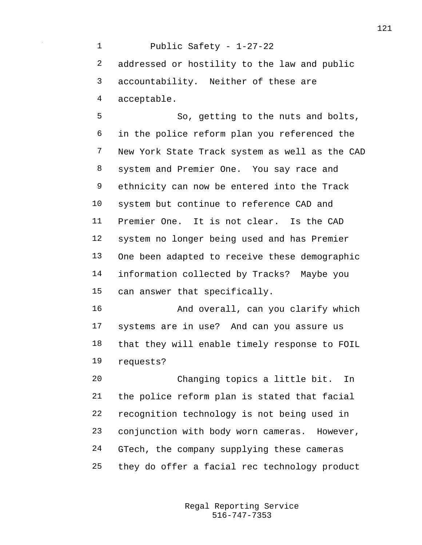Public Safety - 1-27-22 addressed or hostility to the law and public accountability. Neither of these are acceptable. So, getting to the nuts and bolts, in the police reform plan you referenced the New York State Track system as well as the CAD system and Premier One. You say race and ethnicity can now be entered into the Track system but continue to reference CAD and Premier One. It is not clear. Is the CAD system no longer being used and has Premier One been adapted to receive these demographic information collected by Tracks? Maybe you can answer that specifically. And overall, can you clarify which systems are in use? And can you assure us

requests?

 Changing topics a little bit. In the police reform plan is stated that facial recognition technology is not being used in conjunction with body worn cameras. However, GTech, the company supplying these cameras they do offer a facial rec technology product

that they will enable timely response to FOIL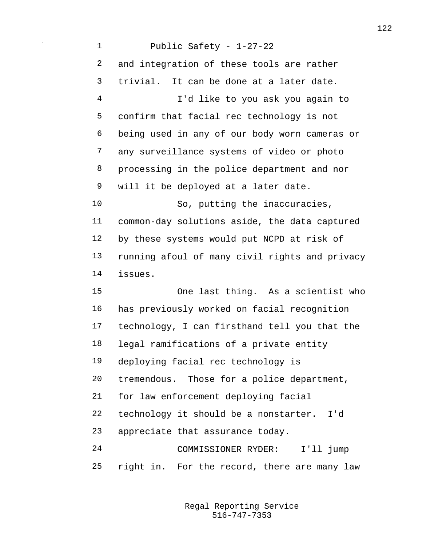Public Safety - 1-27-22 and integration of these tools are rather trivial. It can be done at a later date. I'd like to you ask you again to confirm that facial rec technology is not being used in any of our body worn cameras or any surveillance systems of video or photo processing in the police department and nor will it be deployed at a later date. 10 So, putting the inaccuracies, common-day solutions aside, the data captured by these systems would put NCPD at risk of running afoul of many civil rights and privacy issues. One last thing. As a scientist who has previously worked on facial recognition technology, I can firsthand tell you that the legal ramifications of a private entity deploying facial rec technology is tremendous. Those for a police department, for law enforcement deploying facial technology it should be a nonstarter. I'd appreciate that assurance today. COMMISSIONER RYDER: I'll jump right in. For the record, there are many law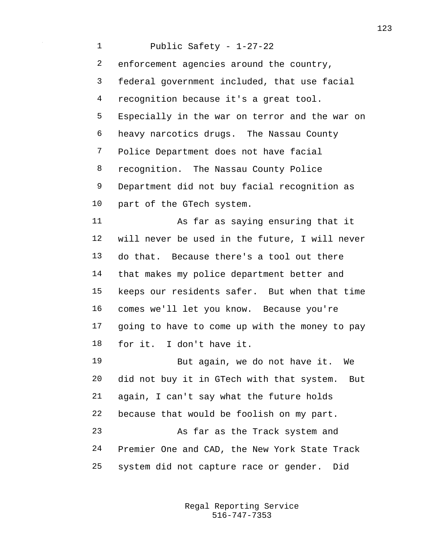Public Safety - 1-27-22 enforcement agencies around the country, federal government included, that use facial recognition because it's a great tool. Especially in the war on terror and the war on heavy narcotics drugs. The Nassau County Police Department does not have facial recognition. The Nassau County Police Department did not buy facial recognition as part of the GTech system. As far as saying ensuring that it will never be used in the future, I will never do that. Because there's a tool out there that makes my police department better and keeps our residents safer. But when that time comes we'll let you know. Because you're going to have to come up with the money to pay for it. I don't have it. But again, we do not have it. We did not buy it in GTech with that system. But again, I can't say what the future holds because that would be foolish on my part. As far as the Track system and Premier One and CAD, the New York State Track system did not capture race or gender. Did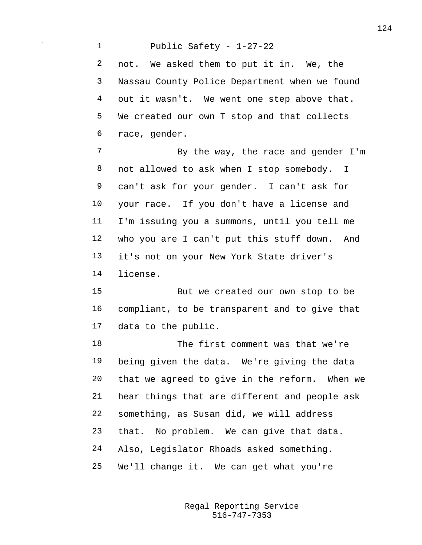Public Safety - 1-27-22 not. We asked them to put it in. We, the Nassau County Police Department when we found out it wasn't. We went one step above that. We created our own T stop and that collects race, gender. 7 By the way, the race and gender I'm not allowed to ask when I stop somebody. I can't ask for your gender. I can't ask for your race. If you don't have a license and I'm issuing you a summons, until you tell me who you are I can't put this stuff down. And it's not on your New York State driver's license. But we created our own stop to be compliant, to be transparent and to give that data to the public. 18 The first comment was that we're

 being given the data. We're giving the data that we agreed to give in the reform. When we hear things that are different and people ask something, as Susan did, we will address that. No problem. We can give that data. Also, Legislator Rhoads asked something. We'll change it. We can get what you're

> 516-747-7353 Regal Reporting Service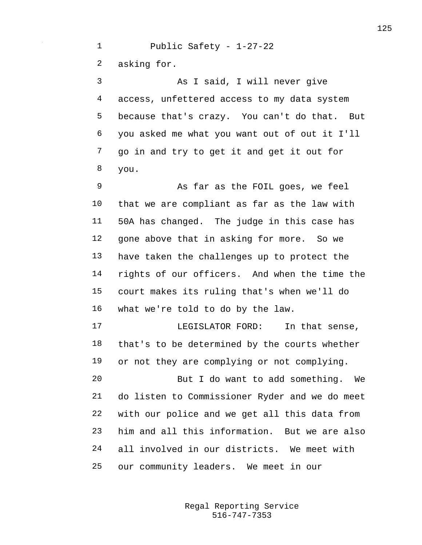Public Safety - 1-27-22 asking for. As I said, I will never give access, unfettered access to my data system because that's crazy. You can't do that. But

 you asked me what you want out of out it I'll go in and try to get it and get it out for you.

 As far as the FOIL goes, we feel that we are compliant as far as the law with 50A has changed. The judge in this case has gone above that in asking for more. So we have taken the challenges up to protect the rights of our officers. And when the time the court makes its ruling that's when we'll do what we're told to do by the law.

 LEGISLATOR FORD: In that sense, that's to be determined by the courts whether or not they are complying or not complying.

 But I do want to add something. We do listen to Commissioner Ryder and we do meet with our police and we get all this data from him and all this information. But we are also all involved in our districts. We meet with our community leaders. We meet in our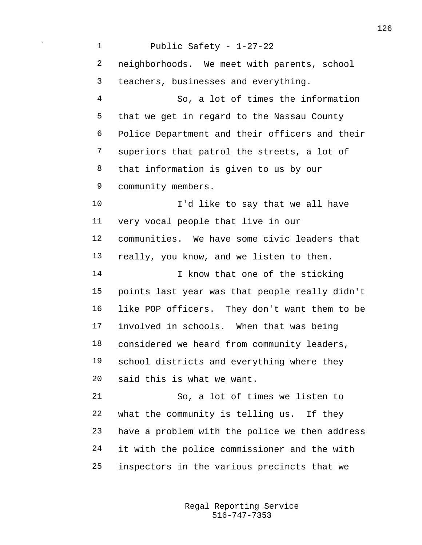Public Safety - 1-27-22 neighborhoods. We meet with parents, school teachers, businesses and everything. So, a lot of times the information that we get in regard to the Nassau County Police Department and their officers and their superiors that patrol the streets, a lot of that information is given to us by our community members. 10 I'd like to say that we all have very vocal people that live in our communities. We have some civic leaders that really, you know, and we listen to them. 14 I know that one of the sticking points last year was that people really didn't like POP officers. They don't want them to be involved in schools. When that was being considered we heard from community leaders, school districts and everything where they said this is what we want. So, a lot of times we listen to what the community is telling us. If they have a problem with the police we then address it with the police commissioner and the with inspectors in the various precincts that we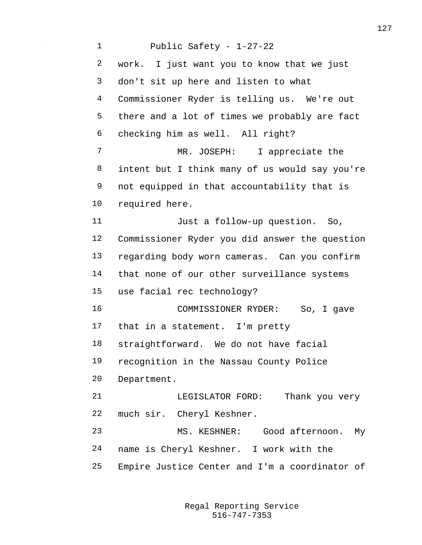Public Safety - 1-27-22 work. I just want you to know that we just don't sit up here and listen to what Commissioner Ryder is telling us. We're out there and a lot of times we probably are fact checking him as well. All right? MR. JOSEPH: I appreciate the intent but I think many of us would say you're not equipped in that accountability that is required here. Just a follow-up question. So, Commissioner Ryder you did answer the question regarding body worn cameras. Can you confirm that none of our other surveillance systems use facial rec technology? COMMISSIONER RYDER: So, I gave that in a statement. I'm pretty straightforward. We do not have facial recognition in the Nassau County Police Department. LEGISLATOR FORD: Thank you very much sir. Cheryl Keshner. MS. KESHNER: Good afternoon. My name is Cheryl Keshner. I work with the Empire Justice Center and I'm a coordinator of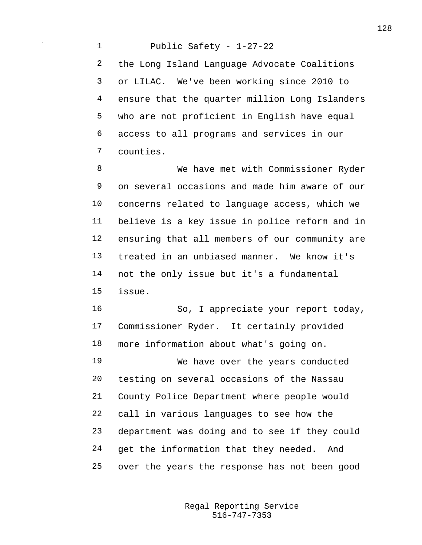Public Safety - 1-27-22 the Long Island Language Advocate Coalitions or LILAC. We've been working since 2010 to ensure that the quarter million Long Islanders who are not proficient in English have equal access to all programs and services in our counties.

 We have met with Commissioner Ryder on several occasions and made him aware of our concerns related to language access, which we believe is a key issue in police reform and in ensuring that all members of our community are treated in an unbiased manner. We know it's not the only issue but it's a fundamental issue.

16 So, I appreciate your report today, Commissioner Ryder. It certainly provided more information about what's going on. We have over the years conducted testing on several occasions of the Nassau County Police Department where people would call in various languages to see how the department was doing and to see if they could get the information that they needed. And over the years the response has not been good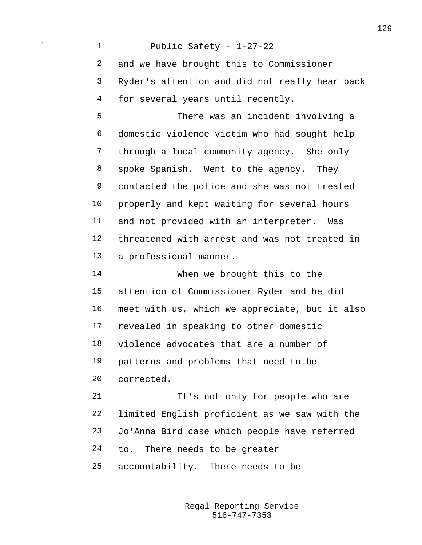Public Safety - 1-27-22 and we have brought this to Commissioner Ryder's attention and did not really hear back for several years until recently.

 There was an incident involving a domestic violence victim who had sought help through a local community agency. She only spoke Spanish. Went to the agency. They contacted the police and she was not treated properly and kept waiting for several hours and not provided with an interpreter. Was threatened with arrest and was not treated in a professional manner.

 When we brought this to the attention of Commissioner Ryder and he did meet with us, which we appreciate, but it also revealed in speaking to other domestic violence advocates that are a number of patterns and problems that need to be corrected.

 It's not only for people who are limited English proficient as we saw with the Jo'Anna Bird case which people have referred to. There needs to be greater

accountability. There needs to be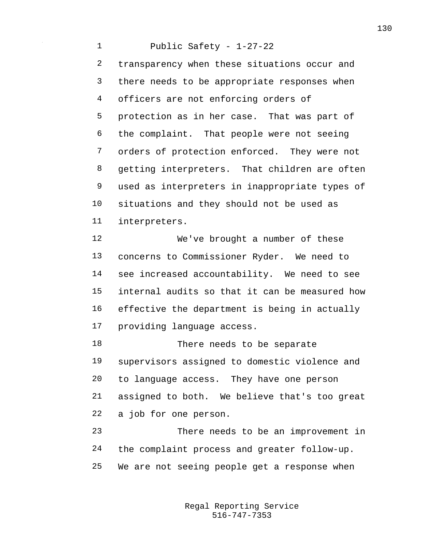Public Safety - 1-27-22 transparency when these situations occur and there needs to be appropriate responses when officers are not enforcing orders of protection as in her case. That was part of the complaint. That people were not seeing orders of protection enforced. They were not getting interpreters. That children are often used as interpreters in inappropriate types of situations and they should not be used as interpreters. We've brought a number of these concerns to Commissioner Ryder. We need to see increased accountability. We need to see internal audits so that it can be measured how effective the department is being in actually providing language access. 18 There needs to be separate supervisors assigned to domestic violence and

 to language access. They have one person assigned to both. We believe that's too great a job for one person.

 There needs to be an improvement in the complaint process and greater follow-up. We are not seeing people get a response when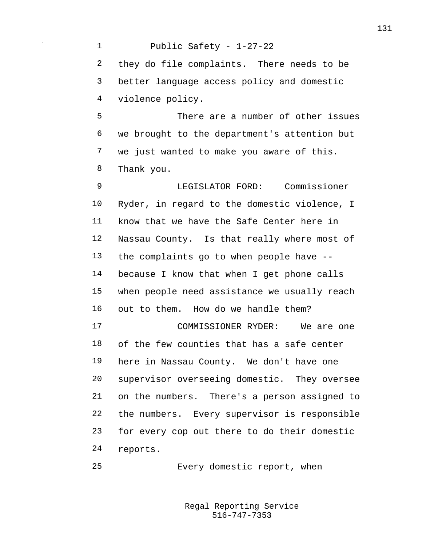Public Safety - 1-27-22 they do file complaints. There needs to be better language access policy and domestic violence policy. There are a number of other issues we brought to the department's attention but we just wanted to make you aware of this. Thank you. LEGISLATOR FORD: Commissioner Ryder, in regard to the domestic violence, I know that we have the Safe Center here in Nassau County. Is that really where most of the complaints go to when people have -- because I know that when I get phone calls when people need assistance we usually reach out to them. How do we handle them? COMMISSIONER RYDER: We are one of the few counties that has a safe center here in Nassau County. We don't have one supervisor overseeing domestic. They oversee on the numbers. There's a person assigned to the numbers. Every supervisor is responsible for every cop out there to do their domestic reports. Every domestic report, when

> 516-747-7353 Regal Reporting Service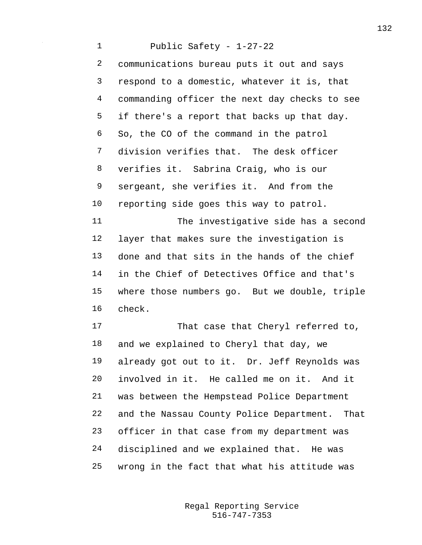Public Safety - 1-27-22 communications bureau puts it out and says respond to a domestic, whatever it is, that commanding officer the next day checks to see if there's a report that backs up that day. So, the CO of the command in the patrol division verifies that. The desk officer verifies it. Sabrina Craig, who is our sergeant, she verifies it. And from the reporting side goes this way to patrol. The investigative side has a second layer that makes sure the investigation is done and that sits in the hands of the chief in the Chief of Detectives Office and that's where those numbers go. But we double, triple check. That case that Cheryl referred to, and we explained to Cheryl that day, we already got out to it. Dr. Jeff Reynolds was involved in it. He called me on it. And it was between the Hempstead Police Department and the Nassau County Police Department. That officer in that case from my department was disciplined and we explained that. He was

wrong in the fact that what his attitude was

516-747-7353 Regal Reporting Service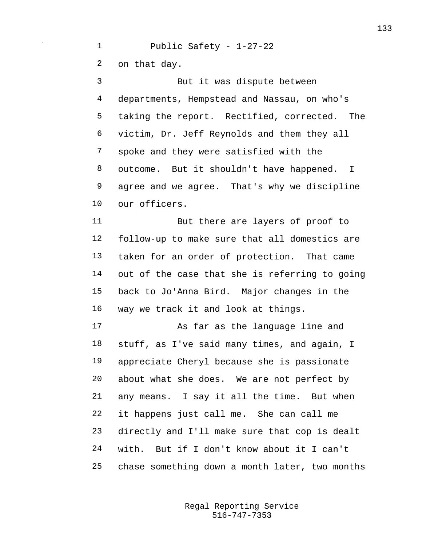Public Safety - 1-27-22 on that day. But it was dispute between departments, Hempstead and Nassau, on who's taking the report. Rectified, corrected. The victim, Dr. Jeff Reynolds and them they all spoke and they were satisfied with the outcome. But it shouldn't have happened. I agree and we agree. That's why we discipline our officers. But there are layers of proof to follow-up to make sure that all domestics are taken for an order of protection. That came out of the case that she is referring to going back to Jo'Anna Bird. Major changes in the way we track it and look at things. As far as the language line and stuff, as I've said many times, and again, I appreciate Cheryl because she is passionate about what she does. We are not perfect by

 any means. I say it all the time. But when it happens just call me. She can call me directly and I'll make sure that cop is dealt with. But if I don't know about it I can't chase something down a month later, two months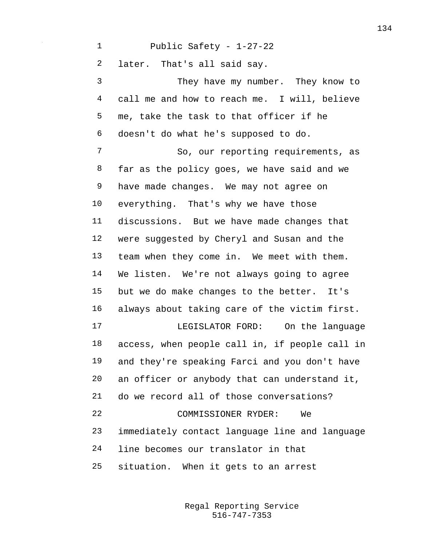## Public Safety - 1-27-22

later. That's all said say.

 They have my number. They know to call me and how to reach me. I will, believe me, take the task to that officer if he doesn't do what he's supposed to do. So, our reporting requirements, as far as the policy goes, we have said and we have made changes. We may not agree on everything. That's why we have those discussions. But we have made changes that were suggested by Cheryl and Susan and the team when they come in. We meet with them. We listen. We're not always going to agree but we do make changes to the better. It's always about taking care of the victim first. LEGISLATOR FORD: On the language access, when people call in, if people call in and they're speaking Farci and you don't have an officer or anybody that can understand it, do we record all of those conversations? COMMISSIONER RYDER: We immediately contact language line and language line becomes our translator in that situation. When it gets to an arrest

> 516-747-7353 Regal Reporting Service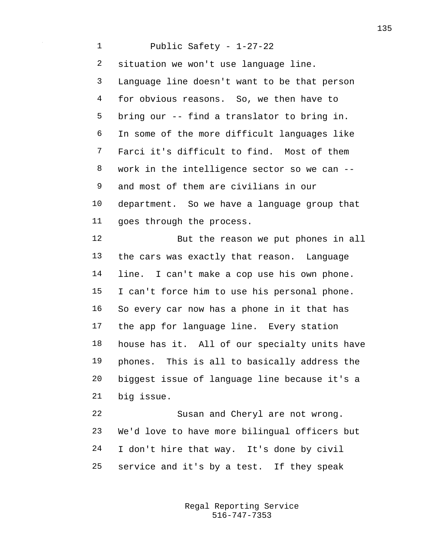Public Safety - 1-27-22 situation we won't use language line. Language line doesn't want to be that person for obvious reasons. So, we then have to bring our -- find a translator to bring in. In some of the more difficult languages like Farci it's difficult to find. Most of them work in the intelligence sector so we can -- and most of them are civilians in our department. So we have a language group that goes through the process. But the reason we put phones in all the cars was exactly that reason. Language line. I can't make a cop use his own phone. I can't force him to use his personal phone. So every car now has a phone in it that has the app for language line. Every station house has it. All of our specialty units have phones. This is all to basically address the biggest issue of language line because it's a big issue. Susan and Cheryl are not wrong. We'd love to have more bilingual officers but

service and it's by a test. If they speak

I don't hire that way. It's done by civil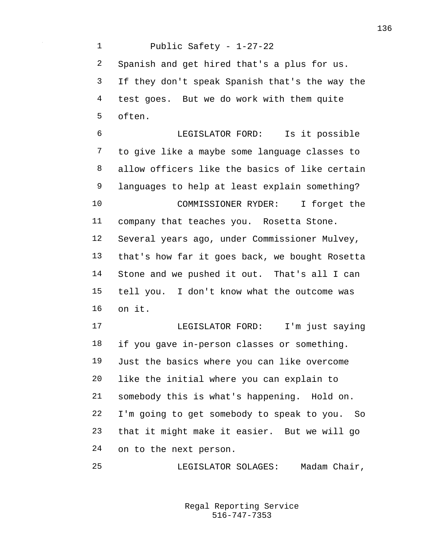Public Safety - 1-27-22 Spanish and get hired that's a plus for us. If they don't speak Spanish that's the way the test goes. But we do work with them quite often. LEGISLATOR FORD: Is it possible to give like a maybe some language classes to allow officers like the basics of like certain languages to help at least explain something? COMMISSIONER RYDER: I forget the company that teaches you. Rosetta Stone. Several years ago, under Commissioner Mulvey, that's how far it goes back, we bought Rosetta Stone and we pushed it out. That's all I can tell you. I don't know what the outcome was on it. LEGISLATOR FORD: I'm just saying if you gave in-person classes or something. Just the basics where you can like overcome like the initial where you can explain to somebody this is what's happening. Hold on. I'm going to get somebody to speak to you. So that it might make it easier. But we will go on to the next person. LEGISLATOR SOLAGES: Madam Chair,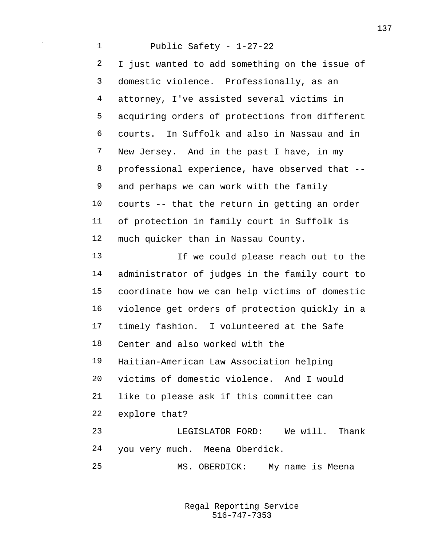Public Safety - 1-27-22 I just wanted to add something on the issue of domestic violence. Professionally, as an attorney, I've assisted several victims in acquiring orders of protections from different courts. In Suffolk and also in Nassau and in New Jersey. And in the past I have, in my professional experience, have observed that -- and perhaps we can work with the family courts -- that the return in getting an order of protection in family court in Suffolk is much quicker than in Nassau County. If we could please reach out to the administrator of judges in the family court to coordinate how we can help victims of domestic violence get orders of protection quickly in a timely fashion. I volunteered at the Safe Center and also worked with the Haitian-American Law Association helping victims of domestic violence. And I would like to please ask if this committee can explore that? LEGISLATOR FORD: We will. Thank you very much. Meena Oberdick. MS. OBERDICK: My name is Meena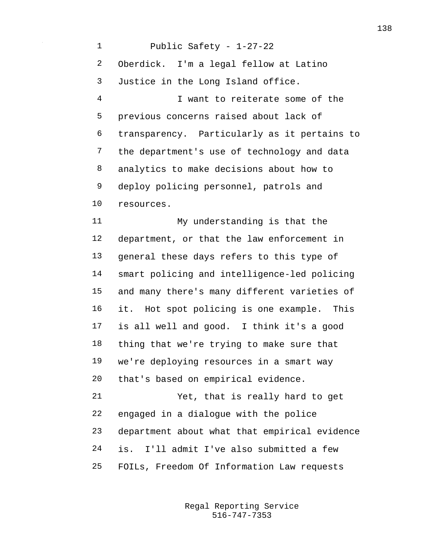Public Safety - 1-27-22 Oberdick. I'm a legal fellow at Latino Justice in the Long Island office. I want to reiterate some of the previous concerns raised about lack of transparency. Particularly as it pertains to the department's use of technology and data analytics to make decisions about how to deploy policing personnel, patrols and resources. My understanding is that the department, or that the law enforcement in general these days refers to this type of smart policing and intelligence-led policing and many there's many different varieties of it. Hot spot policing is one example. This is all well and good. I think it's a good thing that we're trying to make sure that we're deploying resources in a smart way that's based on empirical evidence. Yet, that is really hard to get engaged in a dialogue with the police department about what that empirical evidence is. I'll admit I've also submitted a few FOILs, Freedom Of Information Law requests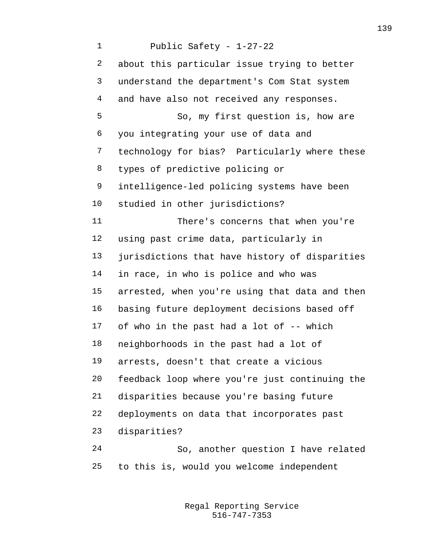Public Safety - 1-27-22 about this particular issue trying to better understand the department's Com Stat system 4 and have also not received any responses. So, my first question is, how are you integrating your use of data and technology for bias? Particularly where these types of predictive policing or intelligence-led policing systems have been studied in other jurisdictions? There's concerns that when you're using past crime data, particularly in jurisdictions that have history of disparities in race, in who is police and who was arrested, when you're using that data and then basing future deployment decisions based off of who in the past had a lot of -- which neighborhoods in the past had a lot of arrests, doesn't that create a vicious feedback loop where you're just continuing the disparities because you're basing future deployments on data that incorporates past disparities? So, another question I have related to this is, would you welcome independent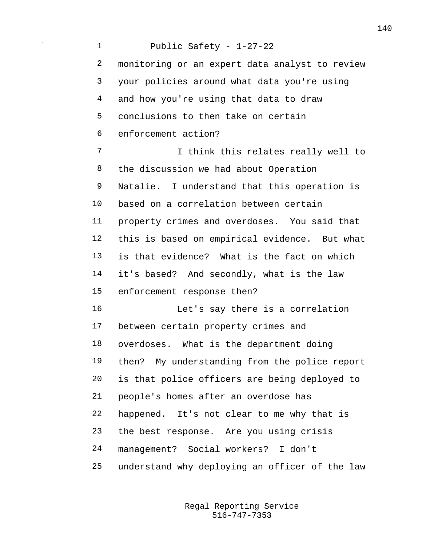Public Safety - 1-27-22 monitoring or an expert data analyst to review your policies around what data you're using and how you're using that data to draw conclusions to then take on certain enforcement action? 7 1 I think this relates really well to the discussion we had about Operation Natalie. I understand that this operation is based on a correlation between certain property crimes and overdoses. You said that this is based on empirical evidence. But what is that evidence? What is the fact on which it's based? And secondly, what is the law enforcement response then? Let's say there is a correlation between certain property crimes and overdoses. What is the department doing then? My understanding from the police report is that police officers are being deployed to people's homes after an overdose has happened. It's not clear to me why that is the best response. Are you using crisis management? Social workers? I don't understand why deploying an officer of the law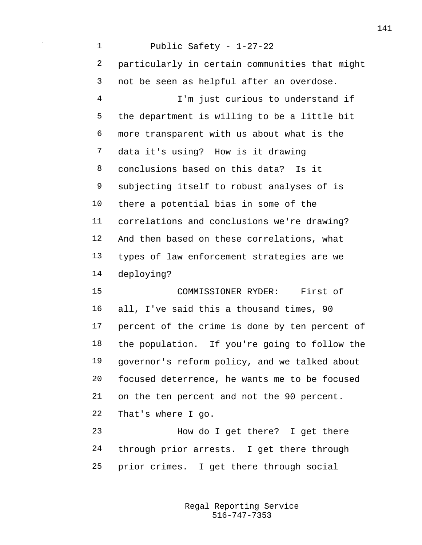Public Safety - 1-27-22 particularly in certain communities that might not be seen as helpful after an overdose. I'm just curious to understand if the department is willing to be a little bit more transparent with us about what is the data it's using? How is it drawing conclusions based on this data? Is it subjecting itself to robust analyses of is there a potential bias in some of the correlations and conclusions we're drawing? And then based on these correlations, what types of law enforcement strategies are we deploying? COMMISSIONER RYDER: First of all, I've said this a thousand times, 90 percent of the crime is done by ten percent of the population. If you're going to follow the governor's reform policy, and we talked about focused deterrence, he wants me to be focused on the ten percent and not the 90 percent. That's where I go. How do I get there? I get there through prior arrests. I get there through

prior crimes. I get there through social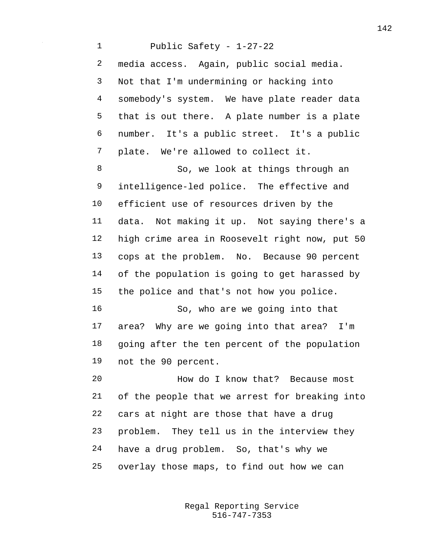Public Safety - 1-27-22 media access. Again, public social media. Not that I'm undermining or hacking into somebody's system. We have plate reader data that is out there. A plate number is a plate number. It's a public street. It's a public plate. We're allowed to collect it. 8 So, we look at things through an intelligence-led police. The effective and efficient use of resources driven by the data. Not making it up. Not saying there's a high crime area in Roosevelt right now, put 50 cops at the problem. No. Because 90 percent of the population is going to get harassed by the police and that's not how you police. So, who are we going into that area? Why are we going into that area? I'm going after the ten percent of the population not the 90 percent. How do I know that? Because most of the people that we arrest for breaking into cars at night are those that have a drug problem. They tell us in the interview they have a drug problem. So, that's why we overlay those maps, to find out how we can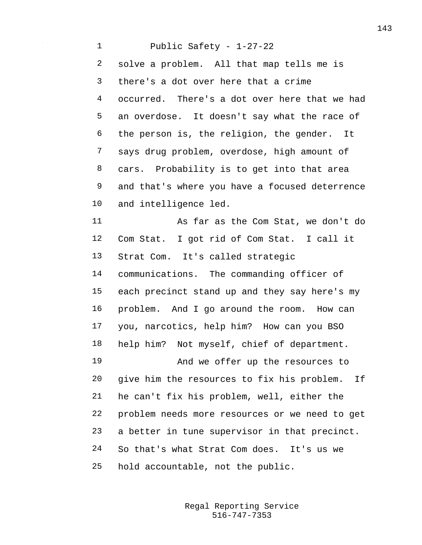Public Safety - 1-27-22 solve a problem. All that map tells me is there's a dot over here that a crime occurred. There's a dot over here that we had an overdose. It doesn't say what the race of the person is, the religion, the gender. It says drug problem, overdose, high amount of cars. Probability is to get into that area and that's where you have a focused deterrence and intelligence led. As far as the Com Stat, we don't do Com Stat. I got rid of Com Stat. I call it Strat Com. It's called strategic communications. The commanding officer of each precinct stand up and they say here's my problem. And I go around the room. How can you, narcotics, help him? How can you BSO help him? Not myself, chief of department. And we offer up the resources to give him the resources to fix his problem. If he can't fix his problem, well, either the problem needs more resources or we need to get a better in tune supervisor in that precinct. So that's what Strat Com does. It's us we hold accountable, not the public.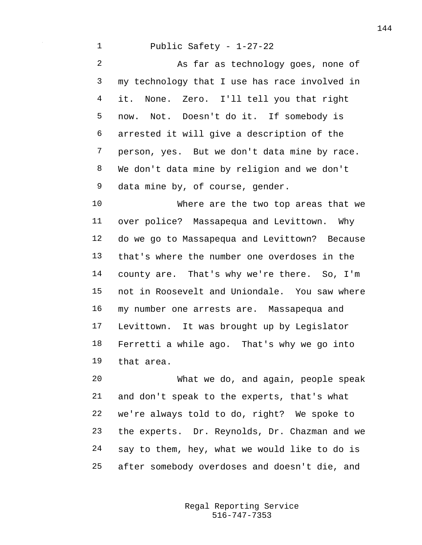## Public Safety - 1-27-22

 As far as technology goes, none of my technology that I use has race involved in it. None. Zero. I'll tell you that right now. Not. Doesn't do it. If somebody is arrested it will give a description of the person, yes. But we don't data mine by race. We don't data mine by religion and we don't 9 data mine by, of course, gender.

 Where are the two top areas that we over police? Massapequa and Levittown. Why do we go to Massapequa and Levittown? Because that's where the number one overdoses in the county are. That's why we're there. So, I'm not in Roosevelt and Uniondale. You saw where my number one arrests are. Massapequa and Levittown. It was brought up by Legislator Ferretti a while ago. That's why we go into that area.

 What we do, and again, people speak and don't speak to the experts, that's what we're always told to do, right? We spoke to the experts. Dr. Reynolds, Dr. Chazman and we say to them, hey, what we would like to do is after somebody overdoses and doesn't die, and

> 516-747-7353 Regal Reporting Service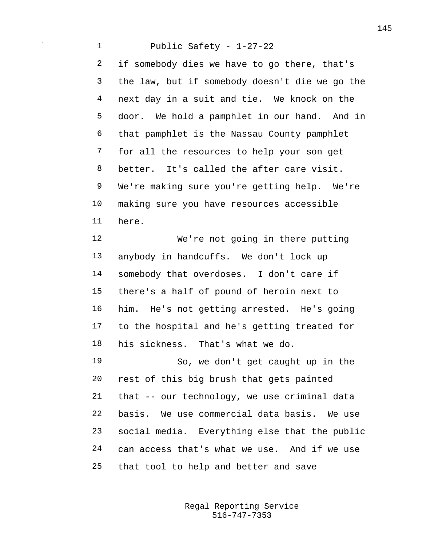Public Safety - 1-27-22 if somebody dies we have to go there, that's the law, but if somebody doesn't die we go the next day in a suit and tie. We knock on the door. We hold a pamphlet in our hand. And in that pamphlet is the Nassau County pamphlet for all the resources to help your son get better. It's called the after care visit. We're making sure you're getting help. We're making sure you have resources accessible here.

 We're not going in there putting anybody in handcuffs. We don't lock up somebody that overdoses. I don't care if there's a half of pound of heroin next to him. He's not getting arrested. He's going to the hospital and he's getting treated for his sickness. That's what we do.

 So, we don't get caught up in the rest of this big brush that gets painted that -- our technology, we use criminal data basis. We use commercial data basis. We use social media. Everything else that the public can access that's what we use. And if we use that tool to help and better and save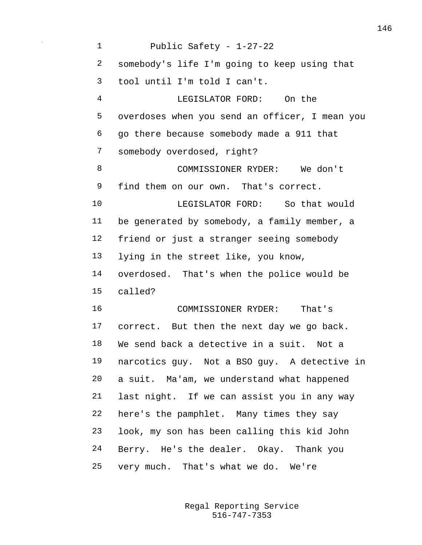Public Safety - 1-27-22 somebody's life I'm going to keep using that tool until I'm told I can't. LEGISLATOR FORD: On the overdoses when you send an officer, I mean you go there because somebody made a 911 that somebody overdosed, right? COMMISSIONER RYDER: We don't find them on our own. That's correct. LEGISLATOR FORD: So that would be generated by somebody, a family member, a friend or just a stranger seeing somebody lying in the street like, you know, overdosed. That's when the police would be called? COMMISSIONER RYDER: That's correct. But then the next day we go back. We send back a detective in a suit. Not a narcotics guy. Not a BSO guy. A detective in a suit. Ma'am, we understand what happened last night. If we can assist you in any way here's the pamphlet. Many times they say look, my son has been calling this kid John Berry. He's the dealer. Okay. Thank you very much. That's what we do. We're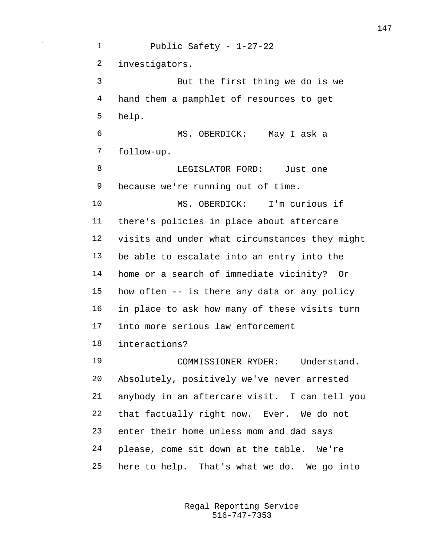Public Safety - 1-27-22 investigators. But the first thing we do is we hand them a pamphlet of resources to get help. MS. OBERDICK: May I ask a follow-up. 8 LEGISLATOR FORD: Just one because we're running out of time. MS. OBERDICK: I'm curious if there's policies in place about aftercare visits and under what circumstances they might be able to escalate into an entry into the home or a search of immediate vicinity? Or how often -- is there any data or any policy in place to ask how many of these visits turn into more serious law enforcement interactions? COMMISSIONER RYDER: Understand. Absolutely, positively we've never arrested anybody in an aftercare visit. I can tell you that factually right now. Ever. We do not enter their home unless mom and dad says please, come sit down at the table. We're here to help. That's what we do. We go into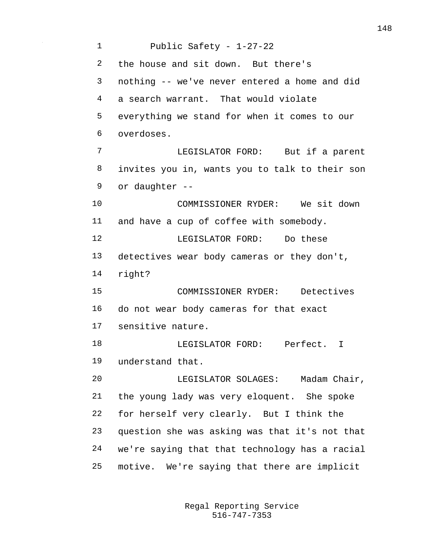Public Safety - 1-27-22 the house and sit down. But there's nothing -- we've never entered a home and did a search warrant. That would violate everything we stand for when it comes to our overdoses. LEGISLATOR FORD: But if a parent invites you in, wants you to talk to their son or daughter -- COMMISSIONER RYDER: We sit down and have a cup of coffee with somebody. LEGISLATOR FORD: Do these detectives wear body cameras or they don't, right? COMMISSIONER RYDER: Detectives do not wear body cameras for that exact sensitive nature. 18 LEGISLATOR FORD: Perfect. I understand that. LEGISLATOR SOLAGES: Madam Chair, the young lady was very eloquent. She spoke for herself very clearly. But I think the question she was asking was that it's not that we're saying that that technology has a racial motive. We're saying that there are implicit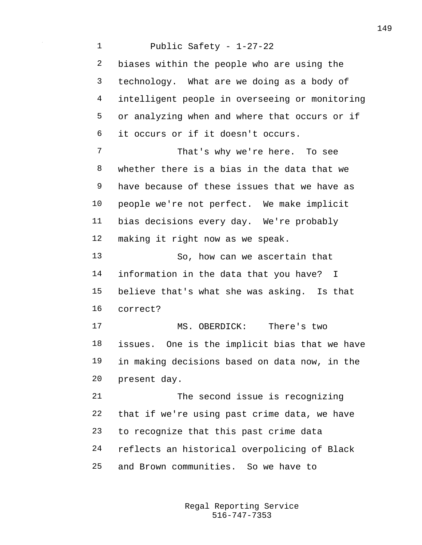Public Safety - 1-27-22 biases within the people who are using the technology. What are we doing as a body of intelligent people in overseeing or monitoring or analyzing when and where that occurs or if it occurs or if it doesn't occurs. That's why we're here. To see whether there is a bias in the data that we have because of these issues that we have as people we're not perfect. We make implicit bias decisions every day. We're probably making it right now as we speak. So, how can we ascertain that information in the data that you have? I believe that's what she was asking. Is that correct? MS. OBERDICK: There's two issues. One is the implicit bias that we have in making decisions based on data now, in the present day. The second issue is recognizing that if we're using past crime data, we have to recognize that this past crime data reflects an historical overpolicing of Black and Brown communities. So we have to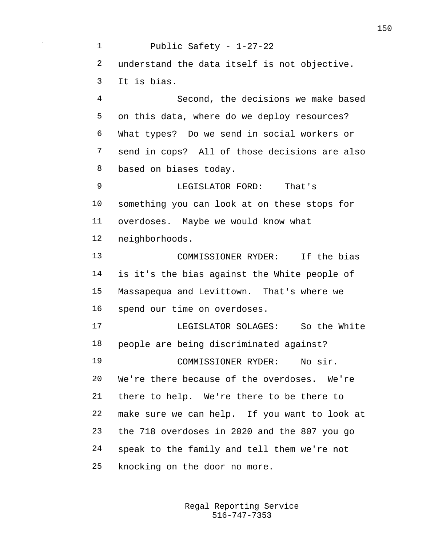Public Safety - 1-27-22 understand the data itself is not objective. It is bias. Second, the decisions we make based on this data, where do we deploy resources? What types? Do we send in social workers or send in cops? All of those decisions are also based on biases today. LEGISLATOR FORD: That's something you can look at on these stops for overdoses. Maybe we would know what neighborhoods. COMMISSIONER RYDER: If the bias is it's the bias against the White people of Massapequa and Levittown. That's where we spend our time on overdoses. LEGISLATOR SOLAGES: So the White people are being discriminated against? COMMISSIONER RYDER: No sir. We're there because of the overdoses. We're there to help. We're there to be there to make sure we can help. If you want to look at the 718 overdoses in 2020 and the 807 you go speak to the family and tell them we're not knocking on the door no more.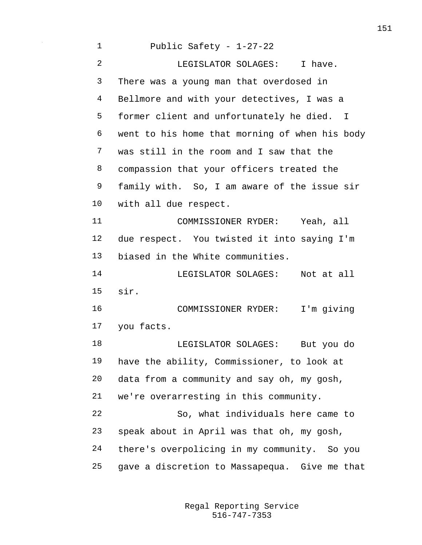| $\mathbf 1$    | Public Safety - $1-27-22$                      |
|----------------|------------------------------------------------|
| $\overline{2}$ | LEGISLATOR SOLAGES: I have.                    |
| 3              | There was a young man that overdosed in        |
| 4              | Bellmore and with your detectives, I was a     |
| 5              | former client and unfortunately he died. I     |
| 6              | went to his home that morning of when his body |
| 7              | was still in the room and I saw that the       |
| 8              | compassion that your officers treated the      |
| 9              | family with. So, I am aware of the issue sir   |
| 10             | with all due respect.                          |
| 11             | COMMISSIONER RYDER: Yeah, all                  |
| 12             | due respect. You twisted it into saying I'm    |
| 13             | biased in the White communities.               |
| 14             | LEGISLATOR SOLAGES: Not at all                 |
| 15             | sir.                                           |
| 16             | COMMISSIONER RYDER: I'm giving                 |
| 17             | you facts.                                     |
| 18             | LEGISLATOR SOLAGES: But you do                 |
| 19             | have the ability, Commissioner, to look at     |
| 20             | data from a community and say oh, my gosh,     |
| 21             | we're overarresting in this community.         |
| 22             | So, what individuals here came to              |
| 23             | speak about in April was that oh, my gosh,     |
| 24             | there's overpolicing in my community. So you   |
| 25             | gave a discretion to Massapequa. Give me that  |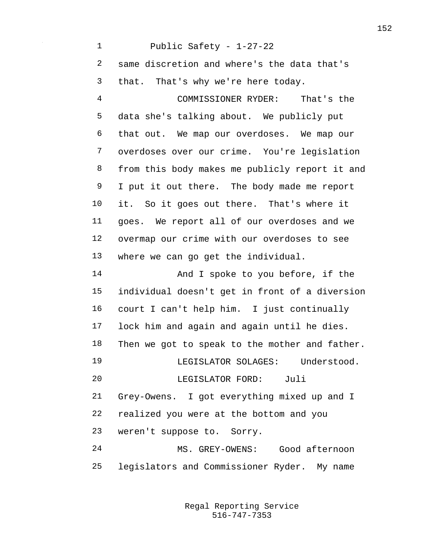Public Safety - 1-27-22 same discretion and where's the data that's that. That's why we're here today. COMMISSIONER RYDER: That's the data she's talking about. We publicly put that out. We map our overdoses. We map our overdoses over our crime. You're legislation from this body makes me publicly report it and I put it out there. The body made me report it. So it goes out there. That's where it goes. We report all of our overdoses and we overmap our crime with our overdoses to see where we can go get the individual. 14 And I spoke to you before, if the individual doesn't get in front of a diversion court I can't help him. I just continually lock him and again and again until he dies. Then we got to speak to the mother and father. LEGISLATOR SOLAGES: Understood. LEGISLATOR FORD: Juli Grey-Owens. I got everything mixed up and I realized you were at the bottom and you weren't suppose to. Sorry. MS. GREY-OWENS: Good afternoon legislators and Commissioner Ryder. My name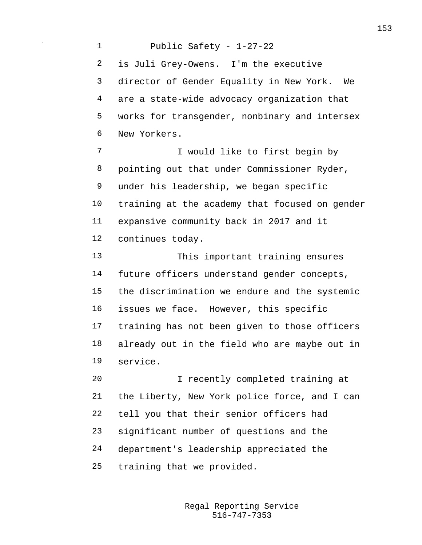Public Safety - 1-27-22 is Juli Grey-Owens. I'm the executive director of Gender Equality in New York. We are a state-wide advocacy organization that works for transgender, nonbinary and intersex New Yorkers. I would like to first begin by pointing out that under Commissioner Ryder, under his leadership, we began specific training at the academy that focused on gender expansive community back in 2017 and it continues today. This important training ensures future officers understand gender concepts, the discrimination we endure and the systemic issues we face. However, this specific training has not been given to those officers already out in the field who are maybe out in service. I recently completed training at the Liberty, New York police force, and I can tell you that their senior officers had significant number of questions and the department's leadership appreciated the training that we provided.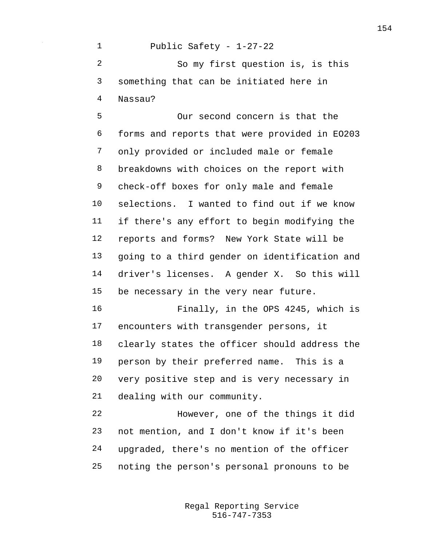Public Safety - 1-27-22 So my first question is, is this something that can be initiated here in Nassau?

 Our second concern is that the forms and reports that were provided in EO203 only provided or included male or female breakdowns with choices on the report with check-off boxes for only male and female selections. I wanted to find out if we know if there's any effort to begin modifying the reports and forms? New York State will be going to a third gender on identification and driver's licenses. A gender X. So this will be necessary in the very near future.

 Finally, in the OPS 4245, which is encounters with transgender persons, it clearly states the officer should address the person by their preferred name. This is a very positive step and is very necessary in dealing with our community.

 However, one of the things it did not mention, and I don't know if it's been upgraded, there's no mention of the officer noting the person's personal pronouns to be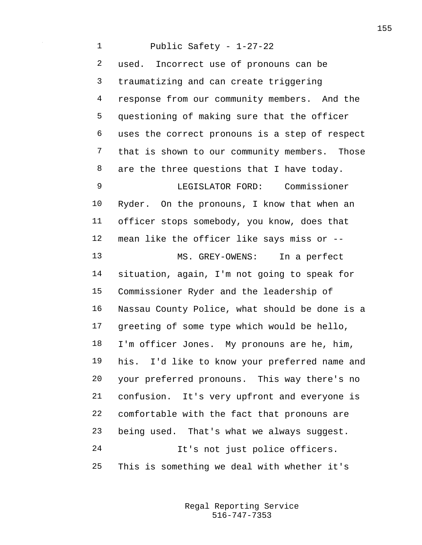Public Safety - 1-27-22 used. Incorrect use of pronouns can be traumatizing and can create triggering response from our community members. And the questioning of making sure that the officer uses the correct pronouns is a step of respect that is shown to our community members. Those 8 are the three questions that I have today. LEGISLATOR FORD: Commissioner Ryder. On the pronouns, I know that when an officer stops somebody, you know, does that mean like the officer like says miss or -- MS. GREY-OWENS: In a perfect situation, again, I'm not going to speak for Commissioner Ryder and the leadership of Nassau County Police, what should be done is a greeting of some type which would be hello, I'm officer Jones. My pronouns are he, him, his. I'd like to know your preferred name and your preferred pronouns. This way there's no confusion. It's very upfront and everyone is comfortable with the fact that pronouns are being used. That's what we always suggest. It's not just police officers. This is something we deal with whether it's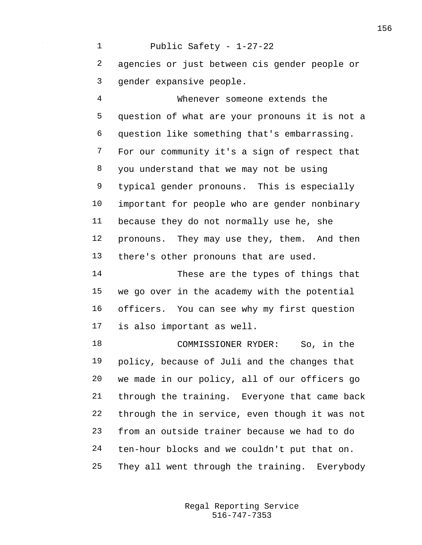Public Safety - 1-27-22 agencies or just between cis gender people or gender expansive people.

 Whenever someone extends the question of what are your pronouns it is not a question like something that's embarrassing. For our community it's a sign of respect that you understand that we may not be using typical gender pronouns. This is especially important for people who are gender nonbinary because they do not normally use he, she pronouns. They may use they, them. And then there's other pronouns that are used.

 These are the types of things that we go over in the academy with the potential officers. You can see why my first question is also important as well.

 COMMISSIONER RYDER: So, in the policy, because of Juli and the changes that we made in our policy, all of our officers go through the training. Everyone that came back through the in service, even though it was not from an outside trainer because we had to do ten-hour blocks and we couldn't put that on. They all went through the training. Everybody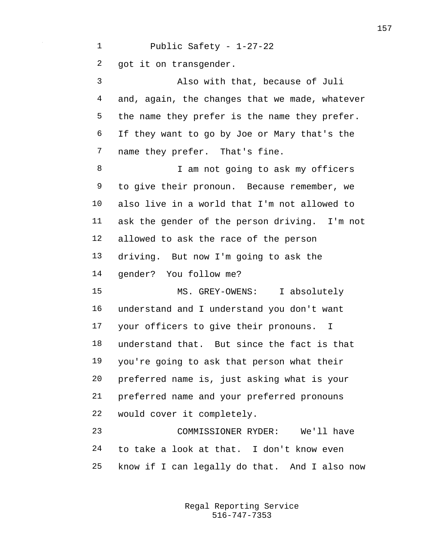Public Safety - 1-27-22 got it on transgender. Also with that, because of Juli and, again, the changes that we made, whatever the name they prefer is the name they prefer. If they want to go by Joe or Mary that's the name they prefer. That's fine. 8 I am not going to ask my officers to give their pronoun. Because remember, we also live in a world that I'm not allowed to ask the gender of the person driving. I'm not allowed to ask the race of the person driving. But now I'm going to ask the gender? You follow me? MS. GREY-OWENS: I absolutely understand and I understand you don't want your officers to give their pronouns. I understand that. But since the fact is that you're going to ask that person what their preferred name is, just asking what is your preferred name and your preferred pronouns would cover it completely. COMMISSIONER RYDER: We'll have to take a look at that. I don't know even know if I can legally do that. And I also now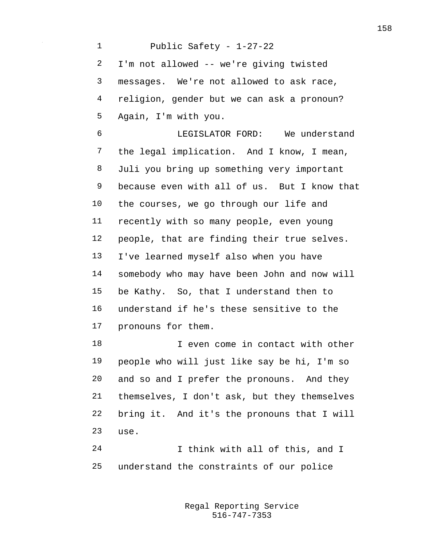Public Safety - 1-27-22 I'm not allowed -- we're giving twisted messages. We're not allowed to ask race, religion, gender but we can ask a pronoun? Again, I'm with you. LEGISLATOR FORD: We understand the legal implication. And I know, I mean, Juli you bring up something very important because even with all of us. But I know that the courses, we go through our life and recently with so many people, even young people, that are finding their true selves. I've learned myself also when you have somebody who may have been John and now will be Kathy. So, that I understand then to understand if he's these sensitive to the pronouns for them. I even come in contact with other people who will just like say be hi, I'm so and so and I prefer the pronouns. And they themselves, I don't ask, but they themselves bring it. And it's the pronouns that I will use. I think with all of this, and I

understand the constraints of our police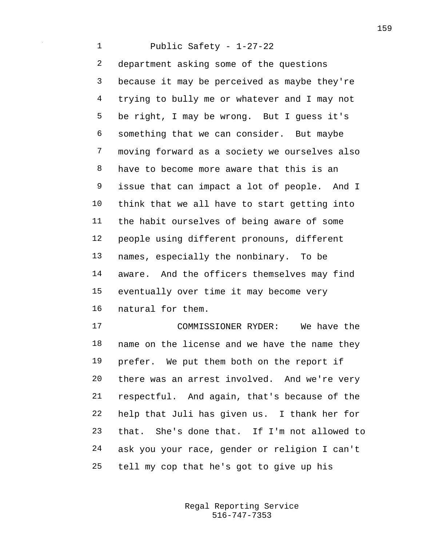Public Safety - 1-27-22 department asking some of the questions because it may be perceived as maybe they're trying to bully me or whatever and I may not be right, I may be wrong. But I guess it's something that we can consider. But maybe moving forward as a society we ourselves also have to become more aware that this is an issue that can impact a lot of people. And I think that we all have to start getting into the habit ourselves of being aware of some people using different pronouns, different names, especially the nonbinary. To be aware. And the officers themselves may find eventually over time it may become very natural for them.

 COMMISSIONER RYDER: We have the name on the license and we have the name they prefer. We put them both on the report if there was an arrest involved. And we're very respectful. And again, that's because of the help that Juli has given us. I thank her for that. She's done that. If I'm not allowed to ask you your race, gender or religion I can't tell my cop that he's got to give up his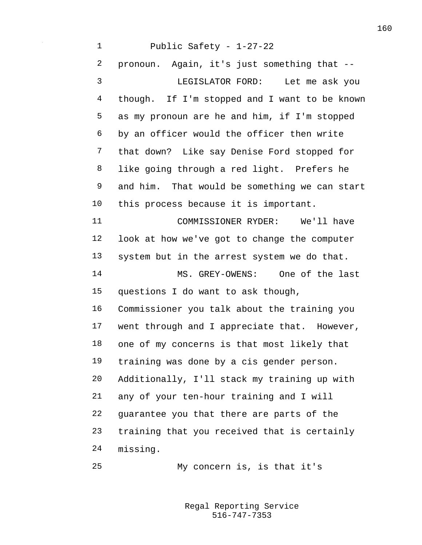Public Safety - 1-27-22 pronoun. Again, it's just something that -- LEGISLATOR FORD: Let me ask you though. If I'm stopped and I want to be known as my pronoun are he and him, if I'm stopped by an officer would the officer then write that down? Like say Denise Ford stopped for like going through a red light. Prefers he and him. That would be something we can start this process because it is important. COMMISSIONER RYDER: We'll have look at how we've got to change the computer system but in the arrest system we do that. MS. GREY-OWENS: One of the last questions I do want to ask though, Commissioner you talk about the training you went through and I appreciate that. However, one of my concerns is that most likely that training was done by a cis gender person. Additionally, I'll stack my training up with any of your ten-hour training and I will guarantee you that there are parts of the training that you received that is certainly missing. My concern is, is that it's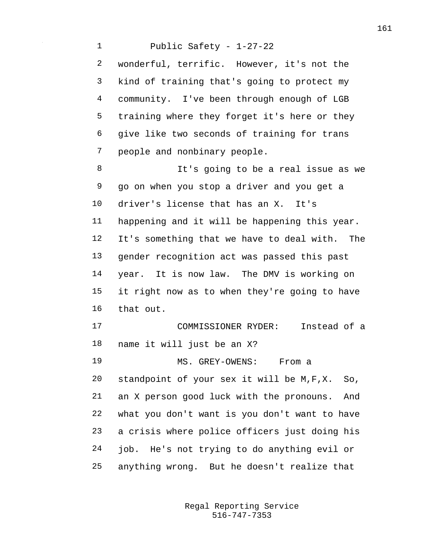Public Safety - 1-27-22 wonderful, terrific. However, it's not the kind of training that's going to protect my community. I've been through enough of LGB training where they forget it's here or they give like two seconds of training for trans people and nonbinary people. It's going to be a real issue as we go on when you stop a driver and you get a driver's license that has an X. It's happening and it will be happening this year. It's something that we have to deal with. The gender recognition act was passed this past year. It is now law. The DMV is working on it right now as to when they're going to have that out. COMMISSIONER RYDER: Instead of a name it will just be an X? MS. GREY-OWENS: From a standpoint of your sex it will be M,F,X. So, an X person good luck with the pronouns. And what you don't want is you don't want to have a crisis where police officers just doing his job. He's not trying to do anything evil or anything wrong. But he doesn't realize that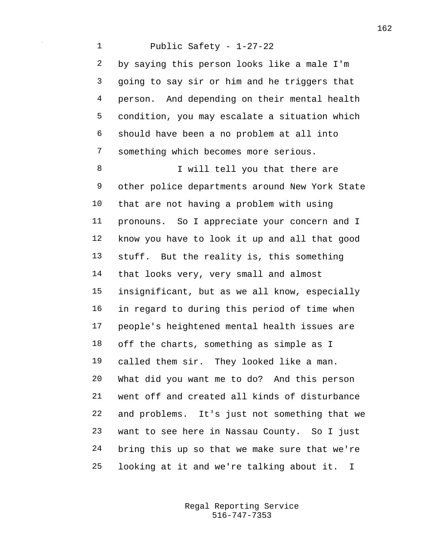Public Safety - 1-27-22 by saying this person looks like a male I'm going to say sir or him and he triggers that person. And depending on their mental health condition, you may escalate a situation which should have been a no problem at all into something which becomes more serious. 8 I will tell you that there are other police departments around New York State that are not having a problem with using pronouns. So I appreciate your concern and I know you have to look it up and all that good stuff. But the reality is, this something that looks very, very small and almost insignificant, but as we all know, especially in regard to during this period of time when people's heightened mental health issues are off the charts, something as simple as I called them sir. They looked like a man. What did you want me to do? And this person went off and created all kinds of disturbance and problems. It's just not something that we want to see here in Nassau County. So I just bring this up so that we make sure that we're looking at it and we're talking about it. I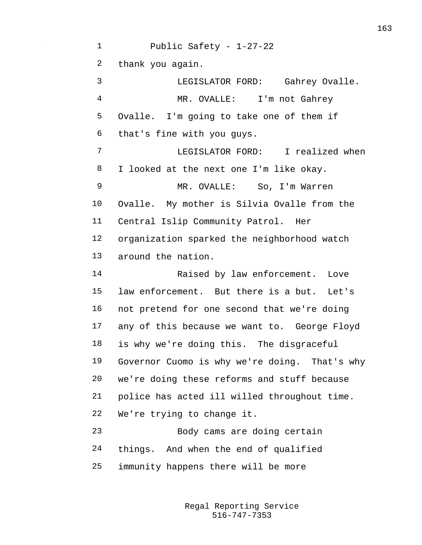Public Safety - 1-27-22 thank you again. LEGISLATOR FORD: Gahrey Ovalle. MR. OVALLE: I'm not Gahrey Ovalle. I'm going to take one of them if that's fine with you guys. LEGISLATOR FORD: I realized when I looked at the next one I'm like okay. MR. OVALLE: So, I'm Warren Ovalle. My mother is Silvia Ovalle from the Central Islip Community Patrol. Her organization sparked the neighborhood watch around the nation. Raised by law enforcement. Love law enforcement. But there is a but. Let's not pretend for one second that we're doing any of this because we want to. George Floyd is why we're doing this. The disgraceful Governor Cuomo is why we're doing. That's why we're doing these reforms and stuff because police has acted ill willed throughout time. We're trying to change it. Body cams are doing certain things. And when the end of qualified immunity happens there will be more

> 516-747-7353 Regal Reporting Service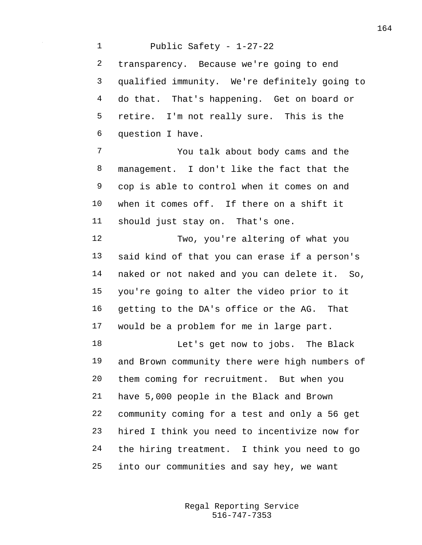Public Safety - 1-27-22 transparency. Because we're going to end qualified immunity. We're definitely going to do that. That's happening. Get on board or retire. I'm not really sure. This is the question I have. You talk about body cams and the management. I don't like the fact that the cop is able to control when it comes on and when it comes off. If there on a shift it should just stay on. That's one. Two, you're altering of what you said kind of that you can erase if a person's naked or not naked and you can delete it. So, you're going to alter the video prior to it getting to the DA's office or the AG. That would be a problem for me in large part. Let's get now to jobs. The Black and Brown community there were high numbers of them coming for recruitment. But when you have 5,000 people in the Black and Brown community coming for a test and only a 56 get hired I think you need to incentivize now for the hiring treatment. I think you need to go into our communities and say hey, we want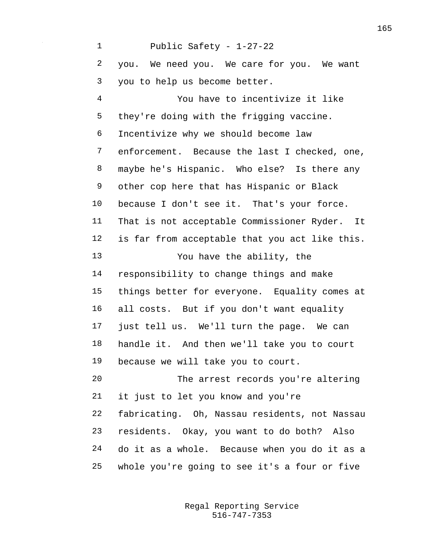Public Safety - 1-27-22 you. We need you. We care for you. We want you to help us become better. You have to incentivize it like they're doing with the frigging vaccine. Incentivize why we should become law enforcement. Because the last I checked, one, maybe he's Hispanic. Who else? Is there any other cop here that has Hispanic or Black because I don't see it. That's your force. That is not acceptable Commissioner Ryder. It is far from acceptable that you act like this. You have the ability, the responsibility to change things and make things better for everyone. Equality comes at all costs. But if you don't want equality just tell us. We'll turn the page. We can handle it. And then we'll take you to court because we will take you to court. The arrest records you're altering it just to let you know and you're fabricating. Oh, Nassau residents, not Nassau residents. Okay, you want to do both? Also do it as a whole. Because when you do it as a whole you're going to see it's a four or five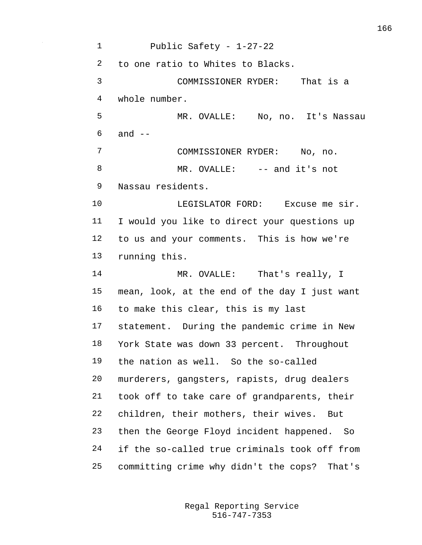Public Safety - 1-27-22 to one ratio to Whites to Blacks. COMMISSIONER RYDER: That is a whole number. MR. OVALLE: No, no. It's Nassau and  $-$  COMMISSIONER RYDER: No, no. 8 MR. OVALLE: -- and it's not Nassau residents. LEGISLATOR FORD: Excuse me sir. I would you like to direct your questions up to us and your comments. This is how we're running this. 14 MR. OVALLE: That's really, I mean, look, at the end of the day I just want to make this clear, this is my last statement. During the pandemic crime in New York State was down 33 percent. Throughout the nation as well. So the so-called murderers, gangsters, rapists, drug dealers took off to take care of grandparents, their children, their mothers, their wives. But then the George Floyd incident happened. So if the so-called true criminals took off from committing crime why didn't the cops? That's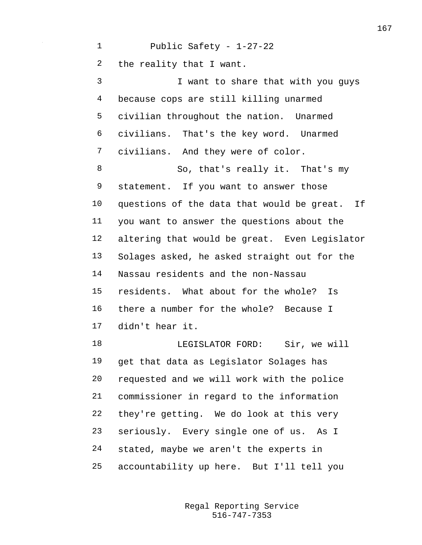Public Safety - 1-27-22 the reality that I want. I want to share that with you guys because cops are still killing unarmed civilian throughout the nation. Unarmed civilians. That's the key word. Unarmed civilians. And they were of color. 8 So, that's really it. That's my statement. If you want to answer those questions of the data that would be great. If you want to answer the questions about the altering that would be great. Even Legislator Solages asked, he asked straight out for the Nassau residents and the non-Nassau residents. What about for the whole? Is there a number for the whole? Because I didn't hear it. 18 LEGISLATOR FORD: Sir, we will get that data as Legislator Solages has requested and we will work with the police

 commissioner in regard to the information they're getting. We do look at this very seriously. Every single one of us. As I stated, maybe we aren't the experts in accountability up here. But I'll tell you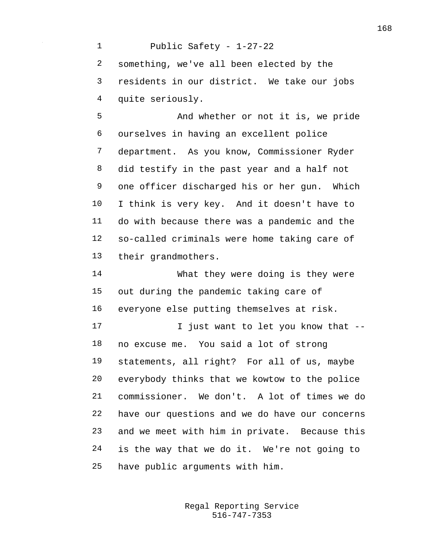Public Safety - 1-27-22 something, we've all been elected by the residents in our district. We take our jobs quite seriously. And whether or not it is, we pride ourselves in having an excellent police department. As you know, Commissioner Ryder did testify in the past year and a half not one officer discharged his or her gun. Which I think is very key. And it doesn't have to do with because there was a pandemic and the so-called criminals were home taking care of their grandmothers. What they were doing is they were out during the pandemic taking care of everyone else putting themselves at risk. **I** just want to let you know that -- no excuse me. You said a lot of strong statements, all right? For all of us, maybe everybody thinks that we kowtow to the police commissioner. We don't. A lot of times we do have our questions and we do have our concerns

 is the way that we do it. We're not going to have public arguments with him.

and we meet with him in private. Because this

516-747-7353 Regal Reporting Service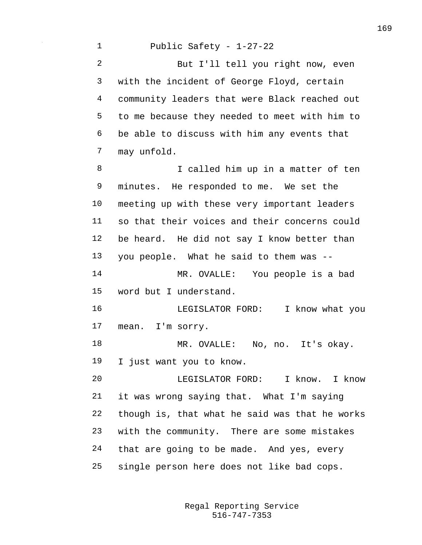Public Safety - 1-27-22 But I'll tell you right now, even with the incident of George Floyd, certain community leaders that were Black reached out to me because they needed to meet with him to be able to discuss with him any events that may unfold. 8 I called him up in a matter of ten minutes. He responded to me. We set the meeting up with these very important leaders so that their voices and their concerns could be heard. He did not say I know better than you people. What he said to them was -- MR. OVALLE: You people is a bad word but I understand. LEGISLATOR FORD: I know what you mean. I'm sorry. MR. OVALLE: No, no. It's okay. I just want you to know. LEGISLATOR FORD: I know. I know it was wrong saying that. What I'm saying though is, that what he said was that he works with the community. There are some mistakes that are going to be made. And yes, every single person here does not like bad cops.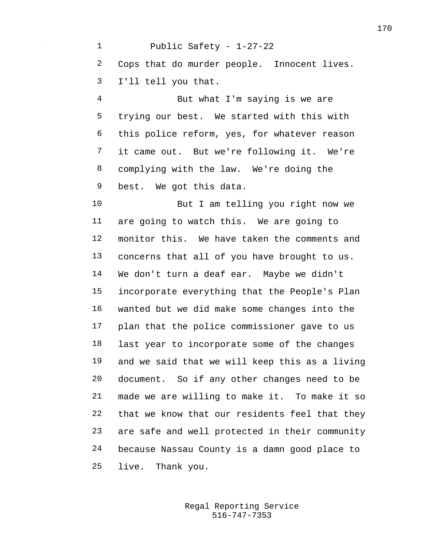Public Safety - 1-27-22 Cops that do murder people. Innocent lives. I'll tell you that. But what I'm saying is we are trying our best. We started with this with this police reform, yes, for whatever reason it came out. But we're following it. We're complying with the law. We're doing the best. We got this data. But I am telling you right now we are going to watch this. We are going to monitor this. We have taken the comments and concerns that all of you have brought to us. We don't turn a deaf ear. Maybe we didn't incorporate everything that the People's Plan wanted but we did make some changes into the plan that the police commissioner gave to us last year to incorporate some of the changes and we said that we will keep this as a living document. So if any other changes need to be made we are willing to make it. To make it so that we know that our residents feel that they are safe and well protected in their community

because Nassau County is a damn good place to

live. Thank you.

516-747-7353 Regal Reporting Service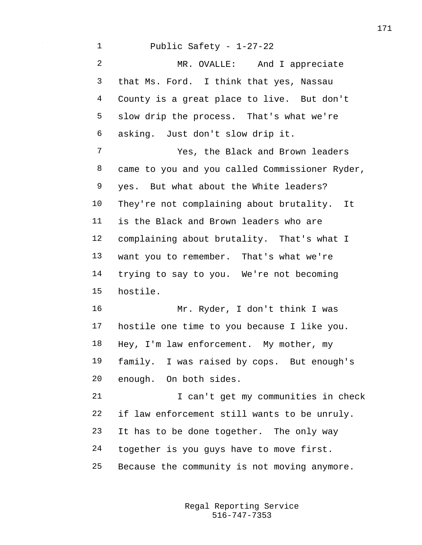Public Safety - 1-27-22 MR. OVALLE: And I appreciate that Ms. Ford. I think that yes, Nassau County is a great place to live. But don't slow drip the process. That's what we're asking. Just don't slow drip it. Yes, the Black and Brown leaders came to you and you called Commissioner Ryder, yes. But what about the White leaders? They're not complaining about brutality. It is the Black and Brown leaders who are complaining about brutality. That's what I want you to remember. That's what we're trying to say to you. We're not becoming hostile. Mr. Ryder, I don't think I was hostile one time to you because I like you. Hey, I'm law enforcement. My mother, my family. I was raised by cops. But enough's enough. On both sides. 21 I can't get my communities in check if law enforcement still wants to be unruly. It has to be done together. The only way together is you guys have to move first. Because the community is not moving anymore.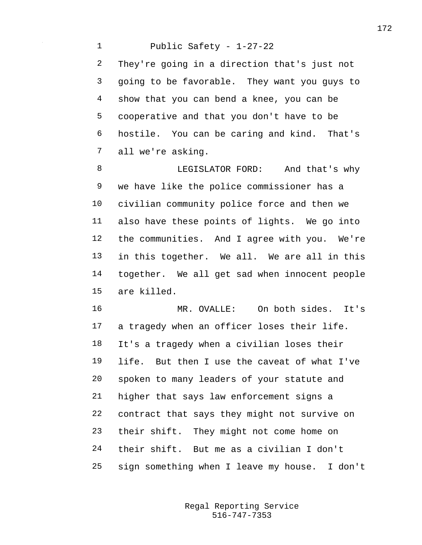Public Safety - 1-27-22 They're going in a direction that's just not going to be favorable. They want you guys to show that you can bend a knee, you can be cooperative and that you don't have to be hostile. You can be caring and kind. That's all we're asking.

 LEGISLATOR FORD: And that's why we have like the police commissioner has a civilian community police force and then we also have these points of lights. We go into the communities. And I agree with you. We're in this together. We all. We are all in this together. We all get sad when innocent people are killed.

 MR. OVALLE: On both sides. It's a tragedy when an officer loses their life. It's a tragedy when a civilian loses their life. But then I use the caveat of what I've spoken to many leaders of your statute and higher that says law enforcement signs a contract that says they might not survive on their shift. They might not come home on their shift. But me as a civilian I don't sign something when I leave my house. I don't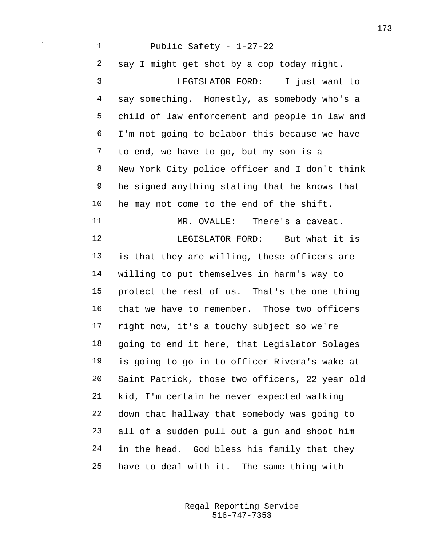Public Safety - 1-27-22 say I might get shot by a cop today might. LEGISLATOR FORD: I just want to say something. Honestly, as somebody who's a child of law enforcement and people in law and I'm not going to belabor this because we have to end, we have to go, but my son is a New York City police officer and I don't think he signed anything stating that he knows that he may not come to the end of the shift. MR. OVALLE: There's a caveat. 12 LEGISLATOR FORD: But what it is is that they are willing, these officers are willing to put themselves in harm's way to protect the rest of us. That's the one thing that we have to remember. Those two officers right now, it's a touchy subject so we're going to end it here, that Legislator Solages is going to go in to officer Rivera's wake at Saint Patrick, those two officers, 22 year old kid, I'm certain he never expected walking down that hallway that somebody was going to all of a sudden pull out a gun and shoot him in the head. God bless his family that they have to deal with it. The same thing with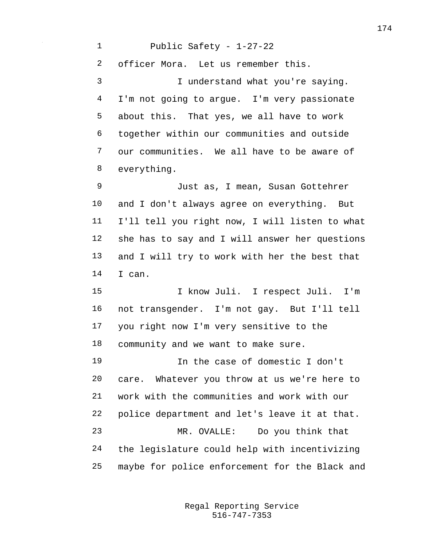Public Safety - 1-27-22 officer Mora. Let us remember this. I understand what you're saying. I'm not going to argue. I'm very passionate about this. That yes, we all have to work together within our communities and outside our communities. We all have to be aware of everything. Just as, I mean, Susan Gottehrer and I don't always agree on everything. But I'll tell you right now, I will listen to what she has to say and I will answer her questions and I will try to work with her the best that I can. I know Juli. I respect Juli. I'm not transgender. I'm not gay. But I'll tell you right now I'm very sensitive to the community and we want to make sure. In the case of domestic I don't

 care. Whatever you throw at us we're here to work with the communities and work with our police department and let's leave it at that. MR. OVALLE: Do you think that the legislature could help with incentivizing maybe for police enforcement for the Black and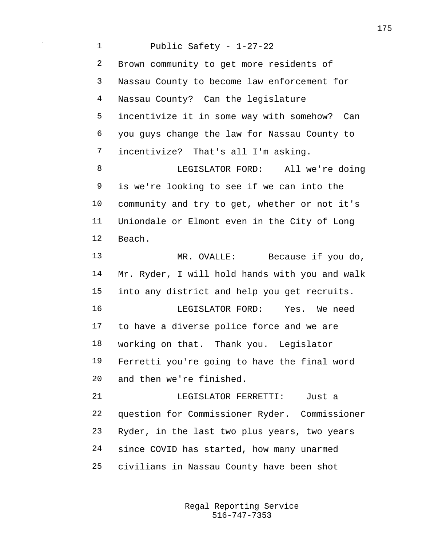Public Safety - 1-27-22 Brown community to get more residents of Nassau County to become law enforcement for Nassau County? Can the legislature incentivize it in some way with somehow? Can you guys change the law for Nassau County to incentivize? That's all I'm asking. LEGISLATOR FORD: All we're doing is we're looking to see if we can into the community and try to get, whether or not it's Uniondale or Elmont even in the City of Long Beach. 13 MR. OVALLE: Because if you do, Mr. Ryder, I will hold hands with you and walk into any district and help you get recruits. LEGISLATOR FORD: Yes. We need to have a diverse police force and we are working on that. Thank you. Legislator Ferretti you're going to have the final word and then we're finished. LEGISLATOR FERRETTI: Just a question for Commissioner Ryder. Commissioner Ryder, in the last two plus years, two years since COVID has started, how many unarmed civilians in Nassau County have been shot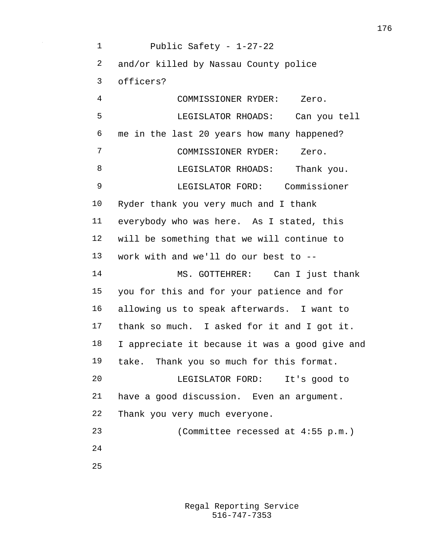Public Safety - 1-27-22 and/or killed by Nassau County police officers? COMMISSIONER RYDER: Zero. LEGISLATOR RHOADS: Can you tell me in the last 20 years how many happened? COMMISSIONER RYDER: Zero. 8 LEGISLATOR RHOADS: Thank you. LEGISLATOR FORD: Commissioner Ryder thank you very much and I thank everybody who was here. As I stated, this will be something that we will continue to work with and we'll do our best to -- MS. GOTTEHRER: Can I just thank you for this and for your patience and for allowing us to speak afterwards. I want to thank so much. I asked for it and I got it. I appreciate it because it was a good give and take. Thank you so much for this format. LEGISLATOR FORD: It's good to have a good discussion. Even an argument. Thank you very much everyone. (Committee recessed at 4:55 p.m.)  $2.4$